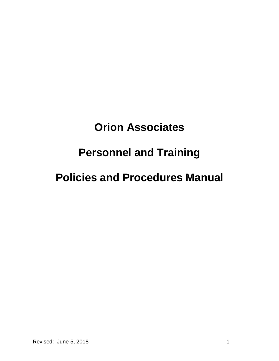# **Orion Associates**

# **Personnel and Training**

# **Policies and Procedures Manual**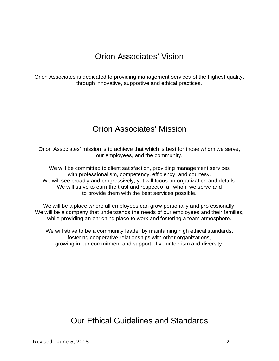## Orion Associates' Vision

Orion Associates is dedicated to providing management services of the highest quality, through innovative, supportive and ethical practices.

## Orion Associates' Mission

Orion Associates' mission is to achieve that which is best for those whom we serve, our employees, and the community.

We will be committed to client satisfaction, providing management services with professionalism, competency, efficiency, and courtesy. We will see broadly and progressively, yet will focus on organization and details. We will strive to earn the trust and respect of all whom we serve and to provide them with the best services possible.

We will be a place where all employees can grow personally and professionally. We will be a company that understands the needs of our employees and their families, while providing an enriching place to work and fostering a team atmosphere.

We will strive to be a community leader by maintaining high ethical standards, fostering cooperative relationships with other organizations, growing in our commitment and support of volunteerism and diversity.

Our Ethical Guidelines and Standards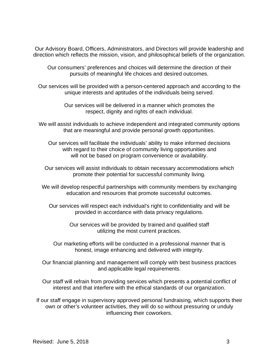Our Advisory Board, Officers, Administrators, and Directors will provide leadership and direction which reflects the mission, vision, and philosophical beliefs of the organization.

Our consumers' preferences and choices will determine the direction of their pursuits of meaningful life choices and desired outcomes.

Our services will be provided with a person-centered approach and according to the unique interests and aptitudes of the individuals being served.

> Our services will be delivered in a manner which promotes the respect, dignity and rights of each individual.

We will assist individuals to achieve independent and integrated community options that are meaningful and provide personal growth opportunities.

Our services will facilitate the individuals' ability to make informed decisions with regard to their choice of community living opportunities and will not be based on program convenience or availability.

Our services will assist individuals to obtain necessary accommodations which promote their potential for successful community living.

We will develop respectful partnerships with community members by exchanging education and resources that promote successful outcomes.

Our services will respect each individual's right to confidentiality and will be provided in accordance with data privacy regulations.

> Our services will be provided by trained and qualified staff utilizing the most current practices.

Our marketing efforts will be conducted in a professional manner that is honest, image enhancing and delivered with integrity.

Our financial planning and management will comply with best business practices and applicable legal requirements.

Our staff will refrain from providing services which presents a potential conflict of interest and that interfere with the ethical standards of our organization.

If our staff engage in supervisory approved personal fundraising, which supports their own or other's volunteer activities, they will do so without pressuring or unduly influencing their coworkers.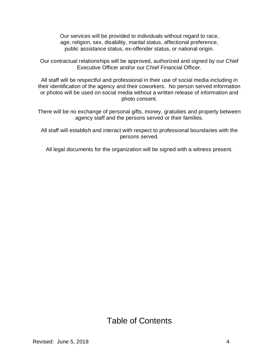Our services will be provided to individuals without regard to race, age, religion, sex, disability, marital status, affectional preference, public assistance status, ex-offender status, or national origin.

Our contractual relationships will be approved, authorized and signed by our Chief Executive Officer and/or our Chief Financial Officer.

All staff will be respectful and professional in their use of social media including in their identification of the agency and their coworkers. No person served information or photos will be used on social media without a written release of information and photo consent.

There will be no exchange of personal gifts, money, gratuities and property between agency staff and the persons served or their families.

All staff will establish and interact with respect to professional boundaries with the persons served.

All legal documents for the organization will be signed with a witness present.

# Table of Contents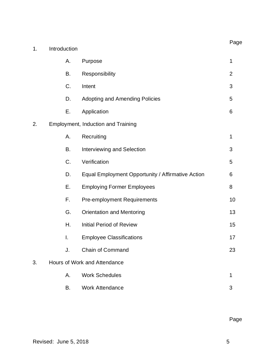|    |                              |                                                   | Page           |
|----|------------------------------|---------------------------------------------------|----------------|
| 1. | Introduction                 |                                                   |                |
|    | Α.                           | Purpose                                           | 1              |
|    | Β.                           | Responsibility                                    | $\overline{2}$ |
|    | C.                           | Intent                                            | 3              |
|    | D.                           | <b>Adopting and Amending Policies</b>             | 5              |
|    | Ε.                           | Application                                       | 6              |
| 2. |                              | Employment, Induction and Training                |                |
|    | А.                           | Recruiting                                        | $\mathbf 1$    |
|    | <b>B.</b>                    | Interviewing and Selection                        | 3              |
|    | C.                           | Verification                                      | 5              |
|    | D.                           | Equal Employment Opportunity / Affirmative Action | 6              |
|    | Ε.                           | <b>Employing Former Employees</b>                 | 8              |
|    | F.                           | <b>Pre-employment Requirements</b>                | 10             |
|    | G.                           | <b>Orientation and Mentoring</b>                  | 13             |
|    | Η.                           | <b>Initial Period of Review</b>                   | 15             |
|    | I.                           | <b>Employee Classifications</b>                   | 17             |
|    | J.                           | <b>Chain of Command</b>                           | 23             |
| 3. | Hours of Work and Attendance |                                                   |                |
|    | Α.                           | <b>Work Schedules</b>                             | 1              |
|    | В.                           | <b>Work Attendance</b>                            | 3              |

Page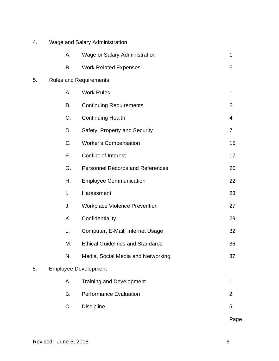| 4. | Wage and Salary Administration |                                         |                |
|----|--------------------------------|-----------------------------------------|----------------|
|    | Α.                             | Wage or Salary Administration           | 1              |
|    | Β.                             | <b>Work Related Expenses</b>            | 5              |
| 5. | <b>Rules and Requirements</b>  |                                         |                |
|    | А.                             | <b>Work Rules</b>                       | 1              |
|    | B.                             | <b>Continuing Requirements</b>          | $\overline{2}$ |
|    | C.                             | <b>Continuing Health</b>                | 4              |
|    | D.                             | Safety, Property and Security           | $\overline{7}$ |
|    | Ε.                             | <b>Worker's Compensation</b>            | 15             |
|    | F.                             | <b>Conflict of Interest</b>             | 17             |
|    | G.                             | <b>Personnel Records and References</b> | 20             |
|    | Η.                             | <b>Employee Communication</b>           | 22             |
|    | I.                             | Harassment                              | 23             |
|    | J.                             | <b>Workplace Violence Prevention</b>    | 27             |
|    | K.                             | Confidentiality                         | 29             |
|    | L.                             | Computer, E-Mail, Internet Usage        | 32             |
|    | М.                             | <b>Ethical Guidelines and Standards</b> | 36             |
|    | N.                             | Media, Social Media and Networking      | 37             |
| 6. | <b>Employee Development</b>    |                                         |                |
|    | А.                             | <b>Training and Development</b>         | 1              |
|    | Β.                             | <b>Performance Evaluation</b>           | $\overline{2}$ |
|    | C.                             | <b>Discipline</b>                       | 5              |
|    |                                |                                         | Page           |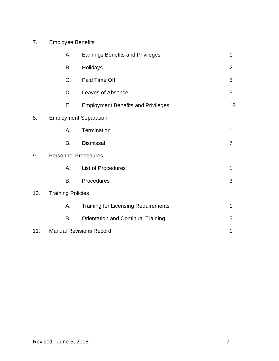| 7. | <b>Employee Benefits</b> |
|----|--------------------------|
|----|--------------------------|

|     | Α.                          | <b>Earnings Benefits and Privileges</b>    | 1              |
|-----|-----------------------------|--------------------------------------------|----------------|
|     | <b>B.</b>                   | Holidays                                   | $\overline{2}$ |
|     | C.                          | Paid Time Off                              | 5              |
|     | D.                          | Leaves of Absence                          | 9              |
|     | Е.                          | <b>Employment Benefits and Privileges</b>  | 18             |
| 8.  |                             | <b>Employment Separation</b>               |                |
|     | А.                          | Termination                                | 1              |
|     | B.                          | <b>Dismissal</b>                           | $\overline{7}$ |
| 9.  | <b>Personnel Procedures</b> |                                            |                |
|     | Α.                          | <b>List of Procedures</b>                  | $\mathbf{1}$   |
|     | <b>B.</b>                   | Procedures                                 | 3              |
| 10. | <b>Training Policies</b>    |                                            |                |
|     | Α.                          | <b>Training for Licensing Requirements</b> | 1              |
|     | B.                          | <b>Orientation and Continual Training</b>  | 2              |
| 11. |                             | <b>Manual Revisions Record</b>             | 1              |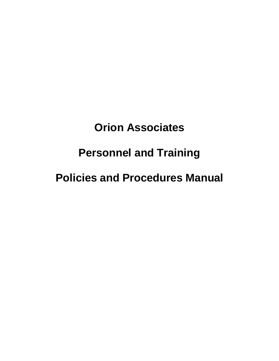# **Orion Associates**

# **Personnel and Training**

# **Policies and Procedures Manual**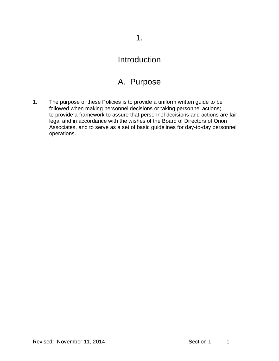## A. Purpose

1. The purpose of these Policies is to provide a uniform written guide to be followed when making personnel decisions or taking personnel actions; to provide a framework to assure that personnel decisions and actions are fair, legal and in accordance with the wishes of the Board of Directors of Orion Associates, and to serve as a set of basic guidelines for day-to-day personnel operations.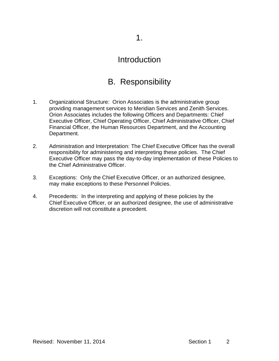## B. Responsibility

- 1. Organizational Structure: Orion Associates is the administrative group providing management services to Meridian Services and Zenith Services. Orion Associates includes the following Officers and Departments: Chief Executive Officer, Chief Operating Officer, Chief Administrative Officer, Chief Financial Officer, the Human Resources Department, and the Accounting Department.
- 2. Administration and Interpretation: The Chief Executive Officer has the overall responsibility for administering and interpreting these policies. The Chief Executive Officer may pass the day-to-day implementation of these Policies to the Chief Administrative Officer.
- 3. Exceptions: Only the Chief Executive Officer, or an authorized designee, may make exceptions to these Personnel Policies.
- 4. Precedents: In the interpreting and applying of these policies by the Chief Executive Officer, or an authorized designee, the use of administrative discretion will not constitute a precedent.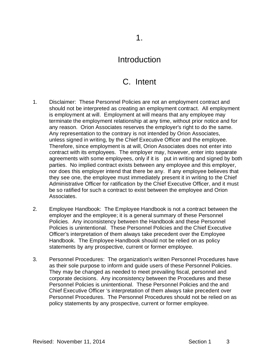## C. Intent

- 1. Disclaimer: These Personnel Policies are not an employment contract and should not be interpreted as creating an employment contract. All employment is employment at will. Employment at will means that any employee may terminate the employment relationship at any time, without prior notice and for any reason. Orion Associates reserves the employer's right to do the same. Any representation to the contrary is not intended by Orion Associates, unless signed in writing, by the Chief Executive Officer and the employee. Therefore, since employment is at will, Orion Associates does not enter into contract with its employees. The employer may, however, enter into separate agreements with some employees, only if it is put in writing and signed by both parties. No implied contract exists between any employee and this employer, nor does this employer intend that there be any. If any employee believes that they see one, the employee must immediately present it in writing to the Chief Administrative Officer for ratification by the Chief Executive Officer, and it must be so ratified for such a contract to exist between the employee and Orion Associates.
- 2. Employee Handbook: The Employee Handbook is not a contract between the employer and the employee; it is a general summary of these Personnel Policies. Any inconsistency between the Handbook and these Personnel Policies is unintentional. These Personnel Policies and the Chief Executive Officer's interpretation of them always take precedent over the Employee Handbook. The Employee Handbook should not be relied on as policy statements by any prospective, current or former employee.
- 3. Personnel Procedures: The organization's written Personnel Procedures have as their sole purpose to inform and guide users of these Personnel Policies. They may be changed as needed to meet prevailing fiscal, personnel and corporate decisions. Any inconsistency between the Procedures and these Personnel Policies is unintentional. These Personnel Policies and the and Chief Executive Officer 's interpretation of them always take precedent over Personnel Procedures. The Personnel Procedures should not be relied on as policy statements by any prospective, current or former employee.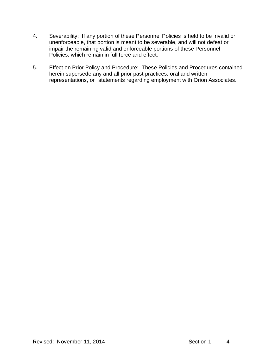- 4. Severability: If any portion of these Personnel Policies is held to be invalid or unenforceable, that portion is meant to be severable, and will not defeat or impair the remaining valid and enforceable portions of these Personnel Policies, which remain in full force and effect.
- 5. Effect on Prior Policy and Procedure: These Policies and Procedures contained herein supersede any and all prior past practices, oral and written representations, or statements regarding employment with Orion Associates.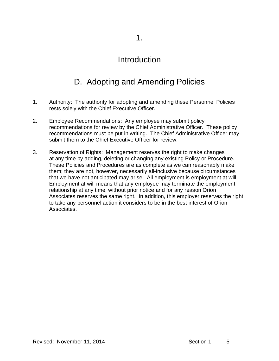# D. Adopting and Amending Policies

- 1. Authority: The authority for adopting and amending these Personnel Policies rests solely with the Chief Executive Officer.
- 2. Employee Recommendations: Any employee may submit policy recommendations for review by the Chief Administrative Officer. These policy recommendations must be put in writing. The Chief Administrative Officer may submit them to the Chief Executive Officer for review.
- 3. Reservation of Rights: Management reserves the right to make changes at any time by adding, deleting or changing any existing Policy or Procedure. These Policies and Procedures are as complete as we can reasonably make them; they are not, however, necessarily all-inclusive because circumstances that we have not anticipated may arise. All employment is employment at will. Employment at will means that any employee may terminate the employment relationship at any time, without prior notice and for any reason Orion Associates reserves the same right. In addition, this employer reserves the right to take any personnel action it considers to be in the best interest of Orion Associates.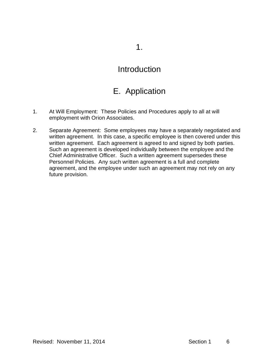1.

### Introduction

## E. Application

- 1. At Will Employment: These Policies and Procedures apply to all at will employment with Orion Associates.
- 2. Separate Agreement: Some employees may have a separately negotiated and written agreement. In this case, a specific employee is then covered under this written agreement. Each agreement is agreed to and signed by both parties. Such an agreement is developed individually between the employee and the Chief Administrative Officer. Such a written agreement supersedes these Personnel Policies. Any such written agreement is a full and complete agreement, and the employee under such an agreement may not rely on any future provision.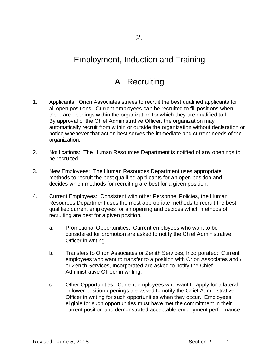## A. Recruiting

- 1. Applicants: Orion Associates strives to recruit the best qualified applicants for all open positions. Current employees can be recruited to fill positions when there are openings within the organization for which they are qualified to fill. By approval of the Chief Administrative Officer, the organization may automatically recruit from within or outside the organization without declaration or notice whenever that action best serves the immediate and current needs of the organization.
- 2. Notifications: The Human Resources Department is notified of any openings to be recruited.
- 3. New Employees: The Human Resources Department uses appropriate methods to recruit the best qualified applicants for an open position and decides which methods for recruiting are best for a given position.
- 4. Current Employees: Consistent with other Personnel Policies, the Human Resources Department uses the most appropriate methods to recruit the best qualified current employees for an opening and decides which methods of recruiting are best for a given position.
	- a. Promotional Opportunities: Current employees who want to be considered for promotion are asked to notify the Chief Administrative Officer in writing.
	- b. Transfers to Orion Associates or Zenith Services, Incorporated: Current employees who want to transfer to a position with Orion Associates and / or Zenith Services, Incorporated are asked to notify the Chief Administrative Officer in writing.
	- c. Other Opportunities: Current employees who want to apply for a lateral or lower position openings are asked to notify the Chief Administrative Officer in writing for such opportunities when they occur. Employees eligible for such opportunities must have met the commitment in their current position and demonstrated acceptable employment performance.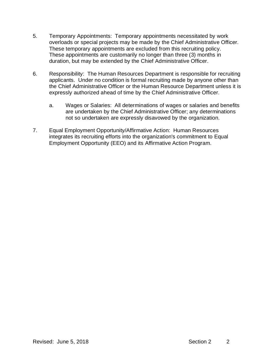- 5. Temporary Appointments: Temporary appointments necessitated by work overloads or special projects may be made by the Chief Administrative Officer. These temporary appointments are excluded from this recruiting policy. These appointments are customarily no longer than three (3) months in duration, but may be extended by the Chief Administrative Officer.
- 6. Responsibility: The Human Resources Department is responsible for recruiting applicants. Under no condition is formal recruiting made by anyone other than the Chief Administrative Officer or the Human Resource Department unless it is expressly authorized ahead of time by the Chief Administrative Officer.
	- a. Wages or Salaries: All determinations of wages or salaries and benefits are undertaken by the Chief Administrative Officer; any determinations not so undertaken are expressly disavowed by the organization.
- 7. Equal Employment Opportunity/Affirmative Action: Human Resources integrates its recruiting efforts into the organization's commitment to Equal Employment Opportunity (EEO) and its Affirmative Action Program.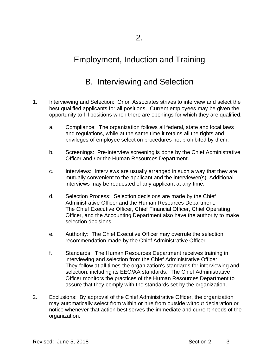## B. Interviewing and Selection

- 1. Interviewing and Selection: Orion Associates strives to interview and select the best qualified applicants for all positions. Current employees may be given the opportunity to fill positions when there are openings for which they are qualified.
	- a. Compliance: The organization follows all federal, state and local laws and regulations, while at the same time it retains all the rights and privileges of employee selection procedures not prohibited by them.
	- b. Screenings: Pre-interview screening is done by the Chief Administrative Officer and / or the Human Resources Department.
	- c. Interviews: Interviews are usually arranged in such a way that they are mutually convenient to the applicant and the interviewer(s). Additional interviews may be requested of any applicant at any time.
	- d. Selection Process: Selection decisions are made by the Chief Administrative Officer and the Human Resources Department. The Chief Executive Officer, Chief Financial Officer, Chief Operating Officer, and the Accounting Department also have the authority to make selection decisions.
	- e. Authority: The Chief Executive Officer may overrule the selection recommendation made by the Chief Administrative Officer.
	- f. Standards: The Human Resources Department receives training in interviewing and selection from the Chief Administrative Officer. They follow at all times the organization's standards for interviewing and selection, including its EEO/AA standards. The Chief Administrative Officer monitors the practices of the Human Resources Department to assure that they comply with the standards set by the organization.
- 2. Exclusions: By approval of the Chief Administrative Officer, the organization may automatically select from within or hire from outside without declaration or notice whenever that action best serves the immediate and current needs of the organization.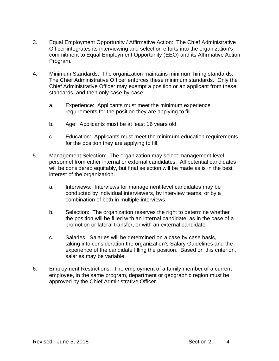- 3. Equal Employment Opportunity / Affirmative Action: The Chief Administrative Officer integrates its interviewing and selection efforts into the organization's commitment to Equal Employment Opportunity (EEO) and its Affirmative Action Program.
- 4. Minimum Standards: The organization maintains minimum hiring standards. The Chief Administrative Officer enforces these minimum standards. Only the Chief Administrative Officer may exempt a position or an applicant from these standards, and then only case-by-case.
	- a. Experience: Applicants must meet the minimum experience requirements for the position they are applying to fill.
	- b. Age: Applicants must be at least 16 years old.
	- c. Education: Applicants must meet the minimum education requirements for the position they are applying to fill.
- 5. Management Selection: The organization may select management level personnel from either internal or external candidates. All potential candidates will be considered equitably, but final selection will be made as is in the best interest of the organization.
	- a. Interviews: Interviews for management level candidates may be conducted by individual interviewers, by interview teams, or by a combination of both in multiple interviews.
	- b. Selection: The organization reserves the right to determine whether the position will be filled with an internal candidate, as in the case of a promotion or lateral transfer, or with an external candidate.
	- c. Salaries: Salaries will be determined on a case by case basis, taking into consideration the organization's Salary Guidelines and the experience of the candidate filling the position. Based on this criterion, salaries may be variable.
- 6. Employment Restrictions: The employment of a family member of a current employee, in the same program, department or geographic region must be approved by the Chief Administrative Officer.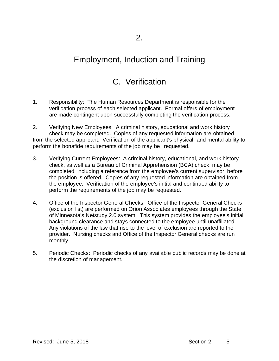## C. Verification

- 1. Responsibility: The Human Resources Department is responsible for the verification process of each selected applicant. Formal offers of employment are made contingent upon successfully completing the verification process.
- 2. Verifying New Employees: A criminal history, educational and work history check may be completed. Copies of any requested information are obtained from the selected applicant. Verification of the applicant's physical and mental ability to perform the bonafide requirements of the job may be requested.
- 3. Verifying Current Employees: A criminal history, educational, and work history check, as well as a Bureau of Criminal Apprehension (BCA) check, may be completed, including a reference from the employee's current supervisor, before the position is offered. Copies of any requested information are obtained from the employee. Verification of the employee's initial and continued ability to perform the requirements of the job may be requested.
- 4. Office of the Inspector General Checks: Office of the Inspector General Checks (exclusion list) are performed on Orion Associates employees through the State of Minnesota's Netstudy 2.0 system. This system provides the employee's initial background clearance and stays connected to the employee until unaffiliated. Any violations of the law that rise to the level of exclusion are reported to the provider. Nursing checks and Office of the Inspector General checks are run monthly.
- 5. Periodic Checks: Periodic checks of any available public records may be done at the discretion of management.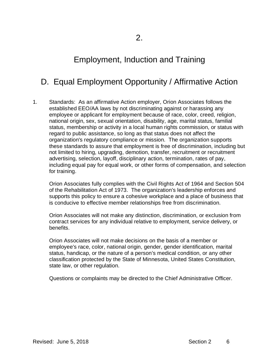## D. Equal Employment Opportunity / Affirmative Action

1. Standards: As an affirmative Action employer, Orion Associates follows the established EEO/AA laws by not discriminating against or harassing any employee or applicant for employment because of race, color, creed, religion, national origin, sex, sexual orientation, disability, age, marital status, familial status, membership or activity in a local human rights commission, or status with regard to public assistance, so long as that status does not affect the organization's regulatory compliance or mission. The organization supports these standards to assure that employment is free of discrimination, including but not limited to hiring, upgrading, demotion, transfer, recruitment or recruitment advertising, selection, layoff, disciplinary action, termination, rates of pay, including equal pay for equal work, or other forms of compensation, and selection for training.

Orion Associates fully complies with the Civil Rights Act of 1964 and Section 504 of the Rehabilitation Act of 1973. The organization's leadership enforces and supports this policy to ensure a cohesive workplace and a place of business that is conducive to effective member relationships free from discrimination.

Orion Associates will not make any distinction, discrimination, or exclusion from contract services for any individual relative to employment, service delivery, or benefits.

Orion Associates will not make decisions on the basis of a member or employee's race, color, national origin, gender, gender identification, marital status, handicap, or the nature of a person's medical condition, or any other classification protected by the State of Minnesota, United States Constitution, state law, or other regulation.

Questions or complaints may be directed to the Chief Administrative Officer.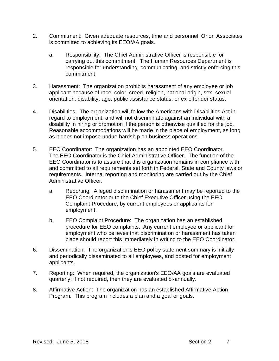- 2. Commitment: Given adequate resources, time and personnel, Orion Associates is committed to achieving its EEO/AA goals.
	- a. Responsibility: The Chief Administrative Officer is responsible for carrying out this commitment. The Human Resources Department is responsible for understanding, communicating, and strictly enforcing this commitment.
- 3. Harassment: The organization prohibits harassment of any employee or job applicant because of race, color, creed, religion, national origin, sex, sexual orientation, disability, age, public assistance status, or ex-offender status.
- 4. Disabilities: The organization will follow the Americans with Disabilities Act in regard to employment, and will not discriminate against an individual with a disability in hiring or promotion if the person is otherwise qualified for the job. Reasonable accommodations will be made in the place of employment, as long as it does not impose undue hardship on business operations.
- 5. EEO Coordinator: The organization has an appointed EEO Coordinator. The EEO Coordinator is the Chief Administrative Officer. The function of the EEO Coordinator is to assure that this organization remains in compliance with and committed to all requirements set forth in Federal, State and County laws or requirements. Internal reporting and monitoring are carried out by the Chief Administrative Officer.
	- a. Reporting: Alleged discrimination or harassment may be reported to the EEO Coordinator or to the Chief Executive Officer using the EEO Complaint Procedure, by current employees or applicants for employment.
	- b. EEO Complaint Procedure: The organization has an established procedure for EEO complaints. Any current employee or applicant for employment who believes that discrimination or harassment has taken place should report this immediately in writing to the EEO Coordinator.
- 6. Dissemination: The organization's EEO policy statement summary is initially and periodically disseminated to all employees, and posted for employment applicants.
- 7. Reporting: When required, the organization's EEO/AA goals are evaluated quarterly; if not required, then they are evaluated bi-annually.
- 8. Affirmative Action: The organization has an established Affirmative Action Program. This program includes a plan and a goal or goals.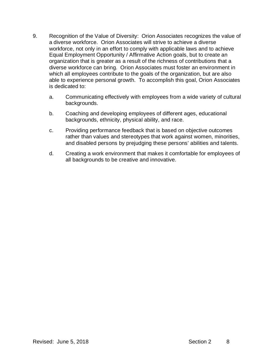- 9. Recognition of the Value of Diversity: Orion Associates recognizes the value of a diverse workforce. Orion Associates will strive to achieve a diverse workforce, not only in an effort to comply with applicable laws and to achieve Equal Employment Opportunity / Affirmative Action goals, but to create an organization that is greater as a result of the richness of contributions that a diverse workforce can bring. Orion Associates must foster an environment in which all employees contribute to the goals of the organization, but are also able to experience personal growth. To accomplish this goal, Orion Associates is dedicated to:
	- a. Communicating effectively with employees from a wide variety of cultural backgrounds.
	- b. Coaching and developing employees of different ages, educational backgrounds, ethnicity, physical ability, and race.
	- c. Providing performance feedback that is based on objective outcomes rather than values and stereotypes that work against women, minorities, and disabled persons by prejudging these persons' abilities and talents.
	- d. Creating a work environment that makes it comfortable for employees of all backgrounds to be creative and innovative.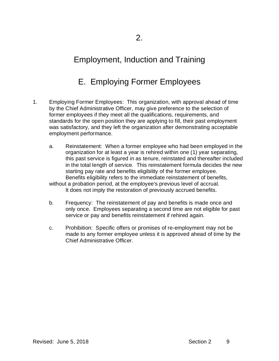## E. Employing Former Employees

- 1. Employing Former Employees: This organization, with approval ahead of time by the Chief Administrative Officer, may give preference to the selection of former employees if they meet all the qualifications, requirements, and standards for the open position they are applying to fill, their past employment was satisfactory, and they left the organization after demonstrating acceptable employment performance.
	- a. Reinstatement: When a former employee who had been employed in the organization for at least a year is rehired within one (1) year separating, this past service is figured in as tenure, reinstated and thereafter included in the total length of service. This reinstatement formula decides the new starting pay rate and benefits eligibility of the former employee. Benefits eligibility refers to the immediate reinstatement of benefits,

without a probation period, at the employee's previous level of accrual. It does not imply the restoration of previously accrued benefits.

- b. Frequency: The reinstatement of pay and benefits is made once and only once. Employees separating a second time are not eligible for past service or pay and benefits reinstatement if rehired again.
- c. Prohibition: Specific offers or promises of re-employment may not be made to any former employee unless it is approved ahead of time by the Chief Administrative Officer.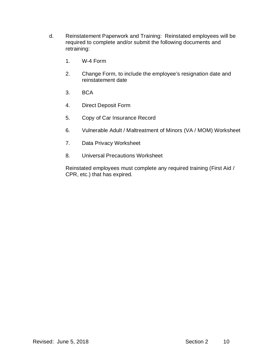- d. Reinstatement Paperwork and Training: Reinstated employees will be required to complete and/or submit the following documents and retraining:
	- 1. W-4 Form
	- 2. Change Form, to include the employee's resignation date and reinstatement date
	- 3. BCA
	- 4. Direct Deposit Form
	- 5. Copy of Car Insurance Record
	- 6. Vulnerable Adult / Maltreatment of Minors (VA / MOM) Worksheet
	- 7. Data Privacy Worksheet
	- 8. Universal Precautions Worksheet

Reinstated employees must complete any required training (First Aid / CPR, etc.) that has expired.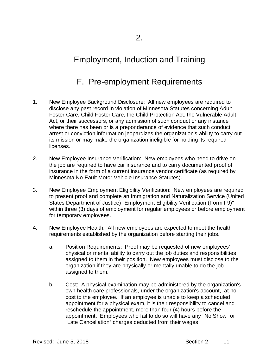## F. Pre-employment Requirements

- 1. New Employee Background Disclosure: All new employees are required to disclose any past record in violation of Minnesota Statutes concerning Adult Foster Care, Child Foster Care, the Child Protection Act, the Vulnerable Adult Act, or their successors, or any admission of such conduct or any instance where there has been or is a preponderance of evidence that such conduct, arrest or conviction information jeopardizes the organization's ability to carry out its mission or may make the organization ineligible for holding its required licenses.
- 2. New Employee Insurance Verification: New employees who need to drive on the job are required to have car insurance and to carry documented proof of insurance in the form of a current insurance vendor certificate (as required by Minnesota No-Fault Motor Vehicle Insurance Statutes).
- 3. New Employee Employment Eligibility Verification: New employees are required to present proof and complete an Immigration and Naturalization Service (United States Department of Justice) "Employment Eligibility Verification (Form I-9)" within three (3) days of employment for regular employees or before employment for temporary employees.
- 4. New Employee Health: All new employees are expected to meet the health requirements established by the organization before starting their jobs.
	- a. Position Requirements: Proof may be requested of new employees' physical or mental ability to carry out the job duties and responsibilities assigned to them in their position. New employees must disclose to the organization if they are physically or mentally unable to do the job assigned to them.
	- b. Cost: A physical examination may be administered by the organization's own health care professionals, under the organization's account, at no cost to the employee. If an employee is unable to keep a scheduled appointment for a physical exam, it is their responsibility to cancel and reschedule the appointment, more than four (4) hours before the appointment. Employees who fail to do so will have any "No Show" or "Late Cancellation" charges deducted from their wages.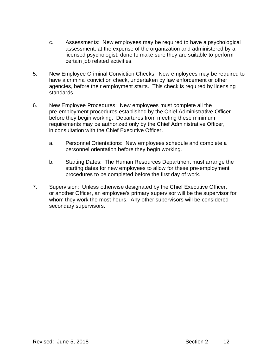- c. Assessments: New employees may be required to have a psychological assessment, at the expense of the organization and administered by a licensed psychologist, done to make sure they are suitable to perform certain job related activities.
- 5. New Employee Criminal Conviction Checks: New employees may be required to have a criminal conviction check, undertaken by law enforcement or other agencies, before their employment starts. This check is required by licensing standards.
- 6. New Employee Procedures: New employees must complete all the pre-employment procedures established by the Chief Administrative Officer before they begin working. Departures from meeting these minimum requirements may be authorized only by the Chief Administrative Officer, in consultation with the Chief Executive Officer.
	- a. Personnel Orientations: New employees schedule and complete a personnel orientation before they begin working.
	- b. Starting Dates: The Human Resources Department must arrange the starting dates for new employees to allow for these pre-employment procedures to be completed before the first day of work.
- 7. Supervision: Unless otherwise designated by the Chief Executive Officer, or another Officer, an employee's primary supervisor will be the supervisor for whom they work the most hours. Any other supervisors will be considered secondary supervisors.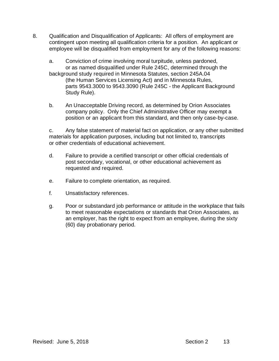- 8. Qualification and Disqualification of Applicants: All offers of employment are contingent upon meeting all qualification criteria for a position. An applicant or employee will be disqualified from employment for any of the following reasons:
	- a. Conviction of crime involving moral turpitude, unless pardoned, or as named disqualified under Rule 245C, determined through the background study required in Minnesota Statutes, section 245A.04 (the Human Services Licensing Act) and in Minnesota Rules, parts 9543.3000 to 9543.3090 (Rule 245C - the Applicant Background Study Rule).
	- b. An Unacceptable Driving record, as determined by Orion Associates company policy. Only the Chief Administrative Officer may exempt a position or an applicant from this standard, and then only case-by-case.

c. Any false statement of material fact on application, or any other submitted materials for application purposes, including but not limited to, transcripts or other credentials of educational achievement.

- d. Failure to provide a certified transcript or other official credentials of post secondary, vocational, or other educational achievement as requested and required.
- e. Failure to complete orientation, as required.
- f. Unsatisfactory references.
- g. Poor or substandard job performance or attitude in the workplace that fails to meet reasonable expectations or standards that Orion Associates, as an employer, has the right to expect from an employee, during the sixty (60) day probationary period.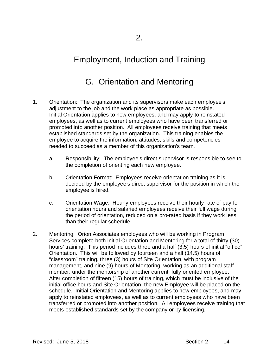## G. Orientation and Mentoring

- 1. Orientation: The organization and its supervisors make each employee's adjustment to the job and the work place as appropriate as possible. Initial Orientation applies to new employees, and may apply to reinstated employees, as well as to current employees who have been transferred or promoted into another position. All employees receive training that meets established standards set by the organization. This training enables the employee to acquire the information, attitudes, skills and competencies needed to succeed as a member of this organization's team.
	- a. Responsibility: The employee's direct supervisor is responsible to see to the completion of orienting each new employee.
	- b. Orientation Format: Employees receive orientation training as it is decided by the employee's direct supervisor for the position in which the employee is hired.
	- c. Orientation Wage: Hourly employees receive their hourly rate of pay for orientation hours and salaried employees receive their full wage during the period of orientation, reduced on a pro-rated basis if they work less than their regular schedule.
- 2. Mentoring: Orion Associates employees who will be working in Program Services complete both initial Orientation and Mentoring for a total of thirty (30) hours' training. This period includes three and a half (3.5) hours of initial "office" Orientation. This will be followed by fourteen and a half (14.5) hours of "classroom" training, three (3) hours of Site Orientation, with program management, and nine (9) hours of Mentoring, working as an additional staff member, under the mentorship of another current, fully oriented employee. After completion of fifteen (15) hours of training, which must be inclusive of the initial office hours and Site Orientation, the new Employee will be placed on the schedule. Initial Orientation and Mentoring applies to new employees, and may apply to reinstated employees, as well as to current employees who have been transferred or promoted into another position. All employees receive training that meets established standards set by the company or by licensing.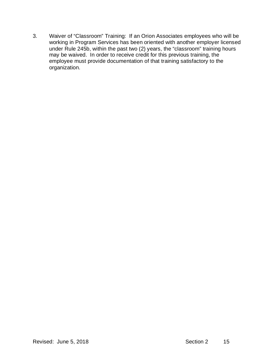3. Waiver of "Classroom" Training: If an Orion Associates employees who will be working in Program Services has been oriented with another employer licensed under Rule 245b, within the past two (2) years, the "classroom" training hours may be waived. In order to receive credit for this previous training, the employee must provide documentation of that training satisfactory to the organization.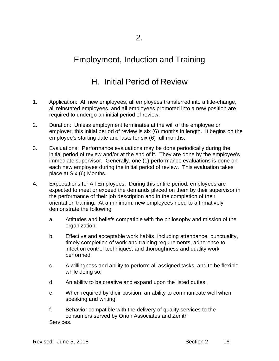## H. Initial Period of Review

- 1. Application: All new employees, all employees transferred into a title-change, all reinstated employees, and all employees promoted into a new position are required to undergo an initial period of review.
- 2. Duration: Unless employment terminates at the will of the employee or employer, this initial period of review is six (6) months in length. It begins on the employee's starting date and lasts for six (6) full months.
- 3. Evaluations: Performance evaluations may be done periodically during the initial period of review and/or at the end of it. They are done by the employee's immediate supervisor. Generally, one (1) performance evaluations is done on each new employee during the initial period of review. This evaluation takes place at Six (6) Months.
- 4. Expectations for All Employees: During this entire period, employees are expected to meet or exceed the demands placed on them by their supervisor in the performance of their job description and in the completion of their orientation training. At a minimum, new employees need to affirmatively demonstrate the following:
	- a. Attitudes and beliefs compatible with the philosophy and mission of the organization;
	- b. Effective and acceptable work habits, including attendance, punctuality, timely completion of work and training requirements, adherence to infection control techniques, and thoroughness and quality work performed;
	- c. A willingness and ability to perform all assigned tasks, and to be flexible while doing so;
	- d. An ability to be creative and expand upon the listed duties;
	- e. When required by their position, an ability to communicate well when speaking and writing;
	- f. Behavior compatible with the delivery of quality services to the consumers served by Orion Associates and Zenith Services.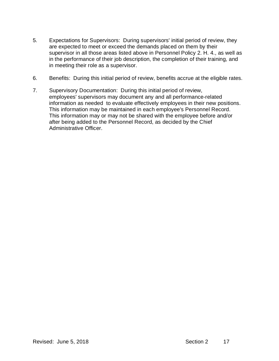- 5. Expectations for Supervisors: During supervisors' initial period of review, they are expected to meet or exceed the demands placed on them by their supervisor in all those areas listed above in Personnel Policy 2. H. 4., as well as in the performance of their job description, the completion of their training, and in meeting their role as a supervisor.
- 6. Benefits: During this initial period of review, benefits accrue at the eligible rates.
- 7. Supervisory Documentation: During this initial period of review, employees' supervisors may document any and all performance-related information as needed to evaluate effectively employees in their new positions. This information may be maintained in each employee's Personnel Record. This information may or may not be shared with the employee before and/or after being added to the Personnel Record, as decided by the Chief Administrative Officer.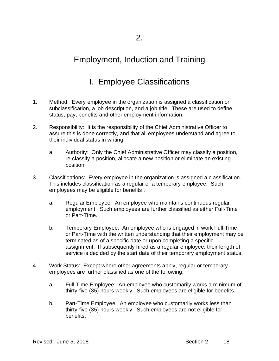## I. Employee Classifications

- 1. Method: Every employee in the organization is assigned a classification or subclassification, a job description, and a job title. These are used to define status, pay, benefits and other employment information.
- 2. Responsibility: It is the responsibility of the Chief Administrative Officer to assure this is done correctly, and that all employees understand and agree to their individual status in writing.
	- a. Authority: Only the Chief Administrative Officer may classify a position, re-classify a position, allocate a new position or eliminate an existing position.
- 3. Classifications: Every employee in the organization is assigned a classification. This includes classification as a regular or a temporary employee. Such employees may be eligible for benefits .
	- a. Regular Employee: An employee who maintains continuous regular employment. Such employees are further classified as either Full-Time or Part-Time.
	- b. Temporary Employee: An employee who is engaged in work Full-Time or Part-Time with the written understanding that their employment may be terminated as of a specific date or upon completing a specific assignment. If subsequently hired as a regular employee, their length of service is decided by the start date of their temporary employment status.
- 4. Work Status: Except where other agreements apply, regular or temporary employees are further classified as one of the following:
	- a. Full-Time Employee: An employee who customarily works a minimum of thirty-five (35) hours weekly. Such employees are eligible for benefits.
	- b. Part-Time Employee: An employee who customarily works less than thirty-five (35) hours weekly. Such employees are not eligible for benefits.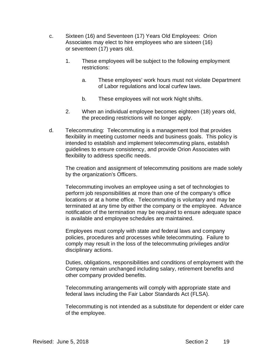- c. Sixteen (16) and Seventeen (17) Years Old Employees: Orion Associates may elect to hire employees who are sixteen (16) or seventeen (17) years old.
	- 1. These employees will be subject to the following employment restrictions:
		- a. These employees' work hours must not violate Department of Labor regulations and local curfew laws.
		- b. These employees will not work Night shifts.
	- 2. When an individual employee becomes eighteen (18) years old, the preceding restrictions will no longer apply.
- d. Telecommuting: Telecommuting is a management tool that provides flexibility in meeting customer needs and business goals. This policy is intended to establish and implement telecommuting plans, establish guidelines to ensure consistency, and provide Orion Associates with flexibility to address specific needs.

The creation and assignment of telecommuting positions are made solely by the organization's Officers.

Telecommuting involves an employee using a set of technologies to perform job responsibilities at more than one of the company's office locations or at a home office. Telecommuting is voluntary and may be terminated at any time by either the company or the employee. Advance notification of the termination may be required to ensure adequate space is available and employee schedules are maintained.

Employees must comply with state and federal laws and company policies, procedures and processes while telecommuting. Failure to comply may result in the loss of the telecommuting privileges and/or disciplinary actions.

Duties, obligations, responsibilities and conditions of employment with the Company remain unchanged including salary, retirement benefits and other company provided benefits.

Telecommuting arrangements will comply with appropriate state and federal laws including the Fair Labor Standards Act (FLSA).

Telecommuting is not intended as a substitute for dependent or elder care of the employee.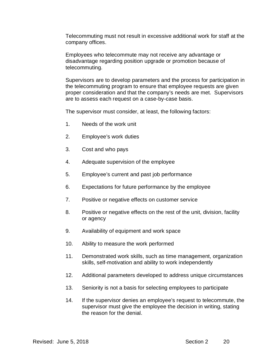Telecommuting must not result in excessive additional work for staff at the company offices.

Employees who telecommute may not receive any advantage or disadvantage regarding position upgrade or promotion because of telecommuting.

Supervisors are to develop parameters and the process for participation in the telecommuting program to ensure that employee requests are given proper consideration and that the company's needs are met. Supervisors are to assess each request on a case-by-case basis.

The supervisor must consider, at least, the following factors:

- 1. Needs of the work unit
- 2. Employee's work duties
- 3. Cost and who pays
- 4. Adequate supervision of the employee
- 5. Employee's current and past job performance
- 6. Expectations for future performance by the employee
- 7. Positive or negative effects on customer service
- 8. Positive or negative effects on the rest of the unit, division, facility or agency
- 9. Availability of equipment and work space
- 10. Ability to measure the work performed
- 11. Demonstrated work skills, such as time management, organization skills, self-motivation and ability to work independently
- 12. Additional parameters developed to address unique circumstances
- 13. Seniority is not a basis for selecting employees to participate
- 14. If the supervisor denies an employee's request to telecommute, the supervisor must give the employee the decision in writing, stating the reason for the denial.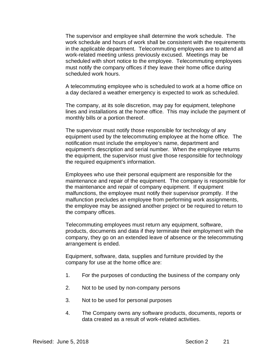The supervisor and employee shall determine the work schedule. The work schedule and hours of work shall be consistent with the requirements in the applicable department. Telecommuting employees are to attend all work-related meeting unless previously excused. Meetings may be scheduled with short notice to the employee. Telecommuting employees must notify the company offices if they leave their home office during scheduled work hours.

A telecommuting employee who is scheduled to work at a home office on a day declared a weather emergency is expected to work as scheduled.

The company, at its sole discretion, may pay for equipment, telephone lines and installations at the home office. This may include the payment of monthly bills or a portion thereof.

The supervisor must notify those responsible for technology of any equipment used by the telecommuting employee at the home office. The notification must include the employee's name, department and equipment's description and serial number. When the employee returns the equipment, the supervisor must give those responsible for technology the required equipment's information.

Employees who use their personal equipment are responsible for the maintenance and repair of the equipment. The company is responsible for the maintenance and repair of company equipment. If equipment malfunctions, the employee must notify their supervisor promptly. If the malfunction precludes an employee from performing work assignments, the employee may be assigned another project or be required to return to the company offices.

Telecommuting employees must return any equipment, software, products, documents and data if they terminate their employment with the company, they go on an extended leave of absence or the telecommuting arrangement is ended.

Equipment, software, data, supplies and furniture provided by the company for use at the home office are:

- 1. For the purposes of conducting the business of the company only
- 2. Not to be used by non-company persons
- 3. Not to be used for personal purposes
- 4. The Company owns any software products, documents, reports or data created as a result of work-related activities.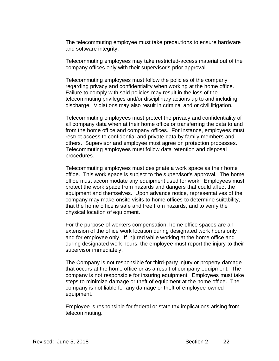The telecommuting employee must take precautions to ensure hardware and software integrity.

Telecommuting employees may take restricted-access material out of the company offices only with their supervisor's prior approval.

Telecommuting employees must follow the policies of the company regarding privacy and confidentiality when working at the home office. Failure to comply with said policies may result in the loss of the telecommuting privileges and/or disciplinary actions up to and including discharge. Violations may also result in criminal and or civil litigation.

Telecommuting employees must protect the privacy and confidentiality of all company data when at their home office or transferring the data to and from the home office and company offices. For instance, employees must restrict access to confidential and private data by family members and others. Supervisor and employee must agree on protection processes. Telecommuting employees must follow data retention and disposal procedures.

Telecommuting employees must designate a work space as their home office. This work space is subject to the supervisor's approval. The home office must accommodate any equipment used for work. Employees must protect the work space from hazards and dangers that could affect the equipment and themselves. Upon advance notice, representatives of the company may make onsite visits to home offices to determine suitability, that the home office is safe and free from hazards, and to verify the physical location of equipment.

For the purpose of workers compensation, home office spaces are an extension of the office work location during designated work hours only and for employee only. If injured while working at the home office and during designated work hours, the employee must report the injury to their supervisor immediately.

The Company is not responsible for third-party injury or property damage that occurs at the home office or as a result of company equipment. The company is not responsible for insuring equipment. Employees must take steps to minimize damage or theft of equipment at the home office. The company is not liable for any damage or theft of employee-owned equipment.

Employee is responsible for federal or state tax implications arising from telecommuting.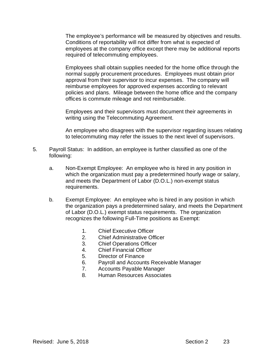The employee's performance will be measured by objectives and results. Conditions of reportability will not differ from what is expected of employees at the company office except there may be additional reports required of telecommuting employees.

Employees shall obtain supplies needed for the home office through the normal supply procurement procedures. Employees must obtain prior approval from their supervisor to incur expenses. The company will reimburse employees for approved expenses according to relevant policies and plans. Mileage between the home office and the company offices is commute mileage and not reimbursable.

Employees and their supervisors must document their agreements in writing using the Telecommuting Agreement.

An employee who disagrees with the supervisor regarding issues relating to telecommuting may refer the issues to the next level of supervisors.

- 5. Payroll Status: In addition, an employee is further classified as one of the following:
	- a. Non-Exempt Employee: An employee who is hired in any position in which the organization must pay a predetermined hourly wage or salary, and meets the Department of Labor (D.O.L.) non-exempt status requirements.
	- b. Exempt Employee: An employee who is hired in any position in which the organization pays a predetermined salary, and meets the Department of Labor (D.O.L.) exempt status requirements. The organization recognizes the following Full-Time positions as Exempt:
		- 1. Chief Executive Officer
		- 2. Chief Administrative Officer
		- 3. Chief Operations Officer
		- 4. Chief Financial Officer
		- 5. Director of Finance
		- 6. Payroll and Accounts Receivable Manager
		- 7. Accounts Payable Manager
		- 8. Human Resources Associates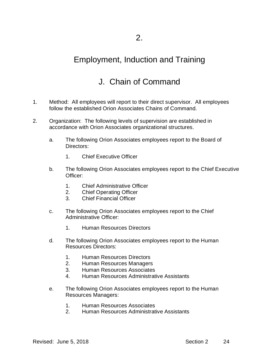#### Employment, Induction and Training

## J. Chain of Command

- 1. Method: All employees will report to their direct supervisor. All employees follow the established Orion Associates Chains of Command.
- 2. Organization: The following levels of supervision are established in accordance with Orion Associates organizational structures.
	- a. The following Orion Associates employees report to the Board of Directors:
		- 1. Chief Executive Officer
	- b. The following Orion Associates employees report to the Chief Executive Officer:
		- 1. Chief Administrative Officer
		- 2. Chief Operating Officer
		- 3. Chief Financial Officer
	- c. The following Orion Associates employees report to the Chief Administrative Officer:
		- 1. Human Resources Directors
	- d. The following Orion Associates employees report to the Human Resources Directors:
		- 1. Human Resources Directors
		- 2. Human Resources Managers
		- 3. Human Resources Associates
		- 4. Human Resources Administrative Assistants
	- e. The following Orion Associates employees report to the Human Resources Managers:
		- 1. Human Resources Associates
		- 2. Human Resources Administrative Assistants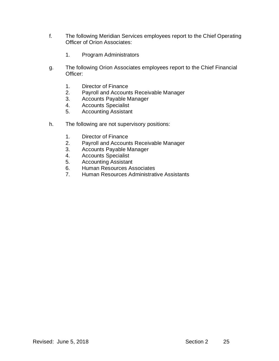- f. The following Meridian Services employees report to the Chief Operating Officer of Orion Associates:
	- 1. Program Administrators
- g. The following Orion Associates employees report to the Chief Financial Officer:
	- 1. Director of Finance
	- 2. Payroll and Accounts Receivable Manager
	- 3. Accounts Payable Manager
	- 4. Accounts Specialist
	- 5. Accounting Assistant
- h. The following are not supervisory positions:
	- 1. Director of Finance
	- 2. Payroll and Accounts Receivable Manager
	- 3. Accounts Payable Manager
	- 4. Accounts Specialist
	- 5. Accounting Assistant
	- 6. Human Resources Associates
	- 7. Human Resources Administrative Assistants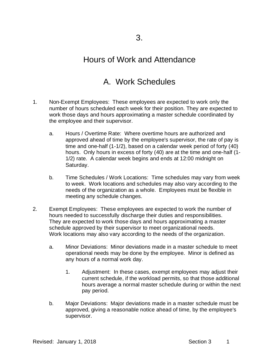#### Hours of Work and Attendance

## A. Work Schedules

- 1. Non-Exempt Employees: These employees are expected to work only the number of hours scheduled each week for their position. They are expected to work those days and hours approximating a master schedule coordinated by the employee and their supervisor.
	- a. Hours / Overtime Rate: Where overtime hours are authorized and approved ahead of time by the employee's supervisor, the rate of pay is time and one-half (1-1/2), based on a calendar week period of forty (40) hours. Only hours in excess of forty (40) are at the time and one-half (1- 1/2) rate. A calendar week begins and ends at 12:00 midnight on Saturday.
	- b. Time Schedules / Work Locations: Time schedules may vary from week to week. Work locations and schedules may also vary according to the needs of the organization as a whole. Employees must be flexible in meeting any schedule changes.
- 2. Exempt Employees: These employees are expected to work the number of hours needed to successfully discharge their duties and responsibilities. They are expected to work those days and hours approximating a master schedule approved by their supervisor to meet organizational needs. Work locations may also vary according to the needs of the organization.
	- a. Minor Deviations: Minor deviations made in a master schedule to meet operational needs may be done by the employee. Minor is defined as any hours of a normal work day.
		- 1. Adjustment: In these cases, exempt employees may adjust their current schedule, if the workload permits, so that those additional hours average a normal master schedule during or within the next pay period.
	- b. Major Deviations: Major deviations made in a master schedule must be approved, giving a reasonable notice ahead of time, by the employee's supervisor.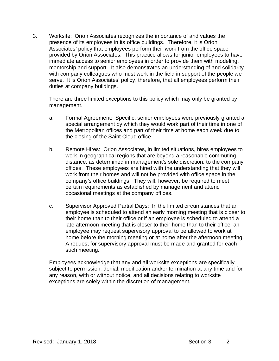3. Worksite: Orion Associates recognizes the importance of and values the presence of its employees in its office buildings. Therefore, it is Orion Associates' policy that employees perform their work from the office space provided by Orion Associates. This practice allows for junior employees to have immediate access to senior employees in order to provide them with modeling, mentorship and support. It also demonstrates an understanding of and solidarity with company colleagues who must work in the field in support of the people we serve. It is Orion Associates' policy, therefore, that all employees perform their duties at company buildings.

There are three limited exceptions to this policy which may only be granted by management.

- a. Formal Agreement: Specific, senior employees were previously granted a special arrangement by which they would work part of their time in one of the Metropolitan offices and part of their time at home each week due to the closing of the Saint Cloud office.
- b. Remote Hires: Orion Associates, in limited situations, hires employees to work in geographical regions that are beyond a reasonable commuting distance, as determined in management's sole discretion, to the company offices. These employees are hired with the understanding that they will work from their homes and will not be provided with office space in the company's office buildings. They will, however, be required to meet certain requirements as established by management and attend occasional meetings at the company offices.
- c. Supervisor Approved Partial Days: In the limited circumstances that an employee is scheduled to attend an early morning meeting that is closer to their home than to their office or if an employee is scheduled to attend a late afternoon meeting that is closer to their home than to their office, an employee may request supervisory approval to be allowed to work at home before the morning meeting or at home after the afternoon meeting. A request for supervisory approval must be made and granted for each such meeting.

Employees acknowledge that any and all worksite exceptions are specifically subject to permission, denial, modification and/or termination at any time and for any reason, with or without notice, and all decisions relating to worksite exceptions are solely within the discretion of management.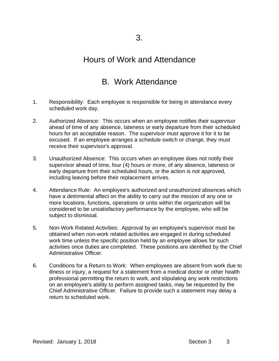#### Hours of Work and Attendance

### B. Work Attendance

- 1. Responsibility: Each employee is responsible for being in attendance every scheduled work day.
- 2. Authorized Absence: This occurs when an employee notifies their supervisor ahead of time of any absence, lateness or early departure from their scheduled hours for an acceptable reason. The supervisor must approve it for it to be excused. If an employee arranges a schedule switch or change, they must receive their supervisor's approval.
- 3. Unauthorized Absence: This occurs when an employee does not notify their supervisor ahead of time, four (4) hours or more, of any absence, lateness or early departure from their scheduled hours, or the action is not approved, including leaving before their replacement arrives.
- 4. Attendance Rule: An employee's authorized and unauthorized absences which have a detrimental affect on the ability to carry out the mission of any one or more locations, functions, operations or units within the organization will be considered to be unsatisfactory performance by the employee, who will be subject to dismissal.
- 5. Non-Work Related Activities: Approval by an employee's supervisor must be obtained when non-work related activities are engaged in during scheduled work time unless the specific position held by an employee allows for such activities once duties are completed. These positions are identified by the Chief Administrative Officer.
- 6. Conditions for a Return to Work: When employees are absent from work due to illness or injury, a request for a statement from a medical doctor or other health professional permitting the return to work, and stipulating any work restrictions on an employee's ability to perform assigned tasks, may be requested by the Chief Administrative Officer. Failure to provide such a statement may delay a return to scheduled work.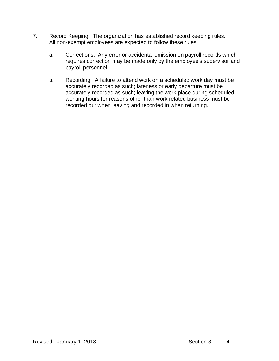- 7. Record Keeping: The organization has established record keeping rules. All non-exempt employees are expected to follow these rules:
	- a. Corrections: Any error or accidental omission on payroll records which requires correction may be made only by the employee's supervisor and payroll personnel.
	- b. Recording: A failure to attend work on a scheduled work day must be accurately recorded as such; lateness or early departure must be accurately recorded as such; leaving the work place during scheduled working hours for reasons other than work related business must be recorded out when leaving and recorded in when returning.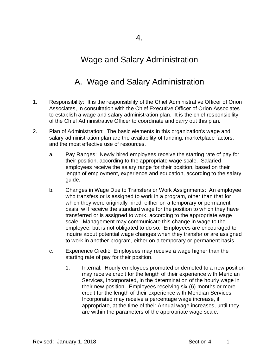## Wage and Salary Administration

# A. Wage and Salary Administration

- 1. Responsibility: It is the responsibility of the Chief Administrative Officer of Orion Associates, in consultation with the Chief Executive Officer of Orion Associates to establish a wage and salary administration plan. It is the chief responsibility of the Chief Administrative Officer to coordinate and carry out this plan.
- 2. Plan of Administration: The basic elements in this organization's wage and salary administration plan are the availability of funding, marketplace factors, and the most effective use of resources.
	- a. Pay Ranges: Newly hired employees receive the starting rate of pay for their position, according to the appropriate wage scale. Salaried employees receive the salary range for their position, based on their length of employment, experience and education, according to the salary guide.
	- b. Changes in Wage Due to Transfers or Work Assignments: An employee who transfers or is assigned to work in a program, other than that for which they were originally hired, either on a temporary or permanent basis, will receive the standard wage for the position to which they have transferred or is assigned to work, according to the appropriate wage scale. Management may communicate this change in wage to the employee, but is not obligated to do so. Employees are encouraged to inquire about potential wage changes when they transfer or are assigned to work in another program, either on a temporary or permanent basis.
	- c. Experience Credit: Employees may receive a wage higher than the starting rate of pay for their position.
		- 1. Internal: Hourly employees promoted or demoted to a new position may receive credit for the length of their experience with Meridian Services, Incorporated, in the determination of the hourly wage in their new position. Employees receiving six (6) months or more credit for the length of their experience with Meridian Services, Incorporated may receive a percentage wage increase, if appropriate, at the time of their Annual wage increases, until they are within the parameters of the appropriate wage scale.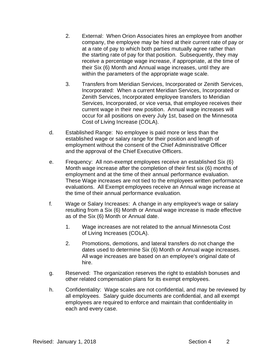- 2. External: When Orion Associates hires an employee from another company, the employee may be hired at their current rate of pay or at a rate of pay to which both parties mutually agree rather than the starting rate of pay for that position. Subsequently, they may receive a percentage wage increase, if appropriate, at the time of their Six (6) Month and Annual wage increases, until they are within the parameters of the appropriate wage scale.
- 3. Transfers from Meridian Services, Incorporated or Zenith Services, Incorporated: When a current Meridian Services, Incorporated or Zenith Services, Incorporated employee transfers to Meridian Services, Incorporated, or vice versa, that employee receives their current wage in their new position. Annual wage increases will occur for all positions on every July 1st, based on the Minnesota Cost of Living Increase (COLA).
- d. Established Range: No employee is paid more or less than the established wage or salary range for their position and length of employment without the consent of the Chief Administrative Officer and the approval of the Chief Executive Officers.
- e. Frequency: All non-exempt employees receive an established Six (6) Month wage increase after the completion of their first six (6) months of employment and at the time of their annual performance evaluation. These Wage increases are not tied to the employees written performance evaluations. All Exempt employees receive an Annual wage increase at the time of their annual performance evaluation.
- f. Wage or Salary Increases: A change in any employee's wage or salary resulting from a Six (6) Month or Annual wage increase is made effective as of the Six (6) Month or Annual date.
	- 1. Wage increases are not related to the annual Minnesota Cost of Living Increases (COLA).
	- 2. Promotions, demotions, and lateral transfers do not change the dates used to determine Six (6) Month or Annual wage increases. All wage increases are based on an employee's original date of hire.
- g. Reserved: The organization reserves the right to establish bonuses and other related compensation plans for its exempt employees.
- h. Confidentiality: Wage scales are not confidential, and may be reviewed by all employees. Salary guide documents are confidential, and all exempt employees are required to enforce and maintain that confidentiality in each and every case.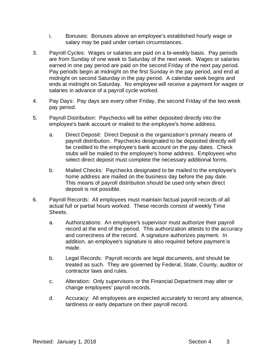- i. Bonuses: Bonuses above an employee's established hourly wage or salary may be paid under certain circumstances.
- 3. Payroll Cycles: Wages or salaries are paid on a bi-weekly basis. Pay periods are from Sunday of one week to Saturday of the next week. Wages or salaries earned in one pay period are paid on the second Friday of the next pay period. Pay periods begin at midnight on the first Sunday in the pay period, and end at midnight on second Saturday in the pay period. A calendar week begins and ends at midnight on Saturday. No employee will receive a payment for wages or salaries in advance of a payroll cycle worked.
- 4. Pay Days: Pay days are every other Friday, the second Friday of the two week pay period.
- 5. Payroll Distribution: Paychecks will be either deposited directly into the employee's bank account or mailed to the employee's home address.
	- a. Direct Deposit: Direct Deposit is the organization's primary means of payroll distribution. Paychecks designated to be deposited directly will be credited to the employee's bank account on the pay dates. Check stubs will be mailed to the employee's home address. Employees who select direct deposit must complete the necessary additional forms.
	- b. Mailed Checks: Paychecks designated to be mailed to the employee's home address are mailed on the business day before the pay date. This means of payroll distribution should be used only when direct deposit is not possible.
- 6. Payroll Records: All employees must maintain factual payroll records of all actual full or partial hours worked. These records consist of weekly Time **Sheets** 
	- a. Authorizations: An employee's supervisor must authorize their payroll record at the end of the period. This authorization attests to the accuracy and correctness of the record. A signature authorizes payment. In addition, an employee's signature is also required before payment is made.
	- b. Legal Records: Payroll records are legal documents, and should be treated as such. They are governed by Federal, State, County, auditor or contractor laws and rules.
	- c. Alteration: Only supervisors or the Financial Department may alter or change employees' payroll records.
	- d. Accuracy: All employees are expected accurately to record any absence, tardiness or early departure on their payroll record.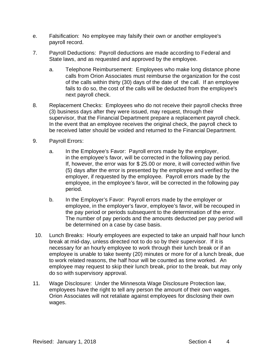- e. Falsification: No employee may falsify their own or another employee's payroll record.
- 7. Payroll Deductions: Payroll deductions are made according to Federal and State laws, and as requested and approved by the employee.
	- a. Telephone Reimbursement: Employees who make long distance phone calls from Orion Associates must reimburse the organization for the cost of the calls within thirty (30) days of the date of the call. If an employee fails to do so, the cost of the calls will be deducted from the employee's next payroll check.
- 8. Replacement Checks: Employees who do not receive their payroll checks three (3) business days after they were issued, may request, through their supervisor, that the Financial Department prepare a replacement payroll check. In the event that an employee receives the original check, the payroll check to be received latter should be voided and returned to the Financial Department.
- 9. Payroll Errors:
	- a. In the Employee's Favor: Payroll errors made by the employer, in the employee's favor, will be corrected in the following pay period. If, however, the error was for \$ 25.00 or more, it will corrected within five (5) days after the error is presented by the employee and verified by the employer, if requested by the employee. Payroll errors made by the employee, in the employee's favor, will be corrected in the following pay period.
	- b. In the Employer's Favor: Payroll errors made by the employer or employee, in the employer's favor, employee's favor, will be recouped in the pay period or periods subsequent to the determination of the error. The number of pay periods and the amounts deducted per pay period will be determined on a case by case basis.
- 10. Lunch Breaks: Hourly employees are expected to take an unpaid half hour lunch break at mid-day, unless directed not to do so by their supervisor. If it is necessary for an hourly employee to work through their lunch break or if an employee is unable to take twenty (20) minutes or more for of a lunch break, due to work related reasons, the half hour will be counted as time worked. An employee may request to skip their lunch break, prior to the break, but may only do so with supervisory approval.
- 11. Wage Disclosure: Under the Minnesota Wage Disclosure Protection law, employees have the right to tell any person the amount of their own wages. Orion Associates will not retaliate against employees for disclosing their own wages.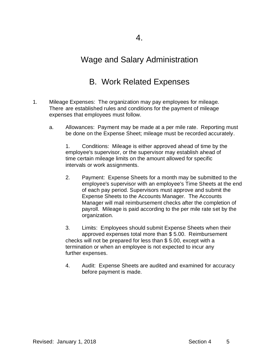### Wage and Salary Administration

## B. Work Related Expenses

- 1. Mileage Expenses: The organization may pay employees for mileage. There are established rules and conditions for the payment of mileage expenses that employees must follow.
	- a. Allowances: Payment may be made at a per mile rate. Reporting must be done on the Expense Sheet; mileage must be recorded accurately.

1. Conditions: Mileage is either approved ahead of time by the employee's supervisor, or the supervisor may establish ahead of time certain mileage limits on the amount allowed for specific intervals or work assignments.

2. Payment: Expense Sheets for a month may be submitted to the employee's supervisor with an employee's Time Sheets at the end of each pay period. Supervisors must approve and submit the Expense Sheets to the Accounts Manager. The Accounts Manager will mail reimbursement checks after the completion of payroll. Mileage is paid according to the per mile rate set by the organization.

3. Limits: Employees should submit Expense Sheets when their approved expenses total more than \$ 5.00. Reimbursement checks will not be prepared for less than \$ 5.00, except with a termination or when an employee is not expected to incur any further expenses.

4. Audit: Expense Sheets are audited and examined for accuracy before payment is made.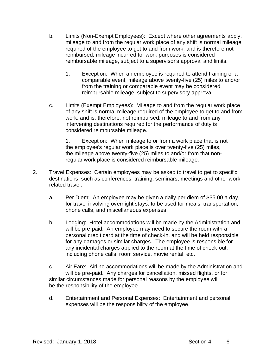- b. Limits (Non-Exempt Employees): Except where other agreements apply, mileage to and from the regular work place of any shift is normal mileage required of the employee to get to and from work, and is therefore not reimbursed; mileage incurred for work purposes is considered reimbursable mileage, subject to a supervisor's approval and limits.
	- 1. Exception: When an employee is required to attend training or a comparable event, mileage above twenty-five (25) miles to and/or from the training or comparable event may be considered reimbursable mileage, subject to supervisory approval.
- c. Limits (Exempt Employees): Mileage to and from the regular work place of any shift is normal mileage required of the employee to get to and from work, and is, therefore, not reimbursed; mileage to and from any intervening destinations required for the performance of duty is considered reimbursable mileage.

1. Exception: When mileage to or from a work place that is not the employee's regular work place is over twenty-five (25) miles, the mileage above twenty-five (25) miles to and/or from that nonregular work place is considered reimbursable mileage.

- 2. Travel Expenses: Certain employees may be asked to travel to get to specific destinations, such as conferences, training, seminars, meetings and other work related travel.
	- a. Per Diem: An employee may be given a daily per diem of \$35.00 a day, for travel involving overnight stays, to be used for meals, transportation, phone calls, and miscellaneous expenses.
	- b. Lodging: Hotel accommodations will be made by the Administration and will be pre-paid. An employee may need to secure the room with a personal credit card at the time of check-in, and will be held responsible for any damages or similar charges. The employee is responsible for any incidental charges applied to the room at the time of check-out, including phone calls, room service, movie rental, etc.
	- c. Air Fare: Airline accommodations will be made by the Administration and will be pre-paid. Any charges for cancellation, missed flights, or for similar circumstances made for personal reasons by the employee will be the responsibility of the employee.
	- d. Entertainment and Personal Expenses: Entertainment and personal expenses will be the responsibility of the employee.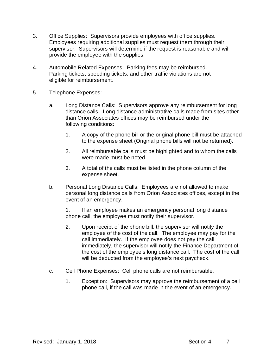- 3. Office Supplies: Supervisors provide employees with office supplies. Employees requiring additional supplies must request them through their supervisor. Supervisors will determine if the request is reasonable and will provide the employee with the supplies.
- 4. Automobile Related Expenses: Parking fees may be reimbursed. Parking tickets, speeding tickets, and other traffic violations are not eligible for reimbursement.
- 5. Telephone Expenses:
	- a. Long Distance Calls: Supervisors approve any reimbursement for long distance calls. Long distance administrative calls made from sites other than Orion Associates offices may be reimbursed under the following conditions:
		- 1. A copy of the phone bill or the original phone bill must be attached to the expense sheet (Original phone bills will not be returned).
		- 2. All reimbursable calls must be highlighted and to whom the calls were made must be noted.
		- 3. A total of the calls must be listed in the phone column of the expense sheet.
	- b. Personal Long Distance Calls: Employees are not allowed to make personal long distance calls from Orion Associates offices, except in the event of an emergency.

1. If an employee makes an emergency personal long distance phone call, the employee must notify their supervisor.

- 2. Upon receipt of the phone bill, the supervisor will notify the employee of the cost of the call. The employee may pay for the call immediately. If the employee does not pay the call immediately, the supervisor will notify the Finance Department of the cost of the employee's long distance call. The cost of the call will be deducted from the employee's next paycheck.
- c. Cell Phone Expenses: Cell phone calls are not reimbursable.
	- 1. Exception: Supervisors may approve the reimbursement of a cell phone call, if the call was made in the event of an emergency.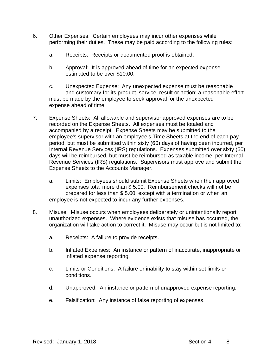- 6. Other Expenses: Certain employees may incur other expenses while performing their duties. These may be paid according to the following rules:
	- a. Receipts: Receipts or documented proof is obtained.
	- b. Approval: It is approved ahead of time for an expected expense estimated to be over \$10.00.
	- c. Unexpected Expense: Any unexpected expense must be reasonable and customary for its product, service, result or action; a reasonable effort must be made by the employee to seek approval for the unexpected expense ahead of time.
- 7. Expense Sheets: All allowable and supervisor approved expenses are to be recorded on the Expense Sheets. All expenses must be totaled and accompanied by a receipt. Expense Sheets may be submitted to the employee's supervisor with an employee's Time Sheets at the end of each pay period, but must be submitted within sixty (60) days of having been incurred, per Internal Revenue Services (IRS) regulations. Expenses submitted over sixty (60) days will be reimbursed, but must be reimbursed as taxable income, per Internal Revenue Services (IRS) regulations. Supervisors must approve and submit the Expense Sheets to the Accounts Manager.
	- a. Limits: Employees should submit Expense Sheets when their approved expenses total more than \$ 5.00. Reimbursement checks will not be prepared for less than \$ 5.00, except with a termination or when an employee is not expected to incur any further expenses.
- 8. Misuse: Misuse occurs when employees deliberately or unintentionally report unauthorized expenses. Where evidence exists that misuse has occurred, the organization will take action to correct it. Misuse may occur but is not limited to:
	- a. Receipts: A failure to provide receipts.
	- b. Inflated Expenses: An instance or pattern of inaccurate, inappropriate or inflated expense reporting.
	- c. Limits or Conditions: A failure or inability to stay within set limits or conditions.
	- d. Unapproved: An instance or pattern of unapproved expense reporting.
	- e. Falsification: Any instance of false reporting of expenses.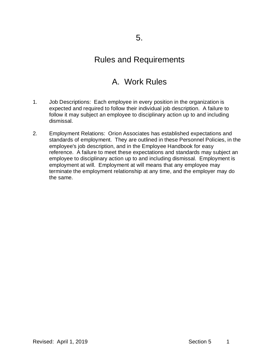### A. Work Rules

- 1. Job Descriptions: Each employee in every position in the organization is expected and required to follow their individual job description. A failure to follow it may subject an employee to disciplinary action up to and including dismissal.
- 2. Employment Relations: Orion Associates has established expectations and standards of employment. They are outlined in these Personnel Policies, in the employee's job description, and in the Employee Handbook for easy reference. A failure to meet these expectations and standards may subject an employee to disciplinary action up to and including dismissal. Employment is employment at will. Employment at will means that any employee may terminate the employment relationship at any time, and the employer may do the same.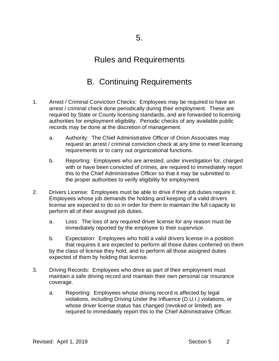## B. Continuing Requirements

- 1. Arrest / Criminal Conviction Checks: Employees may be required to have an arrest / criminal check done periodically during their employment. These are required by State or County licensing standards, and are forwarded to licensing authorities for employment eligibility. Periodic checks of any available public records may be done at the discretion of management.
	- a. Authority: The Chief Administrative Officer of Orion Associates may request an arrest / criminal conviction check at any time to meet licensing requirements or to carry out organizational functions.
	- b. Reporting: Employees who are arrested, under investigation for, charged with or have been convicted of crimes, are required to immediately report this to the Chief Administrative Officer so that it may be submitted to the proper authorities to verify eligibility for employment.
- 2. Drivers License: Employees must be able to drive if their job duties require it. Employees whose job demands the holding and keeping of a valid drivers license are expected to do so in order for them to maintain the full capacity to perform all of their assigned job duties.
	- a. Loss: The loss of any required driver license for any reason must be immediately reported by the employee to their supervisor.
	- b. Expectation: Employees who hold a valid drivers license in a position that requires it are expected to perform all those duties conferred on them by the class of license they hold, and to perform all those assigned duties expected of them by holding that license.
- 3. Driving Records: Employees who drive as part of their employment must maintain a safe driving record and maintain their own personal car insurance coverage.
	- a. Reporting: Employees whose driving record is affected by legal violations, including Driving Under the Influence (D.U.I.) violations, or whose driver license status has changed (revoked or limited) are required to immediately report this to the Chief Administrative Officer.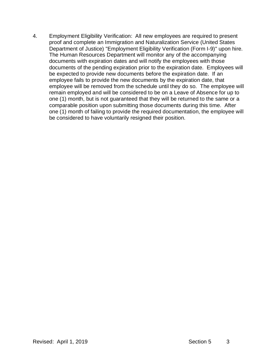4. Employment Eligibility Verification: All new employees are required to present proof and complete an Immigration and Naturalization Service (United States Department of Justice) "Employment Eligibility Verification (Form I-9)" upon hire. The Human Resources Department will monitor any of the accompanying documents with expiration dates and will notify the employees with those documents of the pending expiration prior to the expiration date. Employees will be expected to provide new documents before the expiration date. If an employee fails to provide the new documents by the expiration date, that employee will be removed from the schedule until they do so. The employee will remain employed and will be considered to be on a Leave of Absence for up to one (1) month, but is not guaranteed that they will be returned to the same or a comparable position upon submitting those documents during this time. After one (1) month of failing to provide the required documentation, the employee will be considered to have voluntarily resigned their position.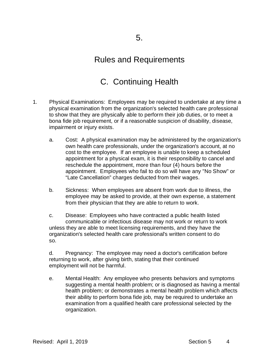# C. Continuing Health

- 1. Physical Examinations: Employees may be required to undertake at any time a physical examination from the organization's selected health care professional to show that they are physically able to perform their job duties, or to meet a bona fide job requirement, or if a reasonable suspicion of disability, disease, impairment or injury exists.
	- a. Cost: A physical examination may be administered by the organization's own health care professionals, under the organization's account, at no cost to the employee. If an employee is unable to keep a scheduled appointment for a physical exam, it is their responsibility to cancel and reschedule the appointment, more than four (4) hours before the appointment. Employees who fail to do so will have any "No Show" or "Late Cancellation" charges deducted from their wages.
	- b. Sickness: When employees are absent from work due to illness, the employee may be asked to provide, at their own expense, a statement from their physician that they are able to return to work.

c. Disease: Employees who have contracted a public health listed communicable or infectious disease may not work or return to work unless they are able to meet licensing requirements, and they have the organization's selected health care professional's written consent to do so.

d. Pregnancy: The employee may need a doctor's certification before returning to work, after giving birth, stating that their continued employment will not be harmful.

e. Mental Health: Any employee who presents behaviors and symptoms suggesting a mental health problem; or is diagnosed as having a mental health problem; or demonstrates a mental health problem which affects their ability to perform bona fide job, may be required to undertake an examination from a qualified health care professional selected by the organization.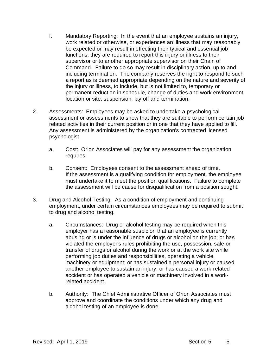- f. Mandatory Reporting: In the event that an employee sustains an injury, work related or otherwise, or experiences an illness that may reasonably be expected or may result in effecting their typical and essential job functions, they are required to report this injury or illness to their supervisor or to another appropriate supervisor on their Chain of Command. Failure to do so may result in disciplinary action, up to and including termination. The company reserves the right to respond to such a report as is deemed appropriate depending on the nature and severity of the injury or illness, to include, but is not limited to, temporary or permanent reduction in schedule, change of duties and work environment, location or site, suspension, lay off and termination.
- 2. Assessments: Employees may be asked to undertake a psychological assessment or assessments to show that they are suitable to perform certain job related activities in their current position or in one that they have applied to fill. Any assessment is administered by the organization's contracted licensed psychologist.
	- a. Cost: Orion Associates will pay for any assessment the organization requires.
	- b. Consent: Employees consent to the assessment ahead of time. If the assessment is a qualifying condition for employment, the employee must undertake it to meet the position qualifications. Failure to complete the assessment will be cause for disqualification from a position sought.
- 3. Drug and Alcohol Testing: As a condition of employment and continuing employment, under certain circumstances employees may be required to submit to drug and alcohol testing.
	- a. Circumstances: Drug or alcohol testing may be required when this employer has a reasonable suspicion that an employee is currently abusing or is under the influence of drugs or alcohol on the job; or has violated the employer's rules prohibiting the use, possession, sale or transfer of drugs or alcohol during the work or at the work site while performing job duties and responsibilities, operating a vehicle, machinery or equipment; or has sustained a personal injury or caused another employee to sustain an injury; or has caused a work-related accident or has operated a vehicle or machinery involved in a workrelated accident.
	- b. Authority: The Chief Administrative Officer of Orion Associates must approve and coordinate the conditions under which any drug and alcohol testing of an employee is done.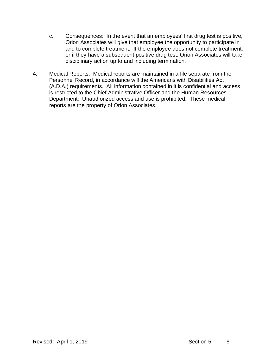- c. Consequences: In the event that an employees' first drug test is positive, Orion Associates will give that employee the opportunity to participate in and to complete treatment. If the employee does not complete treatment, or if they have a subsequent positive drug test, Orion Associates will take disciplinary action up to and including termination.
- 4. Medical Reports: Medical reports are maintained in a file separate from the Personnel Record, in accordance will the Americans with Disabilities Act (A.D.A.) requirements. All information contained in it is confidential and access is restricted to the Chief Administrative Officer and the Human Resources Department. Unauthorized access and use is prohibited. These medical reports are the property of Orion Associates.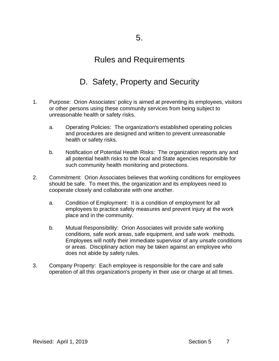## D. Safety, Property and Security

- 1. Purpose: Orion Associates' policy is aimed at preventing its employees, visitors or other persons using these community services from being subject to unreasonable health or safety risks.
	- a. Operating Policies: The organization's established operating policies and procedures are designed and written to prevent unreasonable health or safety risks.
	- b. Notification of Potential Health Risks: The organization reports any and all potential health risks to the local and State agencies responsible for such community health monitoring and protections.
- 2. Commitment: Orion Associates believes that working conditions for employees should be safe. To meet this, the organization and its employees need to cooperate closely and collaborate with one another.
	- a. Condition of Employment: It is a condition of employment for all employees to practice safety measures and prevent injury at the work place and in the community.
	- b. Mutual Responsibility: Orion Associates will provide safe working conditions, safe work areas, safe equipment, and safe work methods. Employees will notify their immediate supervisor of any unsafe conditions or areas. Disciplinary action may be taken against an employee who does not abide by safety rules.
- 3. Company Property: Each employee is responsible for the care and safe operation of all this organization's property in their use or charge at all times.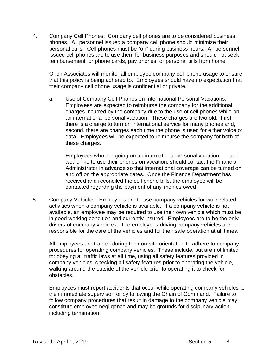4. Company Cell Phones: Company cell phones are to be considered business phones. All personnel issued a company cell phone should minimize their personal calls. Cell phones must be "on" during business hours. All personnel issued cell phones are to use them for business purposes and should not seek reimbursement for phone cards, pay phones, or personal bills from home.

Orion Associates will monitor all employee company cell phone usage to ensure that this policy is being adhered to. Employees should have no expectation that their company cell phone usage is confidential or private.

a. Use of Company Cell Phones on International Personal Vacations: Employees are expected to reimburse the company for the additional charges incurred by the company due to the use of cell phones while on an international personal vacation. These charges are twofold. First, there is a charge to turn on international service for many phones and, second, there are charges each time the phone is used for either voice or data. Employees will be expected to reimburse the company for both of these charges.

Employees who are going on an international personal vacation and would like to use their phones on vacation, should contact the Financial Administrator in advance so that international coverage can be turned on and off on the appropriate dates. Once the Finance Department has received and reconciled the cell phone bills, the employee will be contacted regarding the payment of any monies owed.

5. Company Vehicles: Employees are to use company vehicles for work related activities when a company vehicle is available. If a company vehicle is not available, an employee may be required to use their own vehicle which must be in good working condition and currently insured. Employees are to be the only drivers of company vehicles. The employees driving company vehicles are responsible for the care of the vehicles and for their safe operation at all times.

All employees are trained during their on-site orientation to adhere to company procedures for operating company vehicles. These include, but are not limited to: obeying all traffic laws at all time, using all safety features provided in company vehicles, checking all safety features prior to operating the vehicle, walking around the outside of the vehicle prior to operating it to check for obstacles.

Employees must report accidents that occur while operating company vehicles to their immediate supervisor, or by following the Chain of Command. Failure to follow company procedures that result in damage to the company vehicle may constitute employee negligence and may be grounds for disciplinary action including termination.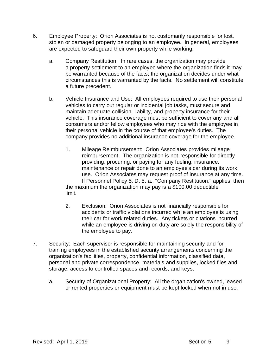- 6. Employee Property: Orion Associates is not customarily responsible for lost, stolen or damaged property belonging to an employee. In general, employees are expected to safeguard their own property while working.
	- a. Company Restitution: In rare cases, the organization may provide a property settlement to an employee where the organization finds it may be warranted because of the facts; the organization decides under what circumstances this is warranted by the facts. No settlement will constitute a future precedent.
	- b. Vehicle Insurance and Use: All employees required to use their personal vehicles to carry out regular or incidental job tasks, must secure and maintain adequate collision, liability, and property insurance for their vehicle. This insurance coverage must be sufficient to cover any and all consumers and/or fellow employees who may ride with the employee in their personal vehicle in the course of that employee's duties. The company provides no additional insurance coverage for the employee.
		- 1. Mileage Reimbursement: Orion Associates provides mileage reimbursement. The organization is not responsible for directly providing, procuring, or paying for any fueling, insurance, maintenance or repair done to an employee's car during its work use. Orion Associates may request proof of insurance at any time. If Personnel Policy 5. D. 5. a., "Company Restitution," applies, then the maximum the organization may pay is a \$100.00 deductible limit.
		- 2. Exclusion: Orion Associates is not financially responsible for accidents or traffic violations incurred while an employee is using their car for work related duties. Any tickets or citations incurred while an employee is driving on duty are solely the responsibility of the employee to pay.
- 7. Security: Each supervisor is responsible for maintaining security and for training employees in the established security arrangements concerning the organization's facilities, property, confidential information, classified data, personal and private correspondence, materials and supplies, locked files and storage, access to controlled spaces and records, and keys.
	- a. Security of Organizational Property: All the organization's owned, leased or rented properties or equipment must be kept locked when not in use.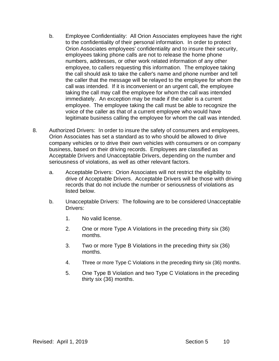- b. Employee Confidentiality: All Orion Associates employees have the right to the confidentiality of their personal information. In order to protect Orion Associates employees' confidentiality and to insure their security, employees taking phone calls are not to release the home phone numbers, addresses, or other work related information of any other employee, to callers requesting this information. The employee taking the call should ask to take the caller's name and phone number and tell the caller that the message will be relayed to the employee for whom the call was intended. If it is inconvenient or an urgent call, the employee taking the call may call the employee for whom the call was intended immediately. An exception may be made if the caller is a current employee. The employee taking the call must be able to recognize the voice of the caller as that of a current employee who would have legitimate business calling the employee for whom the call was intended.
- 8. Authorized Drivers: In order to insure the safety of consumers and employees, Orion Associates has set a standard as to who should be allowed to drive company vehicles or to drive their own vehicles with consumers or on company business, based on their driving records. Employees are classified as Acceptable Drivers and Unacceptable Drivers, depending on the number and seriousness of violations, as well as other relevant factors.
	- a. Acceptable Drivers: Orion Associates will not restrict the eligibility to drive of Acceptable Drivers. Acceptable Drivers will be those with driving records that do not include the number or seriousness of violations as listed below.
	- b. Unacceptable Drivers: The following are to be considered Unacceptable Drivers:
		- 1. No valid license.
		- 2. One or more Type A Violations in the preceding thirty six (36) months.
		- 3. Two or more Type B Violations in the preceding thirty six (36) months.
		- 4. Three or more Type C Violations in the preceding thirty six (36) months.
		- 5. One Type B Violation and two Type C Violations in the preceding thirty six (36) months.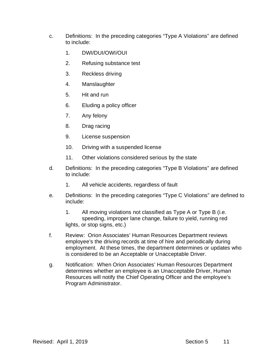- c. Definitions: In the preceding categories "Type A Violations" are defined to include:
	- 1. DWI/DUI/OWI/OUI
	- 2. Refusing substance test
	- 3. Reckless driving
	- 4. Manslaughter
	- 5. Hit and run
	- 6. Eluding a policy officer
	- 7. Any felony
	- 8. Drag racing
	- 9. License suspension
	- 10. Driving with a suspended license
	- 11. Other violations considered serious by the state
- d. Definitions: In the preceding categories "Type B Violations" are defined to include:
	- 1. All vehicle accidents, regardless of fault
- e. Definitions: In the preceding categories "Type C Violations" are defined to include:

1. All moving violations not classified as Type A or Type B (i.e. speeding, improper lane change, failure to yield, running red lights, or stop signs, etc.)

- f. Review: Orion Associates' Human Resources Department reviews employee's the driving records at time of hire and periodically during employment. At these times, the department determines or updates who is considered to be an Acceptable or Unacceptable Driver.
- g. Notification: When Orion Associates' Human Resources Department determines whether an employee is an Unacceptable Driver, Human Resources will notify the Chief Operating Officer and the employee's Program Administrator.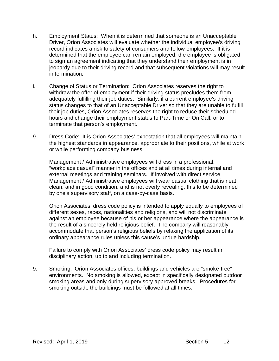- h. Employment Status: When it is determined that someone is an Unacceptable Driver, Orion Associates will evaluate whether the individual employee's driving record indicates a risk to safety of consumers and fellow employees. If it is determined that the employee can remain employed, the employee is obligated to sign an agreement indicating that they understand their employment is in jeopardy due to their driving record and that subsequent violations will may result in termination.
- i. Change of Status or Termination: Orion Associates reserves the right to withdraw the offer of employment if their driving status precludes them from adequately fulfilling their job duties. Similarly, if a current employee's driving status changes to that of an Unacceptable Driver so that they are unable to fulfill their job duties, Orion Associates reserves the right to reduce their scheduled hours and change their employment status to Part-Time or On Call, or to terminate that person's employment.
- 9. Dress Code: It is Orion Associates' expectation that all employees will maintain the highest standards in appearance, appropriate to their positions, while at work or while performing company business.

Management / Administrative employees will dress in a professional, "workplace casual" manner in the offices and at all times during internal and external meetings and training seminars. If involved with direct service Management / Administrative employees will wear casual clothing that is neat, clean, and in good condition, and is not overly revealing, this to be determined by one's supervisory staff, on a case-by-case basis.

Orion Associates' dress code policy is intended to apply equally to employees of different sexes, races, nationalities and religions, and will not discriminate against an employee because of his or her appearance where the appearance is the result of a sincerely held religious belief. The company will reasonably accommodate that person's religious beliefs by relaxing the application of its ordinary appearance rules unless this cause's undue hardship.

Failure to comply with Orion Associates' dress code policy may result in disciplinary action, up to and including termination.

9. Smoking: Orion Associates offices, buildings and vehicles are "smoke-free" environments. No smoking is allowed, except in specifically designated outdoor smoking areas and only during supervisory approved breaks. Procedures for smoking outside the buildings must be followed at all times.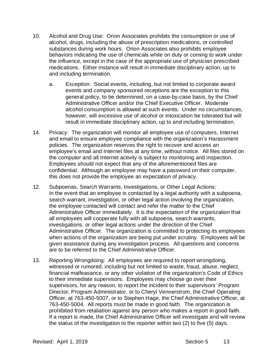- 10. Alcohol and Drug Use: Orion Associates prohibits the consumption or use of alcohol, drugs, including the abuse of prescription medications, or controlled substances during work hours. Orion Associates also prohibits employee behaviors indicating the use of chemicals while on duty or coming to work under the influence, except in the case of the appropriate use of physician prescribed medications. Either instance will result in immediate disciplinary action, up to and including termination.
	- a. Exception: Social events, including, but not limited to corporate award events and company sponsored receptions are the exception to this general policy, to be determined, on a case-by-case basis, by the Chief Administrative Officer and/or the Chief Executive Officer. Moderate alcohol consumption is allowed at such events. Under no circumstances, however, will excessive use of alcohol or intoxication be tolerated but will result in immediate disciplinary action, up to and including termination.
- 14. Privacy: The organization will monitor all employee use of computers, Internet and email to ensure employee compliance with the organization's Harassment policies. The organization reserves the right to recover and access an employee's email and Internet files at any time, without notice. All files stored on the computer and all Internet activity is subject to monitoring and inspection. Employees should not expect that any of the aforementioned files are confidential. Although an employee may have a password on their computer, this does not provide the employee an expectation of privacy.
- 12. Subpoenas, Search Warrants, Investigations, or Other Legal Actions: In the event that an employee is contacted by a legal authority with a subpoena, search warrant, investigation, or other legal action involving the organization, the employee contacted will contact and refer the matter to the Chief Administrative Officer immediately. It is the expectation of the organization that all employees will cooperate fully with all subpoena, search warrants, investigations, or other legal actions under the direction of the Chief Administrative Officer. The organization is committed to protecting its employees when actions of the organization are being put under scrutiny. Employees will be given assistance during any investigation process. All questions and concerns are to be referred to the Chief Administrative Officer.
- 13. Reporting Wrongdoing: All employees are required to report wrongdoing, witnessed or rumored, including but not limited to waste, fraud, abuse, neglect, financial malfeasance, or any other violation of the organization's Code of Ethics to their immediate supervisors. Employees may choose go over their supervisors, for any reason, to report the incident to their supervisors' Program Director, Program Administrator, or to Cheryl Vennerstrom, the Chief Operating Officer, at 763-450-5007, or to Stephen Hage, the Chief Administrative Officer, at 763-450-5004. All reports must be made in good faith. The organization is prohibited from retaliation against any person who makes a report in good faith. If a report is made, the Chief Administrative Officer will investigate and will review the status of the investigation to the reporter within two (2) to five (5) days.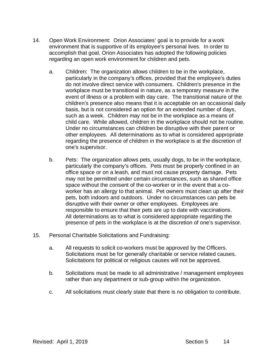- 14. Open Work Environment: Orion Associates' goal is to provide for a work environment that is supportive of its employee's personal lives. In order to accomplish that goal, Orion Associates has adopted the following policies regarding an open work environment for children and pets.
	- a. Children: The organization allows children to be in the workplace, particularly in the company's offices, provided that the employee's duties do not involve direct service with consumers. Children's presence in the workplace must be transitional in nature, as a temporary measure in the event of illness or a problem with day care. The transitional nature of the children's presence also means that it is acceptable on an occasional daily basis, but is not considered an option for an extended number of days, such as a week. Children may not be in the workplace as a means of child care. While allowed, children in the workplace should not be routine. Under no circumstances can children be disruptive with their parent or other employees. All determinations as to what is considered appropriate regarding the presence of children in the workplace is at the discretion of one's supervisor.
	- b. Pets: The organization allows pets, usually dogs, to be in the workplace, particularly the company's offices. Pets must be properly confined in an office space or on a leash, and must not cause property damage. Pets may not be permitted under certain circumstances, such as shared office space without the consent of the co-worker or in the event that a coworker has an allergy to that animal. Pet owners must clean up after their pets, both indoors and outdoors. Under no circumstances can pets be disruptive with their owner or other employees. Employees are responsible to ensure that their pets are up to date with vaccinations. All determinations as to what is considered appropriate regarding the presence of pets in the workplace is at the discretion of one's supervisor.
- 15. Personal Charitable Solicitations and Fundraising:
	- a. All requests to solicit co-workers must be approved by the Officers. Solicitations must be for generally charitable or service related causes. Solicitations for political or religious causes will not be approved.
	- b. Solicitations must be made to all administrative / management employees rather than any department or sub-group within the organization.
	- c. All solicitations must clearly state that there is no obligation to contribute.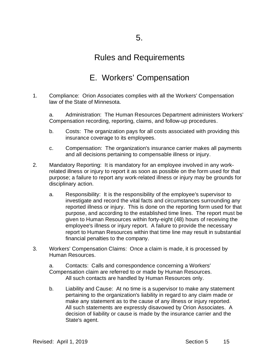### E. Workers' Compensation

1. Compliance: Orion Associates complies with all the Workers' Compensation law of the State of Minnesota.

a. Administration: The Human Resources Department administers Workers' Compensation recording, reporting, claims, and follow-up procedures.

- b. Costs: The organization pays for all costs associated with providing this insurance coverage to its employees.
- c. Compensation: The organization's insurance carrier makes all payments and all decisions pertaining to compensable illness or injury.
- 2. Mandatory Reporting: It is mandatory for an employee involved in any workrelated illness or injury to report it as soon as possible on the form used for that purpose; a failure to report any work-related illness or injury may be grounds for disciplinary action.
	- a. Responsibility: It is the responsibility of the employee's supervisor to investigate and record the vital facts and circumstances surrounding any reported illness or injury. This is done on the reporting form used for that purpose, and according to the established time lines. The report must be given to Human Resources within forty-eight (48) hours of receiving the employee's illness or injury report. A failure to provide the necessary report to Human Resources within that time line may result in substantial financial penalties to the company.
- 3. Workers' Compensation Claims: Once a claim is made, it is processed by Human Resources.

a. Contacts: Calls and correspondence concerning a Workers' Compensation claim are referred to or made by Human Resources. All such contacts are handled by Human Resources only.

b. Liability and Cause: At no time is a supervisor to make any statement pertaining to the organization's liability in regard to any claim made or make any statement as to the cause of any illness or injury reported. All such statements are expressly disavowed by Orion Associates. A decision of liability or cause is made by the insurance carrier and the State's agent.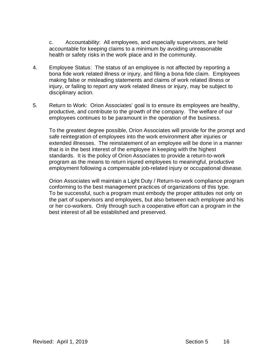c. Accountability: All employees, and especially supervisors, are held accountable for keeping claims to a minimum by avoiding unreasonable health or safety risks in the work place and in the community.

- 4. Employee Status: The status of an employee is not affected by reporting a bona fide work related illness or injury, and filing a bona fide claim. Employees making false or misleading statements and claims of work related illness or injury, or failing to report any work related illness or injury, may be subject to disciplinary action.
- 5. Return to Work: Orion Associates' goal is to ensure its employees are healthy, productive, and contribute to the growth of the company. The welfare of our employees continues to be paramount in the operation of the business.

To the greatest degree possible, Orion Associates will provide for the prompt and safe reintegration of employees into the work environment after injuries or extended illnesses. The reinstatement of an employee will be done in a manner that is in the best interest of the employee in keeping with the highest standards. It is the policy of Orion Associates to provide a return-to-work program as the means to return injured employees to meaningful, productive employment following a compensable job-related injury or occupational disease.

Orion Associates will maintain a Light Duty / Return-to-work compliance program conforming to the best management practices of organizations of this type. To be successful, such a program must embody the proper attitudes not only on the part of supervisors and employees, but also between each employee and his or her co-workers. Only through such a cooperative effort can a program in the best interest of all be established and preserved.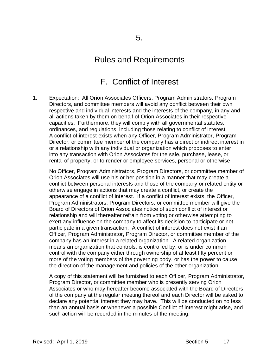### F. Conflict of Interest

1. Expectation: All Orion Associates Officers, Program Administrators, Program Directors, and committee members will avoid any conflict between their own respective and individual interests and the interests of the company, in any and all actions taken by them on behalf of Orion Associates in their respective capacities. Furthermore, they will comply with all governmental statutes, ordinances, and regulations, including those relating to conflict of interest. A conflict of interest exists when any Officer, Program Administrator, Program Director, or committee member of the company has a direct or indirect interest in or a relationship with any individual or organization which proposes to enter into any transaction with Orion Associates for the sale, purchase, lease, or rental of property, or to render or employee services, personal or otherwise.

No Officer, Program Administrators, Program Directors, or committee member of Orion Associates will use his or her position in a manner that may create a conflict between personal interests and those of the company or related entity or otherwise engage in actions that may create a conflict, or create the appearance of a conflict of interest. If a conflict of interest exists, the Officer, Program Administrators, Program Directors, or committee member will give the Board of Directors of Orion Associates notice of such conflict of interest or relationship and will thereafter refrain from voting or otherwise attempting to exert any influence on the company to affect its decision to participate or not participate in a given transaction. A conflict of interest does not exist if an Officer, Program Administrator, Program Director, or committee member of the company has an interest in a related organization. A related organization means an organization that controls, is controlled by, or is under common control with the company either through ownership of at least fifty percent or more of the voting members of the governing body, or has the power to cause the direction of the management and policies of the other organization.

A copy of this statement will be furnished to each Officer, Program Administrator, Program Director, or committee member who is presently serving Orion Associates or who may hereafter become associated with the Board of Directors of the company at the regular meeting thereof and each Director will be asked to declare any potential interest they may have. This will be conducted on no less than an annual basis or whenever a possible Conflict of interest might arise, and such action will be recorded in the minutes of the meeting.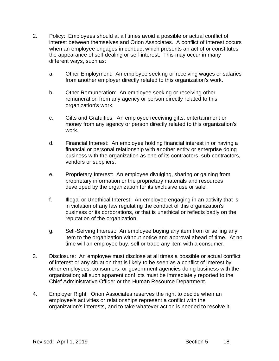- 2. Policy: Employees should at all times avoid a possible or actual conflict of interest between themselves and Orion Associates. A conflict of interest occurs when an employee engages in conduct which presents an act of or constitutes the appearance of self-dealing or self-interest. This may occur in many different ways, such as:
	- a. Other Employment: An employee seeking or receiving wages or salaries from another employer directly related to this organization's work.
	- b. Other Remuneration: An employee seeking or receiving other remuneration from any agency or person directly related to this organization's work.
	- c. Gifts and Gratuities: An employee receiving gifts, entertainment or money from any agency or person directly related to this organization's work.
	- d. Financial Interest: An employee holding financial interest in or having a financial or personal relationship with another entity or enterprise doing business with the organization as one of its contractors, sub-contractors, vendors or suppliers.
	- e. Proprietary Interest: An employee divulging, sharing or gaining from proprietary information or the proprietary materials and resources developed by the organization for its exclusive use or sale.
	- f. Illegal or Unethical Interest: An employee engaging in an activity that is in violation of any law regulating the conduct of this organization's business or its corporations, or that is unethical or reflects badly on the reputation of the organization.
	- g. Self-Serving Interest: An employee buying any item from or selling any item to the organization without notice and approval ahead of time. At no time will an employee buy, sell or trade any item with a consumer.
- 3. Disclosure: An employee must disclose at all times a possible or actual conflict of interest or any situation that is likely to be seen as a conflict of interest by other employees, consumers, or government agencies doing business with the organization; all such apparent conflicts must be immediately reported to the Chief Administrative Officer or the Human Resource Department.
- 4. Employer Right: Orion Associates reserves the right to decide when an employee's activities or relationships represent a conflict with the organization's interests, and to take whatever action is needed to resolve it.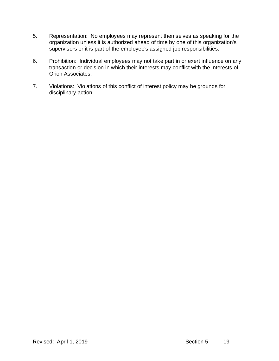- 5. Representation: No employees may represent themselves as speaking for the organization unless it is authorized ahead of time by one of this organization's supervisors or it is part of the employee's assigned job responsibilities.
- 6. Prohibition: Individual employees may not take part in or exert influence on any transaction or decision in which their interests may conflict with the interests of Orion Associates.
- 7. Violations: Violations of this conflict of interest policy may be grounds for disciplinary action.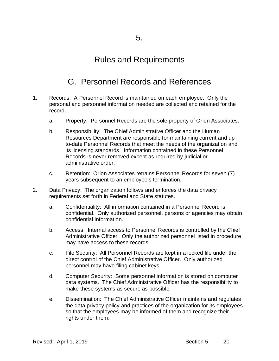## G. Personnel Records and References

- 1. Records: A Personnel Record is maintained on each employee. Only the personal and personnel information needed are collected and retained for the record.
	- a. Property: Personnel Records are the sole property of Orion Associates.
	- b. Responsibility: The Chief Administrative Officer and the Human Resources Department are responsible for maintaining current and upto-date Personnel Records that meet the needs of the organization and its licensing standards. Information contained in these Personnel Records is never removed except as required by judicial or administrative order.
	- c. Retention: Orion Associates retrains Personnel Records for seven (7) years subsequent to an employee's termination.
- 2. Data Privacy: The organization follows and enforces the data privacy requirements set forth in Federal and State statutes.
	- a. Confidentiality: All information contained in a Personnel Record is confidential. Only authorized personnel, persons or agencies may obtain confidential information.
	- b. Access: Internal access to Personnel Records is controlled by the Chief Administrative Officer. Only the authorized personnel listed in procedure may have access to these records.
	- c. File Security: All Personnel Records are kept in a locked file under the direct control of the Chief Administrative Officer. Only authorized personnel may have filing cabinet keys.
	- d. Computer Security: Some personnel information is stored on computer data systems. The Chief Administrative Officer has the responsibility to make these systems as secure as possible.
	- e. Dissemination: The Chief Administrative Officer maintains and regulates the data privacy policy and practices of the organization for its employees so that the employees may be informed of them and recognize their rights under them.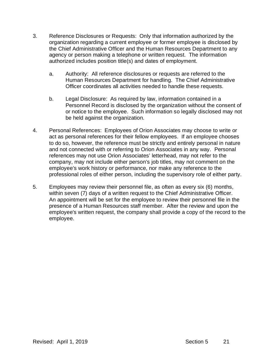- 3. Reference Disclosures or Requests: Only that information authorized by the organization regarding a current employee or former employee is disclosed by the Chief Administrative Officer and the Human Resources Department to any agency or person making a telephone or written request. The information authorized includes position title(s) and dates of employment.
	- a. Authority: All reference disclosures or requests are referred to the Human Resources Department for handling. The Chief Administrative Officer coordinates all activities needed to handle these requests.
	- b. Legal Disclosure: As required by law, information contained in a Personnel Record is disclosed by the organization without the consent of or notice to the employee. Such information so legally disclosed may not be held against the organization.
- 4. Personal References: Employees of Orion Associates may choose to write or act as personal references for their fellow employees. If an employee chooses to do so, however, the reference must be strictly and entirely personal in nature and not connected with or referring to Orion Associates in any way. Personal references may not use Orion Associates' letterhead, may not refer to the company, may not include either person's job titles, may not comment on the employee's work history or performance, nor make any reference to the professional roles of either person, including the supervisory role of either party.
- 5. Employees may review their personnel file, as often as every six (6) months, within seven (7) days of a written request to the Chief Administrative Officer. An appointment will be set for the employee to review their personnel file in the presence of a Human Resources staff member. After the review and upon the employee's written request, the company shall provide a copy of the record to the employee.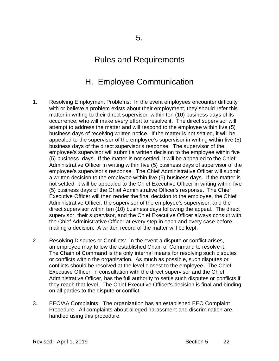## H. Employee Communication

- 1. Resolving Employment Problems: In the event employees encounter difficulty with or believe a problem exists about their employment, they should refer this matter in writing to their direct supervisor, within ten (10) business days of its occurrence, who will make every effort to resolve it. The direct supervisor will attempt to address the matter and will respond to the employee within five (5) business days of receiving written notice. If the matter is not settled, it will be appealed to the supervisor of the employee's supervisor in writing within five (5) business days of the direct supervisor's response. The supervisor of the employee's supervisor will submit a written decision to the employee within five (5) business days. If the matter is not settled, it will be appealed to the Chief Administrative Officer in writing within five (5) business days of supervisor of the employee's supervisor's response. The Chief Administrative Officer will submit a written decision to the employee within five (5) business days. If the matter is not settled, it will be appealed to the Chief Executive Officer in writing within five (5) business days of the Chief Administrative Officer's response. The Chief Executive Officer will then render the final decision to the employee, the Chief Administrative Officer, the supervisor of the employee's supervisor, and the direct supervisor within ten (10) business days following the appeal. The direct supervisor, their supervisor, and the Chief Executive Officer always consult with the Chief Administrative Officer at every step in each and every case before making a decision. A written record of the matter will be kept.
- 2. Resolving Disputes or Conflicts: In the event a dispute or conflict arises, an employee may follow the established Chain of Command to resolve it. The Chain of Command is the only internal means for resolving such disputes or conflicts within the organization. As much as possible, such disputes or conflicts should be resolved at the level closest to the employee. The Chief Executive Officer, in consultation with the direct supervisor and the Chief Administrative Officer, has the full authority to settle such disputes or conflicts if they reach that level. The Chief Executive Officer's decision is final and binding on all parties to the dispute or conflict.
- 3. EEO/AA Complaints: The organization has an established EEO Complaint Procedure. All complaints about alleged harassment and discrimination are handled using this procedure.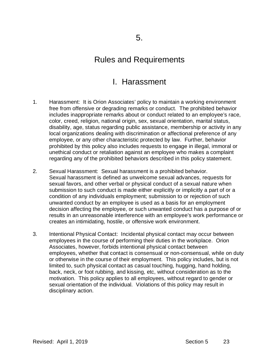#### I. Harassment

- 1. Harassment: It is Orion Associates' policy to maintain a working environment free from offensive or degrading remarks or conduct. The prohibited behavior includes inappropriate remarks about or conduct related to an employee's race, color, creed, religion, national origin, sex, sexual orientation, marital status, disability, age, status regarding public assistance, membership or activity in any local organizations dealing with discrimination or affectional preference of any employee, or any other characteristic protected by law. Further, behavior prohibited by this policy also includes requests to engage in illegal, immoral or unethical conduct or retaliation against an employee who makes a complaint regarding any of the prohibited behaviors described in this policy statement.
- 2. Sexual Harassment: Sexual harassment is a prohibited behavior. Sexual harassment is defined as unwelcome sexual advances, requests for sexual favors, and other verbal or physical conduct of a sexual nature when submission to such conduct is made either explicitly or implicitly a part of or a condition of any individuals employment; submission to or rejection of such unwanted conduct by an employee is used as a basis for an employment decision affecting the employee, or such unwanted conduct has a purpose of or results in an unreasonable interference with an employee's work performance or creates an intimidating, hostile, or offensive work environment.
- 3. Intentional Physical Contact: Incidental physical contact may occur between employees in the course of performing their duties in the workplace. Orion Associates, however, forbids intentional physical contact between employees, whether that contact is consensual or non-consensual, while on duty or otherwise in the course of their employment. This policy includes, but is not limited to, such physical contact as casual touching, hugging, hand holding, back, neck, or foot rubbing, and kissing, etc, without consideration as to the motivation. This policy applies to all employees, without regard to gender or sexual orientation of the individual. Violations of this policy may result in disciplinary action.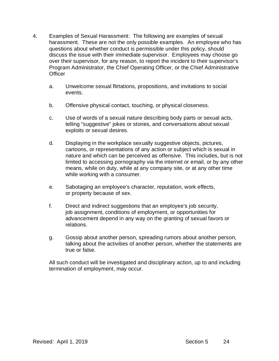- 4. Examples of Sexual Harassment: The following are examples of sexual harassment. These are not the only possible examples. An employee who has questions about whether conduct is permissible under this policy, should discuss the issue with their immediate supervisor. Employees may choose go over their supervisor, for any reason, to report the incident to their supervisor's Program Administrator, the Chief Operating Officer, or the Chief Administrative **Officer** 
	- a. Unwelcome sexual flirtations, propositions, and invitations to social events.
	- b. Offensive physical contact, touching, or physical closeness.
	- c. Use of words of a sexual nature describing body parts or sexual acts, telling "suggestive" jokes or stories, and conversations about sexual exploits or sexual desires.
	- d. Displaying in the workplace sexually suggestive objects, pictures, cartoons, or representations of any action or subject which is sexual in nature and which can be perceived as offensive. This includes, but is not limited to accessing pornography via the internet or email, or by any other means, while on duty, while at any company site, or at any other time while working with a consumer.
	- e. Sabotaging an employee's character, reputation, work effects, or property because of sex.
	- f. Direct and indirect suggestions that an employee's job security, job assignment, conditions of employment, or opportunities for advancement depend in any way on the granting of sexual favors or relations.
	- g. Gossip about another person, spreading rumors about another person, talking about the activities of another person, whether the statements are true or false.

All such conduct will be investigated and disciplinary action, up to and including termination of employment, may occur.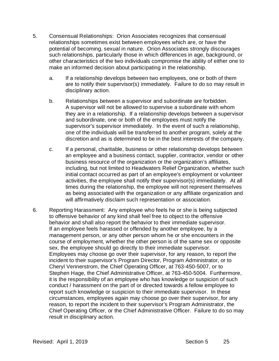- 5. Consensual Relationships: Orion Associates recognizes that consensual relationships sometimes exist between employees which are, or have the potential of becoming, sexual in nature. Orion Associates strongly discourages such relationships, particularly those in which differences in age, background, or other characteristics of the two individuals compromise the ability of either one to make an informed decision about participating in the relationship.
	- a. If a relationship develops between two employees, one or both of them are to notify their supervisor(s) immediately. Failure to do so may result in disciplinary action.
	- b. Relationships between a supervisor and subordinate are forbidden. A supervisor will not be allowed to supervise a subordinate with whom they are in a relationship. If a relationship develops between a supervisor and subordinate, one or both of the employees must notify the supervisor's supervisor immediately. In the event of such a relationship, one of the individuals will be transferred to another program, solely at the discretion and as is determined to be in the best interests of the company.
	- c. If a personal, charitable, business or other relationship develops between an employee and a business contact, supplier, contractor, vendor or other business resource of the organization or the organization's affiliates, including, but not limited to Headwaters Relief Organization, whether such initial contact occurred as part of an employee's employment or volunteer activities, the employee shall notify their supervisor(s) immediately. At all times during the relationship, the employee will not represent themselves as being associated with the organization or any affiliate organization and will affirmatively disclaim such representation or association.
- 6. Reporting Harassment: Any employee who feels he or she is being subjected to offensive behavior of any kind shall feel free to object to the offensive behavior and shall also report the behavior to their immediate supervisor. If an employee feels harassed or offended by another employee, by a management person, or any other person whom he or she encounters in the course of employment, whether the other person is of the same sex or opposite sex, the employee should go directly to their immediate supervisor. Employees may choose go over their supervisor, for any reason, to report the incident to their supervisor's Program Director, Program Administrator, or to Cheryl Vennerstrom, the Chief Operating Officer, at 763-450-5007, or to Stephen Hage, the Chief Administrative Officer, at 763-450-5004. Furthermore, it is the responsibility of an employee who has knowledge or suspicion of such conduct / harassment on the part of or directed towards a fellow employee to report such knowledge or suspicion to their immediate supervisor. In these circumstances, employees again may choose go over their supervisor, for any reason, to report the incident to their supervisor's Program Administrator, the Chief Operating Officer, or the Chief Administrative Officer. Failure to do so may result in disciplinary action.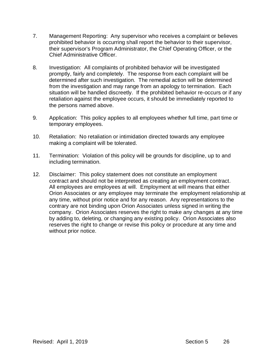- 7. Management Reporting: Any supervisor who receives a complaint or believes prohibited behavior is occurring shall report the behavior to their supervisor, their supervisor's Program Administrator, the Chief Operating Officer, or the Chief Administrative Officer.
- 8. Investigation: All complaints of prohibited behavior will be investigated promptly, fairly and completely. The response from each complaint will be determined after such investigation. The remedial action will be determined from the investigation and may range from an apology to termination. Each situation will be handled discreetly. If the prohibited behavior re-occurs or if any retaliation against the employee occurs, it should be immediately reported to the persons named above.
- 9. Application: This policy applies to all employees whether full time, part time or temporary employees.
- 10. Retaliation: No retaliation or intimidation directed towards any employee making a complaint will be tolerated.
- 11. Termination: Violation of this policy will be grounds for discipline, up to and including termination.
- 12. Disclaimer: This policy statement does not constitute an employment contract and should not be interpreted as creating an employment contract. All employees are employees at will. Employment at will means that either Orion Associates or any employee may terminate the employment relationship at any time, without prior notice and for any reason. Any representations to the contrary are not binding upon Orion Associates unless signed in writing the company. Orion Associates reserves the right to make any changes at any time by adding to, deleting, or changing any existing policy. Orion Associates also reserves the right to change or revise this policy or procedure at any time and without prior notice.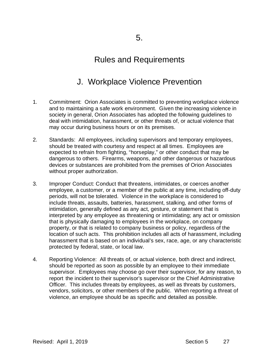# J. Workplace Violence Prevention

- 1. Commitment: Orion Associates is committed to preventing workplace violence and to maintaining a safe work environment. Given the increasing violence in society in general, Orion Associates has adopted the following guidelines to deal with intimidation, harassment, or other threats of, or actual violence that may occur during business hours or on its premises.
- 2. Standards: All employees, including supervisors and temporary employees, should be treated with courtesy and respect at all times. Employees are expected to refrain from fighting, "horseplay," or other conduct that may be dangerous to others. Firearms, weapons, and other dangerous or hazardous devices or substances are prohibited from the premises of Orion Associates without proper authorization.
- 3. Improper Conduct: Conduct that threatens, intimidates, or coerces another employee, a customer, or a member of the public at any time, including off-duty periods, will not be tolerated. Violence in the workplace is considered to include threats, assaults, batteries, harassment, stalking, and other forms of intimidation, generally defined as any act, gesture, or statement that is interpreted by any employee as threatening or intimidating; any act or omission that is physically damaging to employees in the workplace, on company property, or that is related to company business or policy, regardless of the location of such acts. This prohibition includes all acts of harassment, including harassment that is based on an individual's sex, race, age, or any characteristic protected by federal, state, or local law.
- 4. Reporting Violence: All threats of, or actual violence, both direct and indirect, should be reported as soon as possible by an employee to their immediate supervisor. Employees may choose go over their supervisor, for any reason, to report the incident to their supervisor's supervisor or the Chief Administrative Officer. This includes threats by employees, as well as threats by customers, vendors, solicitors, or other members of the public. When reporting a threat of violence, an employee should be as specific and detailed as possible.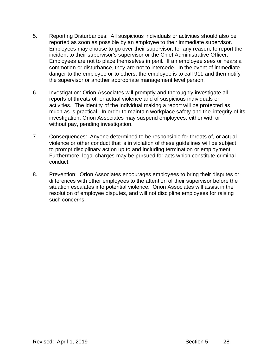- 5. Reporting Disturbances: All suspicious individuals or activities should also be reported as soon as possible by an employee to their immediate supervisor. Employees may choose to go over their supervisor, for any reason, to report the incident to their supervisor's supervisor or the Chief Administrative Officer. Employees are not to place themselves in peril. If an employee sees or hears a commotion or disturbance, they are not to intercede. In the event of immediate danger to the employee or to others, the employee is to call 911 and then notify the supervisor or another appropriate management level person.
- 6. Investigation: Orion Associates will promptly and thoroughly investigate all reports of threats of, or actual violence and of suspicious individuals or activities. The identity of the individual making a report will be protected as much as is practical. In order to maintain workplace safety and the integrity of its investigation, Orion Associates may suspend employees, either with or without pay, pending investigation.
- 7. Consequences: Anyone determined to be responsible for threats of, or actual violence or other conduct that is in violation of these guidelines will be subject to prompt disciplinary action up to and including termination or employment. Furthermore, legal charges may be pursued for acts which constitute criminal conduct.
- 8. Prevention: Orion Associates encourages employees to bring their disputes or differences with other employees to the attention of their supervisor before the situation escalates into potential violence. Orion Associates will assist in the resolution of employee disputes, and will not discipline employees for raising such concerns.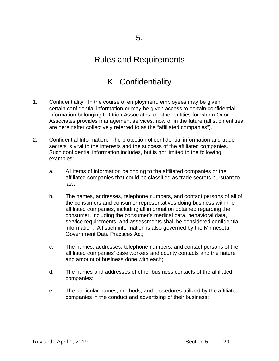# K. Confidentiality

- 1. Confidentiality: In the course of employment, employees may be given certain confidential information or may be given access to certain confidential information belonging to Orion Associates, or other entities for whom Orion Associates provides management services, now or in the future (all such entities are hereinafter collectively referred to as the "affiliated companies").
- 2. Confidential Information: The protection of confidential information and trade secrets is vital to the interests and the success of the affiliated companies. Such confidential information includes, but is not limited to the following examples:
	- a. All items of information belonging to the affiliated companies or the affiliated companies that could be classified as trade secrets pursuant to law;
	- b. The names, addresses, telephone numbers, and contact persons of all of the consumers and consumer representatives doing business with the affiliated companies, including all information obtained regarding the consumer, including the consumer's medical data, behavioral data, service requirements, and assessments shall be considered confidential information. All such information is also governed by the Minnesota Government Data Practices Act;
	- c. The names, addresses, telephone numbers, and contact persons of the affiliated companies' case workers and county contacts and the nature and amount of business done with each;
	- d. The names and addresses of other business contacts of the affiliated companies;
	- e. The particular names, methods, and procedures utilized by the affiliated companies in the conduct and advertising of their business;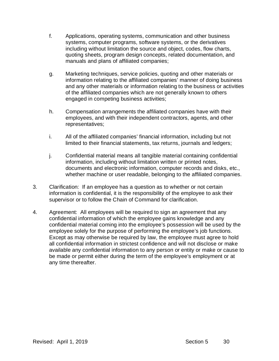- f. Applications, operating systems, communication and other business systems, computer programs, software systems, or the derivatives including without limitation the source and object, codes, flow charts, quoting sheets, program design concepts, related documentation, and manuals and plans of affiliated companies;
- g. Marketing techniques, service policies, quoting and other materials or information relating to the affiliated companies' manner of doing business and any other materials or information relating to the business or activities of the affiliated companies which are not generally known to others engaged in competing business activities;
- h. Compensation arrangements the affiliated companies have with their employees, and with their independent contractors, agents, and other representatives;
- i. All of the affiliated companies' financial information, including but not limited to their financial statements, tax returns, journals and ledgers;
- j. Confidential material means all tangible material containing confidential information, including without limitation written or printed notes, documents and electronic information, computer records and disks, etc., whether machine or user readable, belonging to the affiliated companies.
- 3. Clarification: If an employee has a question as to whether or not certain information is confidential, it is the responsibility of the employee to ask their supervisor or to follow the Chain of Command for clarification.
- 4. Agreement: All employees will be required to sign an agreement that any confidential information of which the employee gains knowledge and any confidential material coming into the employee's possession will be used by the employee solely for the purpose of performing the employee's job functions. Except as may otherwise be required by law, the employee must agree to hold all confidential information in strictest confidence and will not disclose or make available any confidential information to any person or entity or make or cause to be made or permit either during the term of the employee's employment or at any time thereafter.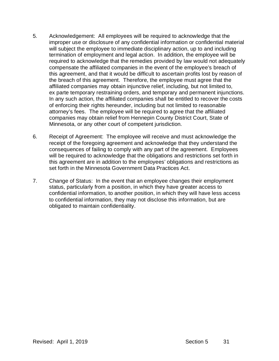- 5. Acknowledgement: All employees will be required to acknowledge that the improper use or disclosure of any confidential information or confidential material will subject the employee to immediate disciplinary action, up to and including termination of employment and legal action. In addition, the employee will be required to acknowledge that the remedies provided by law would not adequately compensate the affiliated companies in the event of the employee's breach of this agreement, and that it would be difficult to ascertain profits lost by reason of the breach of this agreement. Therefore, the employee must agree that the affiliated companies may obtain injunctive relief, including, but not limited to, ex parte temporary restraining orders, and temporary and permanent injunctions. In any such action, the affiliated companies shall be entitled to recover the costs of enforcing their rights hereunder, including but not limited to reasonable attorney's fees. The employee will be required to agree that the affiliated companies may obtain relief from Hennepin County District Court, State of Minnesota, or any other court of competent jurisdiction.
- 6. Receipt of Agreement: The employee will receive and must acknowledge the receipt of the foregoing agreement and acknowledge that they understand the consequences of failing to comply with any part of the agreement. Employees will be required to acknowledge that the obligations and restrictions set forth in this agreement are in addition to the employees' obligations and restrictions as set forth in the Minnesota Government Data Practices Act.
- 7. Change of Status: In the event that an employee changes their employment status, particularly from a position, in which they have greater access to confidential information, to another position, in which they will have less access to confidential information, they may not disclose this information, but are obligated to maintain confidentiality.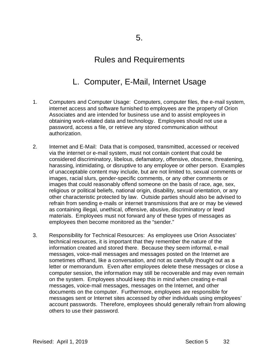# L. Computer, E-Mail, Internet Usage

- 1. Computers and Computer Usage: Computers, computer files, the e-mail system, internet access and software furnished to employees are the property of Orion Associates and are intended for business use and to assist employees in obtaining work-related data and technology. Employees should not use a password, access a file, or retrieve any stored communication without authorization.
- 2. Internet and E-Mail: Data that is composed, transmitted, accessed or received via the internet or e-mail system, must not contain content that could be considered discriminatory, libelous, defamatory, offensive, obscene, threatening, harassing, intimidating, or disruptive to any employee or other person. Examples of unacceptable content may include, but are not limited to, sexual comments or images, racial slurs, gender-specific comments, or any other comments or images that could reasonably offend someone on the basis of race, age, sex, religious or political beliefs, national origin, disability, sexual orientation, or any other characteristic protected by law. Outside parties should also be advised to refrain from sending e-mails or internet transmissions that are or may be viewed as containing illegal, unethical, offensive, abusive, discriminatory or lewd materials. Employees must not forward any of these types of messages as employees then become monitored as the "sender."
- 3. Responsibility for Technical Resources: As employees use Orion Associates' technical resources, it is important that they remember the nature of the information created and stored there. Because they seem informal, e-mail messages, voice-mail messages and messages posted on the Internet are sometimes offhand, like a conversation, and not as carefully thought out as a letter or memorandum. Even after employees delete these messages or close a computer session, the information may still be recoverable and may even remain on the system. Employees should keep this in mind when creating e-mail messages, voice-mail messages, messages on the Internet, and other documents on the computer. Furthermore, employees are responsible for messages sent or Internet sites accessed by other individuals using employees' account passwords. Therefore, employees should generally refrain from allowing others to use their password.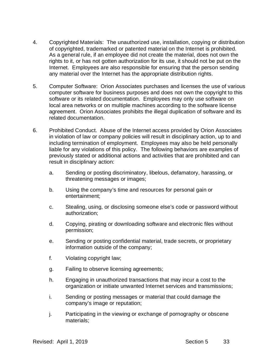- 4. Copyrighted Materials: The unauthorized use, installation, copying or distribution of copyrighted, trademarked or patented material on the Internet is prohibited. As a general rule, if an employee did not create the material, does not own the rights to it, or has not gotten authorization for its use, it should not be put on the Internet. Employees are also responsible for ensuring that the person sending any material over the Internet has the appropriate distribution rights.
- 5. Computer Software: Orion Associates purchases and licenses the use of various computer software for business purposes and does not own the copyright to this software or its related documentation. Employees may only use software on local area networks or on multiple machines according to the software license agreement. Orion Associates prohibits the illegal duplication of software and its related documentation.
- 6. Prohibited Conduct. Abuse of the Internet access provided by Orion Associates in violation of law or company policies will result in disciplinary action, up to and including termination of employment. Employees may also be held personally liable for any violations of this policy. The following behaviors are examples of previously stated or additional actions and activities that are prohibited and can result in disciplinary action:
	- a. Sending or posting discriminatory, libelous, defamatory, harassing, or threatening messages or images;
	- b. Using the company's time and resources for personal gain or entertainment;
	- c. Stealing, using, or disclosing someone else's code or password without authorization;
	- d. Copying, pirating or downloading software and electronic files without permission;
	- e. Sending or posting confidential material, trade secrets, or proprietary information outside of the company;
	- f. Violating copyright law;
	- g. Failing to observe licensing agreements;
	- h. Engaging in unauthorized transactions that may incur a cost to the organization or initiate unwanted Internet services and transmissions;
	- i. Sending or posting messages or material that could damage the company's image or reputation;
	- j. Participating in the viewing or exchange of pornography or obscene materials;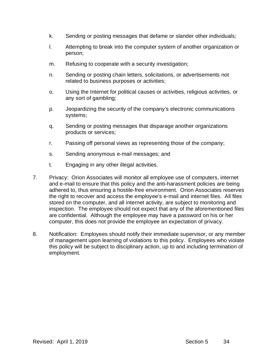- k. Sending or posting messages that defame or slander other individuals;
- l. Attempting to break into the computer system of another organization or person;
- m. Refusing to cooperate with a security investigation;
- n. Sending or posting chain letters, solicitations, or advertisements not related to business purposes or activities;
- o. Using the Internet for political causes or activities, religious activities, or any sort of gambling;
- p. Jeopardizing the security of the company's electronic communications systems;
- q. Sending or posting messages that disparage another organizations products or services;
- r. Passing off personal views as representing those of the company;
- s. Sending anonymous e-mail messages; and
- t. Engaging in any other illegal activities.
- 7. Privacy: Orion Associates will monitor all employee use of computers, internet and e-mail to ensure that this policy and the anti-harassment policies are being adhered to, thus ensuring a hostile-free environment. Orion Associates reserves the right to recover and access the employee's e-mail and internet files. All files stored on the computer, and all internet activity, are subject to monitoring and inspection. The employee should not expect that any of the aforementioned files are confidential. Although the employee may have a password on his or her computer, this does not provide the employee an expectation of privacy.
- 8. Notification: Employees should notify their immediate supervisor, or any member of management upon learning of violations to this policy. Employees who violate this policy will be subject to disciplinary action, up to and including termination of employment.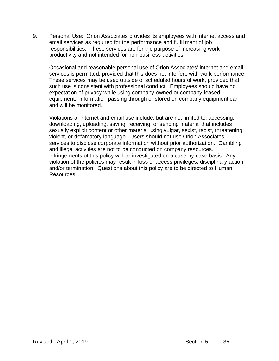9. Personal Use: Orion Associates provides its employees with internet access and email services as required for the performance and fulfillment of job responsibilities. These services are for the purpose of increasing work productivity and not intended for non-business activities.

Occasional and reasonable personal use of Orion Associates' internet and email services is permitted, provided that this does not interfere with work performance. These services may be used outside of scheduled hours of work, provided that such use is consistent with professional conduct. Employees should have no expectation of privacy while using company-owned or company-leased equipment. Information passing through or stored on company equipment can and will be monitored.

Violations of internet and email use include, but are not limited to, accessing, downloading, uploading, saving, receiving, or sending material that includes sexually explicit content or other material using vulgar, sexist, racist, threatening, violent, or defamatory language. Users should not use Orion Associates' services to disclose corporate information without prior authorization. Gambling and illegal activities are not to be conducted on company resources. Infringements of this policy will be investigated on a case-by-case basis. Any violation of the policies may result in loss of access privileges, disciplinary action and/or termination. Questions about this policy are to be directed to Human Resources.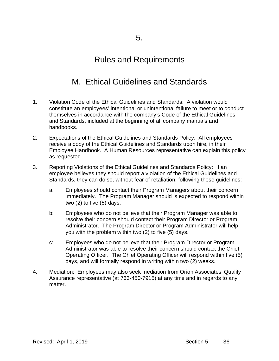# M. Ethical Guidelines and Standards

- 1. Violation Code of the Ethical Guidelines and Standards: A violation would constitute an employees' intentional or unintentional failure to meet or to conduct themselves in accordance with the company's Code of the Ethical Guidelines and Standards, included at the beginning of all company manuals and handbooks.
- 2. Expectations of the Ethical Guidelines and Standards Policy: All employees receive a copy of the Ethical Guidelines and Standards upon hire, in their Employee Handbook. A Human Resources representative can explain this policy as requested.
- 3. Reporting Violations of the Ethical Guidelines and Standards Policy: If an employee believes they should report a violation of the Ethical Guidelines and Standards, they can do so, without fear of retaliation, following these guidelines:
	- a. Employees should contact their Program Managers about their concern immediately. The Program Manager should is expected to respond within two (2) to five (5) days.
	- b: Employees who do not believe that their Program Manager was able to resolve their concern should contact their Program Director or Program Administrator. The Program Director or Program Administrator will help you with the problem within two (2) to five (5) days.
	- c: Employees who do not believe that their Program Director or Program Administrator was able to resolve their concern should contact the Chief Operating Officer. The Chief Operating Officer will respond within five (5) days, and will formally respond in writing within two (2) weeks.
- 4. Mediation: Employees may also seek mediation from Orion Associates' Quality Assurance representative (at 763-450-7915) at any time and in regards to any matter.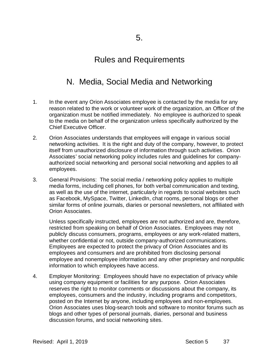## N. Media, Social Media and Networking

- 1. In the event any Orion Associates employee is contacted by the media for any reason related to the work or volunteer work of the organization, an Officer of the organization must be notified immediately. No employee is authorized to speak to the media on behalf of the organization unless specifically authorized by the Chief Executive Officer.
- 2. Orion Associates understands that employees will engage in various social networking activities. It is the right and duty of the company, however, to protect itself from unauthorized disclosure of information through such activities. Orion Associates' social networking policy includes rules and guidelines for companyauthorized social networking and personal social networking and applies to all employees.
- 3. General Provisions: The social media / networking policy applies to multiple media forms, including cell phones, for both verbal communication and texting, as well as the use of the internet, particularly in regards to social websites such as Facebook, MySpace, Twitter, LinkedIn, chat rooms, personal blogs or other similar forms of online journals, diaries or personal newsletters, not affiliated with Orion Associates.

Unless specifically instructed, employees are not authorized and are, therefore, restricted from speaking on behalf of Orion Associates. Employees may not publicly discuss consumers, programs, employees or any work-related matters, whether confidential or not, outside company-authorized communications. Employees are expected to protect the privacy of Orion Associates and its employees and consumers and are prohibited from disclosing personal employee and nonemployee information and any other proprietary and nonpublic information to which employees have access.

4. Employer Monitoring: Employees should have no expectation of privacy while using company equipment or facilities for any purpose. Orion Associates reserves the right to monitor comments or discussions about the company, its employees, consumers and the industry, including programs and competitors, posted on the Internet by anyone, including employees and non-employees. Orion Associates uses blog-search tools and software to monitor forums such as blogs and other types of personal journals, diaries, personal and business discussion forums, and social networking sites.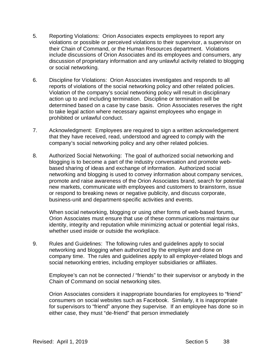- 5. Reporting Violations: Orion Associates expects employees to report any violations or possible or perceived violations to their supervisor, a supervisor on their Chain of Command, or the Human Resources department. Violations include discussions of Orion Associates and its employees and consumers, any discussion of proprietary information and any unlawful activity related to blogging or social networking.
- 6. Discipline for Violations: Orion Associates investigates and responds to all reports of violations of the social networking policy and other related policies. Violation of the company's social networking policy will result in disciplinary action up to and including termination. Discipline or termination will be determined based on a case by case basis. Orion Associates reserves the right to take legal action where necessary against employees who engage in prohibited or unlawful conduct.
- 7. Acknowledgment: Employees are required to sign a written acknowledgement that they have received, read, understood and agreed to comply with the company's social networking policy and any other related policies.
- 8. Authorized Social Networking: The goal of authorized social networking and blogging is to become a part of the industry conversation and promote webbased sharing of ideas and exchange of information. Authorized social networking and blogging is used to convey information about company services, promote and raise awareness of the Orion Associates brand, search for potential new markets, communicate with employees and customers to brainstorm, issue or respond to breaking news or negative publicity, and discuss corporate, business-unit and department-specific activities and events.

When social networking, blogging or using other forms of web-based forums, Orion Associates must ensure that use of these communications maintains our identity, integrity and reputation while minimizing actual or potential legal risks, whether used inside or outside the workplace.

9. Rules and Guidelines: The following rules and guidelines apply to social networking and blogging when authorized by the employer and done on company time. The rules and guidelines apply to all employer-related blogs and social networking entries, including employer subsidiaries or affiliates.

Employee's can not be connected / "friends" to their supervisor or anybody in the Chain of Command on social networking sites.

Orion Associates considers it inappropriate boundaries for employees to "friend" consumers on social websites such as Facebook. Similarly, it is inappropriate for supervisors to "friend" anyone they supervise. If an employee has done so in either case, they must "de-friend" that person immediately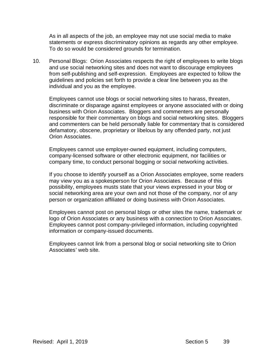As in all aspects of the job, an employee may not use social media to make statements or express discriminatory opinions as regards any other employee. To do so would be considered grounds for termination.

10. Personal Blogs: Orion Associates respects the right of employees to write blogs and use social networking sites and does not want to discourage employees from self-publishing and self-expression. Employees are expected to follow the guidelines and policies set forth to provide a clear line between you as the individual and you as the employee.

Employees cannot use blogs or social networking sites to harass, threaten, discriminate or disparage against employees or anyone associated with or doing business with Orion Associates. Bloggers and commenters are personally responsible for their commentary on blogs and social networking sites. Bloggers and commenters can be held personally liable for commentary that is considered defamatory, obscene, proprietary or libelous by any offended party, not just Orion Associates.

Employees cannot use employer-owned equipment, including computers, company-licensed software or other electronic equipment, nor facilities or company time, to conduct personal bogging or social networking activities.

If you choose to identify yourself as a Orion Associates employee, some readers may view you as a spokesperson for Orion Associates. Because of this possibility, employees musts state that your views expressed in your blog or social networking area are your own and not those of the company, nor of any person or organization affiliated or doing business with Orion Associates.

Employees cannot post on personal blogs or other sites the name, trademark or logo of Orion Associates or any business with a connection to Orion Associates. Employees cannot post company-privileged information, including copyrighted information or company-issued documents.

Employees cannot link from a personal blog or social networking site to Orion Associates' web site.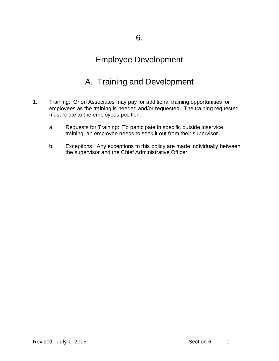## Employee Development

# A. Training and Development

- 1. Training: Orion Associates may pay for additional training opportunities for employees as the training is needed and/or requested. The training requested must relate to the employees position.
	- a. Requests for Training: To participate in specific outside inservice training, an employee needs to seek it out from their supervisor.
	- b. Exceptions: Any exceptions to this policy are made individually between the supervisor and the Chief Administrative Officer.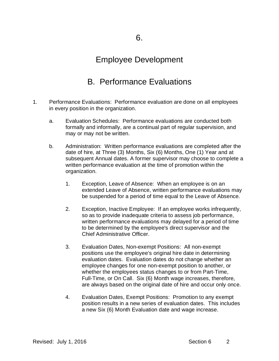### Employee Development

### B. Performance Evaluations

- 1. Performance Evaluations: Performance evaluation are done on all employees in every position in the organization.
	- a. Evaluation Schedules: Performance evaluations are conducted both formally and informally, are a continual part of regular supervision, and may or may not be written.
	- b. Administration: Written performance evaluations are completed after the date of hire, at Three (3) Months, Six (6) Months, One (1) Year and at subsequent Annual dates. A former supervisor may choose to complete a written performance evaluation at the time of promotion within the organization.
		- 1. Exception, Leave of Absence: When an employee is on an extended Leave of Absence, written performance evaluations may be suspended for a period of time equal to the Leave of Absence.
		- 2. Exception, Inactive Employee: If an employee works infrequently, so as to provide inadequate criteria to assess job performance, written performance evaluations may delayed for a period of time to be determined by the employee's direct supervisor and the Chief Administrative Officer.
		- 3. Evaluation Dates, Non-exempt Positions: All non-exempt positions use the employee's original hire date in determining evaluation dates. Evaluation dates do not change whether an employee changes for one non-exempt position to another, or whether the employees status changes to or from Part-Time, Full-Time, or On Call. Six (6) Month wage increases, therefore, are always based on the original date of hire and occur only once.
		- 4. Evaluation Dates, Exempt Positions: Promotion to any exempt position results in a new series of evaluation dates. This includes a new Six (6) Month Evaluation date and wage increase.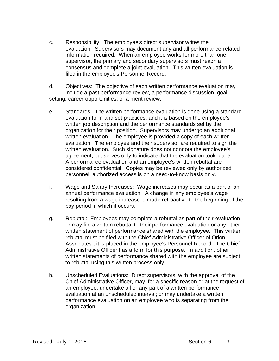- c. Responsibility: The employee's direct supervisor writes the evaluation. Supervisors may document any and all performance-related information required. When an employee works for more than one supervisor, the primary and secondary supervisors must reach a consensus and complete a joint evaluation. This written evaluation is filed in the employee's Personnel Record.
- d. Objectives: The objective of each written performance evaluation may include a past performance review, a performance discussion, goal setting, career opportunities, or a merit review.
- e. Standards: The written performance evaluation is done using a standard evaluation form and set practices, and it is based on the employee's written job description and the performance standards set by the organization for their position. Supervisors may undergo an additional written evaluation. The employee is provided a copy of each written evaluation. The employee and their supervisor are required to sign the written evaluation. Such signature does not connote the employee's agreement, but serves only to indicate that the evaluation took place. A performance evaluation and an employee's written rebuttal are considered confidential. Copies may be reviewed only by authorized personnel; authorized access is on a need-to-know basis only.
- f. Wage and Salary Increases: Wage increases may occur as a part of an annual performance evaluation. A change in any employee's wage resulting from a wage increase is made retroactive to the beginning of the pay period in which it occurs.
- g. Rebuttal: Employees may complete a rebuttal as part of their evaluation or may file a written rebuttal to their performance evaluation or any other written statement of performance shared with the employee. This written rebuttal must be filed with the Chief Administrative Officer of Orion Associates ; it is placed in the employee's Personnel Record. The Chief Administrative Officer has a form for this purpose. In addition, other written statements of performance shared with the employee are subject to rebuttal using this written process only.
- h. Unscheduled Evaluations: Direct supervisors, with the approval of the Chief Administrative Officer, may, for a specific reason or at the request of an employee, undertake all or any part of a written performance evaluation at an unscheduled interval; or may undertake a written performance evaluation on an employee who is separating from the organization.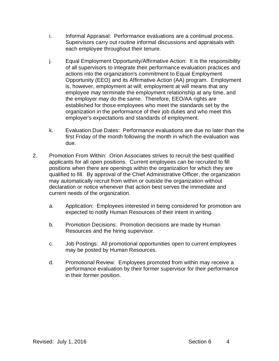- i. Informal Appraisal: Performance evaluations are a continual process. Supervisors carry out routine informal discussions and appraisals with each employee throughout their tenure.
- j. Equal Employment Opportunity/Affirmative Action: It is the responsibility of all supervisors to integrate their performance evaluation practices and actions into the organization's commitment to Equal Employment Opportunity (EEO) and its Affirmative Action (AA) program. Employment is, however, employment at will; employment at will means that any employee may terminate the employment relationship at any time, and the employer may do the same. Therefore, EEO/AA rights are established for those employees who meet the standards set by the organization in the performance of their job duties and who meet this employer's expectations and standards of employment.
- k. Evaluation Due Dates: Performance evaluations are due no later than the first Friday of the month following the month in which the evaluation was due.
- 2. Promotion From Within: Orion Associates strives to recruit the best qualified applicants for all open positions. Current employees can be recruited to fill positions when there are openings within the organization for which they are qualified to fill. By approval of the Chief Administrative Officer, the organization may automatically recruit from within or outside the organization without declaration or notice whenever that action best serves the immediate and current needs of the organization.
	- a. Application: Employees interested in being considered for promotion are expected to notify Human Resources of their intent in writing.
	- b. Promotion Decisions: Promotion decisions are made by Human Resources and the hiring supervisor.
	- c. Job Postings: All promotional opportunities open to current employees may be posted by Human Resources.
	- d. Promotional Review: Employees promoted from within may receive a performance evaluation by their former supervisor for their performance in their former position.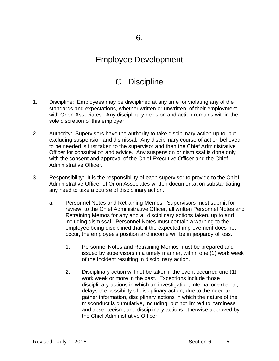### Employee Development

# C. Discipline

- 1. Discipline: Employees may be disciplined at any time for violating any of the standards and expectations, whether written or unwritten, of their employment with Orion Associates. Any disciplinary decision and action remains within the sole discretion of this employer.
- 2. Authority: Supervisors have the authority to take disciplinary action up to, but excluding suspension and dismissal. Any disciplinary course of action believed to be needed is first taken to the supervisor and then the Chief Administrative Officer for consultation and advice. Any suspension or dismissal is done only with the consent and approval of the Chief Executive Officer and the Chief Administrative Officer.
- 3. Responsibility: It is the responsibility of each supervisor to provide to the Chief Administrative Officer of Orion Associates written documentation substantiating any need to take a course of disciplinary action.
	- a. Personnel Notes and Retraining Memos: Supervisors must submit for review, to the Chief Administrative Officer, all written Personnel Notes and Retraining Memos for any and all disciplinary actions taken, up to and including dismissal. Personnel Notes must contain a warning to the employee being disciplined that, if the expected improvement does not occur, the employee's position and income will be in jeopardy of loss.
		- 1. Personnel Notes and Retraining Memos must be prepared and issued by supervisors in a timely manner, within one (1) work week of the incident resulting in disciplinary action.
		- 2. Disciplinary action will not be taken if the event occurred one (1) work week or more in the past. Exceptions include those disciplinary actions in which an investigation, internal or external, delays the possibility of disciplinary action, due to the need to gather information, disciplinary actions in which the nature of the misconduct is cumulative, including, but not limited to, tardiness and absenteeism, and disciplinary actions otherwise approved by the Chief Administrative Officer.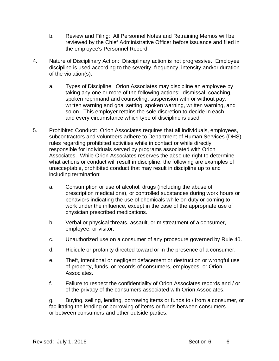- b. Review and Filing: All Personnel Notes and Retraining Memos will be reviewed by the Chief Administrative Officer before issuance and filed in the employee's Personnel Record.
- 4. Nature of Disciplinary Action: Disciplinary action is not progressive. Employee discipline is used according to the severity, frequency, intensity and/or duration of the violation(s).
	- a. Types of Discipline: Orion Associates may discipline an employee by taking any one or more of the following actions: dismissal, coaching, spoken reprimand and counseling, suspension with or without pay, written warning and goal setting, spoken warning, written warning, and so on. This employer retains the sole discretion to decide in each and every circumstance which type of discipline is used.
- 5. Prohibited Conduct: Orion Associates requires that all individuals, employees, subcontractors and volunteers adhere to Department of Human Services (DHS) rules regarding prohibited activities while in contact or while directly responsible for individuals served by programs associated with Orion Associates. While Orion Associates reserves the absolute right to determine what actions or conduct will result in discipline, the following are examples of unacceptable, prohibited conduct that may result in discipline up to and including termination:
	- a. Consumption or use of alcohol, drugs (including the abuse of prescription medications), or controlled substances during work hours or behaviors indicating the use of chemicals while on duty or coming to work under the influence, except in the case of the appropriate use of physician prescribed medications.
	- b. Verbal or physical threats, assault, or mistreatment of a consumer, employee, or visitor.
	- c. Unauthorized use on a consumer of any procedure governed by Rule 40.
	- d. Ridicule or profanity directed toward or in the presence of a consumer.
	- e. Theft, intentional or negligent defacement or destruction or wrongful use of property, funds, or records of consumers, employees, or Orion Associates.
	- f. Failure to respect the confidentiality of Orion Associates records and / or of the privacy of the consumers associated with Orion Associates.

g. Buying, selling, lending, borrowing items or funds to / from a consumer, or facilitating the lending or borrowing of items or funds between consumers or between consumers and other outside parties.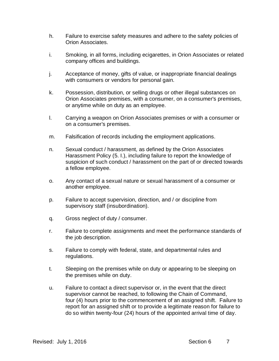- h. Failure to exercise safety measures and adhere to the safety policies of Orion Associates.
- i. Smoking, in all forms, including ecigarettes, in Orion Associates or related company offices and buildings.
- j. Acceptance of money, gifts of value, or inappropriate financial dealings with consumers or vendors for personal gain.
- k. Possession, distribution, or selling drugs or other illegal substances on Orion Associates premises, with a consumer, on a consumer's premises, or anytime while on duty as an employee.
- l. Carrying a weapon on Orion Associates premises or with a consumer or on a consumer's premises.
- m. Falsification of records including the employment applications.
- n. Sexual conduct / harassment, as defined by the Orion Associates Harassment Policy (5. I.), including failure to report the knowledge of suspicion of such conduct / harassment on the part of or directed towards a fellow employee.
- o. Any contact of a sexual nature or sexual harassment of a consumer or another employee.
- p. Failure to accept supervision, direction, and / or discipline from supervisory staff (insubordination).
- q. Gross neglect of duty / consumer.
- r. Failure to complete assignments and meet the performance standards of the job description.
- s. Failure to comply with federal, state, and departmental rules and regulations.
- t. Sleeping on the premises while on duty or appearing to be sleeping on the premises while on duty.
- u. Failure to contact a direct supervisor or, in the event that the direct supervisor cannot be reached, to following the Chain of Command, four (4) hours prior to the commencement of an assigned shift. Failure to report for an assigned shift or to provide a legitimate reason for failure to do so within twenty-four (24) hours of the appointed arrival time of day.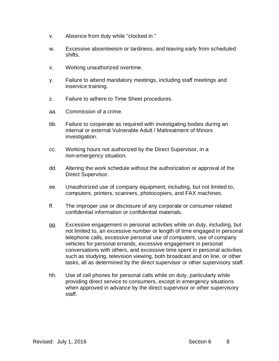- v. Absence from duty while "clocked in."
- w. Excessive absenteeism or tardiness, and leaving early from scheduled shifts.
- x. Working unauthorized overtime.
- y. Failure to attend mandatory meetings, including staff meetings and inservice training.
- z. Failure to adhere to Time Sheet procedures.
- aa. Commission of a crime.
- bb. Failure to cooperate as required with investigating bodies during an internal or external Vulnerable Adult / Maltreatment of Minors investigation.
- cc. Working hours not authorized by the Direct Supervisor, in a non-emergency situation.
- dd. Altering the work schedule without the authorization or approval of the Direct Supervisor.
- ee. Unauthorized use of company equipment, including, but not limited to, computers, printers, scanners, photocopiers, and FAX machines.
- ff. The improper use or disclosure of any corporate or consumer related confidential information or confidential materials.
- gg. Excessive engagement in personal activities while on duty, including, but not limited to, an excessive number or length of time engaged in personal telephone calls, excessive personal use of computers, use of company vehicles for personal errands, excessive engagement in personal conversations with others, and excessive time spent in personal activities such as studying, television viewing, both broadcast and on line, or other tasks, all as determined by the direct supervisor or other supervisory staff.
- hh. Use of cell phones for personal calls while on duty, particularly while providing direct service to consumers, except in emergency situations when approved in advance by the direct supervisor or other supervisory staff.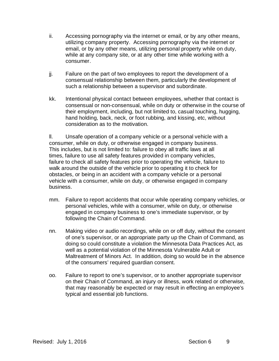- ii. Accessing pornography via the internet or email, or by any other means, utilizing company property. Accessing pornography via the internet or email, or by any other means, utilizing personal property while on duty, while at any company site, or at any other time while working with a consumer.
- jj. Failure on the part of two employees to report the development of a consensual relationship between them, particularly the development of such a relationship between a supervisor and subordinate.
- kk. Intentional physical contact between employees, whether that contact is consensual or non-consensual, while on duty or otherwise in the course of their employment, including, but not limited to, casual touching, hugging, hand holding, back, neck, or foot rubbing, and kissing, etc, without consideration as to the motivation.

ll. Unsafe operation of a company vehicle or a personal vehicle with a consumer, while on duty, or otherwise engaged in company business. This includes, but is not limited to: failure to obey all traffic laws at all times, failure to use all safety features provided in company vehicles, failure to check all safety features prior to operating the vehicle, failure to walk around the outside of the vehicle prior to operating it to check for obstacles, or being in an accident with a company vehicle or a personal vehicle with a consumer, while on duty, or otherwise engaged in company business.

- mm. Failure to report accidents that occur while operating company vehicles, or personal vehicles, while with a consumer, while on duty, or otherwise engaged in company business to one's immediate supervisor, or by following the Chain of Command.
- nn. Making video or audio recordings, while on or off duty, without the consent of one's supervisor, or an appropriate party up the Chain of Command, as doing so could constitute a violation the Minnesota Data Practices Act, as well as a potential violation of the Minnesota Vulnerable Adult or Maltreatment of Minors Act. In addition, doing so would be in the absence of the consumers' required guardian consent.
- oo. Failure to report to one's supervisor, or to another appropriate supervisor on their Chain of Command, an injury or illness, work related or otherwise, that may reasonably be expected or may result in effecting an employee's typical and essential job functions.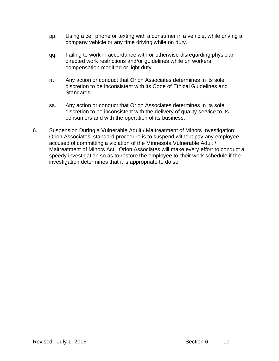- pp. Using a cell phone or texting with a consumer in a vehicle, while driving a company vehicle or any time driving while on duty.
- qq. Failing to work in accordance with or otherwise disregarding physician directed work restrictions and/or guidelines while on workers' compensation modified or light duty.
- rr. Any action or conduct that Orion Associates determines in its sole discretion to be inconsistent with its Code of Ethical Guidelines and Standards.
- ss. Any action or conduct that Orion Associates determines in its sole discretion to be inconsistent with the delivery of quality service to its consumers and with the operation of its business.
- 6. Suspension During a Vulnerable Adult / Maltreatment of Minors Investigation: Orion Associates' standard procedure is to suspend without pay any employee accused of committing a violation of the Minnesota Vulnerable Adult / Maltreatment of Minors Act. Orion Associates will make every effort to conduct a speedy investigation so as to restore the employee to their work schedule if the investigation determines that it is appropriate to do so.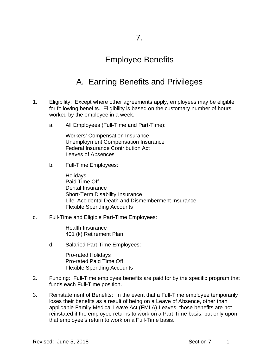### Employee Benefits

# A. Earning Benefits and Privileges

- 1. Eligibility: Except where other agreements apply, employees may be eligible for following benefits. Eligibility is based on the customary number of hours worked by the employee in a week.
	- a. All Employees (Full-Time and Part-Time):

Workers' Compensation Insurance Unemployment Compensation Insurance Federal Insurance Contribution Act Leaves of Absences

b. Full-Time Employees:

**Holidays** Paid Time Off Dental Insurance Short-Term Disability Insurance Life, Accidental Death and Dismemberment Insurance Flexible Spending Accounts

c. Full-Time and Eligible Part-Time Employees:

Health Insurance 401 (k) Retirement Plan

d. Salaried Part-Time Employees:

Pro-rated Holidays Pro-rated Paid Time Off Flexible Spending Accounts

- 2. Funding: Full-Time employee benefits are paid for by the specific program that funds each Full-Time position.
- 3. Reinstatement of Benefits: In the event that a Full-Time employee temporarily loses their benefits as a result of being on a Leave of Absence, other than applicable Family Medical Leave Act (FMLA) Leaves, those benefits are not reinstated if the employee returns to work on a Part-Time basis, but only upon that employee's return to work on a Full-Time basis.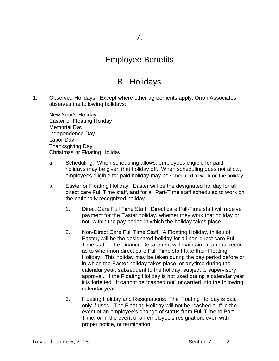### Employee Benefits

### B. Holidays

1. Observed Holidays: Except where other agreements apply, Orion Associates observes the following holidays:

New Year's Holiday Easter or Floating Holiday Memorial Day Independence Day Labor Day Thanksgiving Day Christmas or Floating Holiday

- a. Scheduling: When scheduling allows, employees eligible for paid holidays may be given that holiday off. When scheduling does not allow, employees eligible for paid holiday may be scheduled to work on the holiday.
- b. Easter or Floating Holiday: Easter will be the designated holiday for all direct care Full Time staff, and for all Part-Time staff scheduled to work on the nationally recognized holiday.
	- 1. Direct Care Full Time Staff: Direct care Full-Time staff will receive payment for the Easter holiday, whether they work that holiday or not, within the pay period in which the holiday takes place.
	- 2. Non-Direct Care Full Time Staff: A Floating Holiday, in lieu of Easter, will be the designated holiday for all non-direct care Full-Time staff. The Finance Department will maintain an annual record as to when non-direct care Full-Time staff take their Floating Holiday. This holiday may be taken during the pay period before or in which the Easter holiday takes place, or anytime during the calendar year, subsequent to the holiday, subject to supervisory approval. If the Floating Holiday is not used during a calendar year, it is forfeited. It cannot be "cashed out" or carried into the following calendar year.
	- 3. Floating Holiday and Resignations: The Floating Holiday is paid only if used. The Floating Holiday will not be "cashed out" in the event of an employee's change of status from Full Time to Part Time, or in the event of an employee's resignation, even with proper notice, or termination.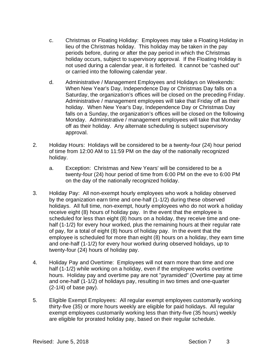- c. Christmas or Floating Holiday: Employees may take a Floating Holiday in lieu of the Christmas holiday. This holiday may be taken in the pay periods before, during or after the pay period in which the Christmas holiday occurs, subject to supervisory approval. If the Floating Holiday is not used during a calendar year, it is forfeited. It cannot be "cashed out" or carried into the following calendar year.
- d. Administrative / Management Employees and Holidays on Weekends: When New Year's Day, Independence Day or Christmas Day falls on a Saturday, the organization's offices will be closed on the preceding Friday. Administrative / management employees will take that Friday off as their holiday. When New Year's Day, Independence Day or Christmas Day falls on a Sunday, the organization's offices will be closed on the following Monday. Administrative / management employees will take that Monday off as their holiday. Any alternate scheduling is subject supervisory approval.
- 2. Holiday Hours: Holidays will be considered to be a twenty-four (24) hour period of time from 12:00 AM to 11:59 PM on the day of the nationally recognized holiday.
	- a. Exception: Christmas and New Years' will be considered to be a twenty-four (24) hour period of time from 6:00 PM on the eve to 6:00 PM on the day of the nationally recognized holiday.
- 3. Holiday Pay: All non-exempt hourly employees who work a holiday observed by the organization earn time and one-half (1-1/2) during these observed holidays. All full time, non-exempt, hourly employees who do not work a holiday receive eight (8) hours of holiday pay. In the event that the employee is scheduled for less than eight (8) hours on a holiday, they receive time and onehalf (1-1/2) for every hour worked, plus the remaining hours at their regular rate of pay, for a total of eight (8) hours of holiday pay. In the event that the employee is scheduled for more than eight (8) hours on a holiday, they earn time and one-half (1-1/2) for every hour worked during observed holidays, up to twenty-four (24) hours of holiday pay.
- 4. Holiday Pay and Overtime: Employees will not earn more than time and one half (1-1/2) while working on a holiday, even if the employee works overtime hours. Holiday pay and overtime pay are not "pyramided" (Overtime pay at time and one-half (1-1/2) of holidays pay, resulting in two times and one-quarter (2-1/4) of base pay).
- 5. Eligible Exempt Employees: All regular exempt employees customarily working thirty-five (35) or more hours weekly are eligible for paid holidays. All regular exempt employees customarily working less than thirty-five (35 hours) weekly are eligible for prorated holiday pay, based on their regular schedule.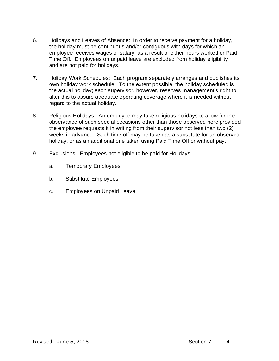- 6. Holidays and Leaves of Absence: In order to receive payment for a holiday, the holiday must be continuous and/or contiguous with days for which an employee receives wages or salary, as a result of either hours worked or Paid Time Off. Employees on unpaid leave are excluded from holiday eligibility and are not paid for holidays.
- 7. Holiday Work Schedules: Each program separately arranges and publishes its own holiday work schedule. To the extent possible, the holiday scheduled is the actual holiday; each supervisor, however, reserves management's right to alter this to assure adequate operating coverage where it is needed without regard to the actual holiday.
- 8. Religious Holidays: An employee may take religious holidays to allow for the observance of such special occasions other than those observed here provided the employee requests it in writing from their supervisor not less than two (2) weeks in advance. Such time off may be taken as a substitute for an observed holiday, or as an additional one taken using Paid Time Off or without pay.
- 9. Exclusions: Employees not eligible to be paid for Holidays:
	- a. Temporary Employees
	- b. Substitute Employees
	- c. Employees on Unpaid Leave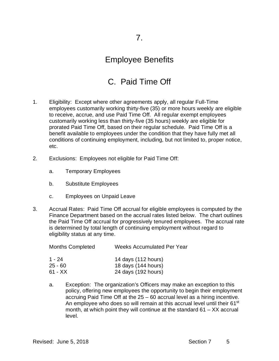## Employee Benefits

# C. Paid Time Off

- 1. Eligibility: Except where other agreements apply, all regular Full-Time employees customarily working thirty-five (35) or more hours weekly are eligible to receive, accrue, and use Paid Time Off. All regular exempt employees customarily working less than thirty-five (35 hours) weekly are eligible for prorated Paid Time Off, based on their regular schedule. Paid Time Off is a benefit available to employees under the condition that they have fully met all conditions of continuing employment, including, but not limited to, proper notice, etc.
- 2. Exclusions: Employees not eligible for Paid Time Off:
	- a. Temporary Employees
	- b. Substitute Employees
	- c. Employees on Unpaid Leave
- 3. Accrual Rates: Paid Time Off accrual for eligible employees is computed by the Finance Department based on the accrual rates listed below. The chart outlines the Paid Time Off accrual for progressively tenured employees. The accrual rate is determined by total length of continuing employment without regard to eligibility status at any time.

| <b>Months Completed</b> | <b>Weeks Accumulated Per Year</b> |
|-------------------------|-----------------------------------|
| 1 - 24                  | 14 days (112 hours)               |
| $25 - 60$               | 18 days (144 hours)               |
| $61 - XX$               | 24 days (192 hours)               |

a. Exception: The organization's Officers may make an exception to this policy, offering new employees the opportunity to begin their employment accruing Paid Time Off at the 25 – 60 accrual level as a hiring incentive. An employee who does so will remain at this accrual level until their 61<sup>st</sup> month, at which point they will continue at the standard  $61 - XX$  accrual level.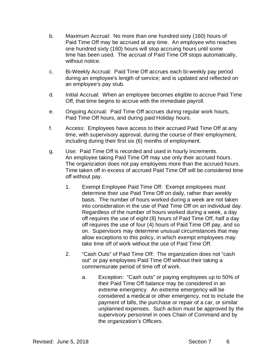- b. Maximum Accrual: No more than one hundred sixty (160) hours of Paid Time Off may be accrued at any time. An employee who reaches one hundred sixty (160) hours will stop accruing hours until some time has been used. The accrual of Paid Time Off stops automatically, without notice.
- c. Bi-Weekly Accrual: Paid Time Off accrues each bi-weekly pay period during an employee's length of service; and is updated and reflected on an employee's pay stub.
- d. Initial Accrual: When an employee becomes eligible to accrue Paid Time Off, that time begins to accrue with the immediate payroll.
- e. Ongoing Accrual: Paid Time Off accrues during regular work hours, Paid Time Off hours, and during paid Holiday hours.
- f. Access: Employees have access to their accrued Paid Time Off at any time, with supervisory approval, during the course of their employment, including during their first six (6) months of employment.
- g. Use: Paid Time Off is recorded and used in hourly increments. An employee taking Paid Time Off may use only their accrued hours. The organization does not pay employees more than the accrued hours. Time taken off in excess of accrued Paid Time Off will be considered time off without pay.
	- 1. Exempt Employee Paid Time Off: Exempt employees must determine their use Paid Time Off on daily, rather than weekly basis. The number of hours worked during a week are not taken into consideration in the use of Paid Time Off on an individual day. Regardless of the number of hours worked during a week, a day off requires the use of eight (8) hours of Paid Time Off, half a day off requires the use of four (4) hours of Paid Time Off pay, and so on. Supervisors may determine unusual circumstances that may allow exceptions to this policy, in which exempt employees may take time off of work without the use of Paid Time Off.
	- 2. "Cash Outs" of Paid Time Off: The organization does not "cash out" or pay employees Paid Time Off without their taking a commensurate period of time off of work.
		- a. Exception: "Cash outs" or paying employees up to 50% of their Paid Time Off balance may be considered in an extreme emergency. An extreme emergency will be considered a medical or other emergency, not to include the payment of bills, the purchase or repair of a car, or similar unplanned expenses. Such action must be approved by the supervisory personnel in ones Chain of Command and by the organization's Officers.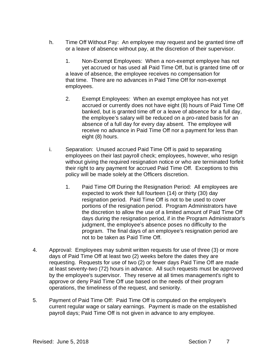- h. Time Off Without Pay: An employee may request and be granted time off or a leave of absence without pay, at the discretion of their supervisor.
	- 1. Non-Exempt Employees: When a non-exempt employee has not yet accrued or has used all Paid Time Off, but is granted time off or a leave of absence, the employee receives no compensation for that time. There are no advances in Paid Time Off for non-exempt employees.
	- 2. Exempt Employees: When an exempt employee has not yet accrued or currently does not have eight (8) hours of Paid Time Off banked, but is granted time off or a leave of absence for a full day, the employee's salary will be reduced on a pro-rated basis for an absence of a full day for every day absent. The employee will receive no advance in Paid Time Off nor a payment for less than eight (8) hours.
- i. Separation: Unused accrued Paid Time Off is paid to separating employees on their last payroll check; employees, however, who resign without giving the required resignation notice or who are terminated forfeit their right to any payment for accrued Paid Time Off. Exceptions to this policy will be made solely at the Officers discretion.
	- 1. Paid Time Off During the Resignation Period: All employees are expected to work their full fourteen (14) or thirty (30) day resignation period. Paid Time Off is not to be used to cover portions of the resignation period. Program Administrators have the discretion to allow the use of a limited amount of Paid Time Off days during the resignation period, if in the Program Administrator's judgment, the employee's absence poses no difficulty to the program. The final days of an employee's resignation period are not to be taken as Paid Time Off.
- 4. Approval: Employees may submit written requests for use of three (3) or more days of Paid Time Off at least two (2) weeks before the dates they are requesting. Requests for use of two (2) or fewer days Paid Time Off are made at least seventy-two (72) hours in advance. All such requests must be approved by the employee's supervisor. They reserve at all times management's right to approve or deny Paid Time Off use based on the needs of their program operations, the timeliness of the request, and seniority.
- 5. Payment of Paid Time Off: Paid Time Off is computed on the employee's current regular wage or salary earnings. Payment is made on the established payroll days; Paid Time Off is not given in advance to any employee.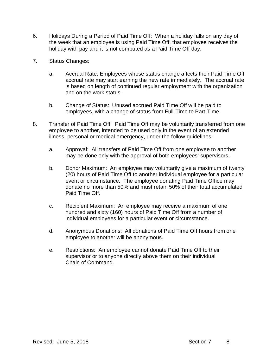- 6. Holidays During a Period of Paid Time Off: When a holiday falls on any day of the week that an employee is using Paid Time Off, that employee receives the holiday with pay and it is not computed as a Paid Time Off day.
- 7. Status Changes:
	- a. Accrual Rate: Employees whose status change affects their Paid Time Off accrual rate may start earning the new rate immediately. The accrual rate is based on length of continued regular employment with the organization and on the work status.
	- b. Change of Status: Unused accrued Paid Time Off will be paid to employees, with a change of status from Full-Time to Part-Time.
- 8. Transfer of Paid Time Off: Paid Time Off may be voluntarily transferred from one employee to another, intended to be used only in the event of an extended illness, personal or medical emergency, under the follow guidelines:
	- a. Approval: All transfers of Paid Time Off from one employee to another may be done only with the approval of both employees' supervisors.
	- b. Donor Maximum: An employee may voluntarily give a maximum of twenty (20) hours of Paid Time Off to another individual employee for a particular event or circumstance. The employee donating Paid Time Office may donate no more than 50% and must retain 50% of their total accumulated Paid Time Off.
	- c. Recipient Maximum: An employee may receive a maximum of one hundred and sixty (160) hours of Paid Time Off from a number of individual employees for a particular event or circumstance.
	- d. Anonymous Donations: All donations of Paid Time Off hours from one employee to another will be anonymous.
	- e. Restrictions: An employee cannot donate Paid Time Off to their supervisor or to anyone directly above them on their individual Chain of Command.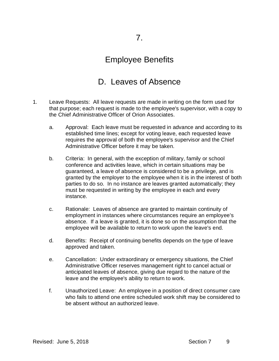#### Employee Benefits

## D. Leaves of Absence

- 1. Leave Requests: All leave requests are made in writing on the form used for that purpose; each request is made to the employee's supervisor, with a copy to the Chief Administrative Officer of Orion Associates.
	- a. Approval: Each leave must be requested in advance and according to its established time lines; except for voting leave, each requested leave requires the approval of both the employee's supervisor and the Chief Administrative Officer before it may be taken.
	- b. Criteria: In general, with the exception of military, family or school conference and activities leave, which in certain situations may be guaranteed, a leave of absence is considered to be a privilege, and is granted by the employer to the employee when it is in the interest of both parties to do so. In no instance are leaves granted automatically; they must be requested in writing by the employee in each and every instance.
	- c. Rationale: Leaves of absence are granted to maintain continuity of employment in instances where circumstances require an employee's absence. If a leave is granted, it is done so on the assumption that the employee will be available to return to work upon the leave's end.
	- d. Benefits: Receipt of continuing benefits depends on the type of leave approved and taken.
	- e. Cancellation: Under extraordinary or emergency situations, the Chief Administrative Officer reserves management right to cancel actual or anticipated leaves of absence, giving due regard to the nature of the leave and the employee's ability to return to work.
	- f. Unauthorized Leave: An employee in a position of direct consumer care who fails to attend one entire scheduled work shift may be considered to be absent without an authorized leave.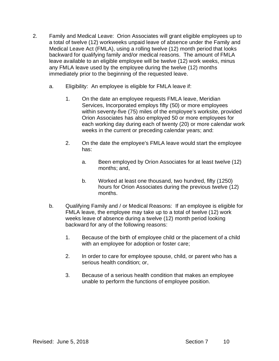- 2. Family and Medical Leave: Orion Associates will grant eligible employees up to a total of twelve (12) workweeks unpaid leave of absence under the Family and Medical Leave Act (FMLA), using a rolling twelve (12) month period that looks backward for qualifying family and/or medical reasons. The amount of FMLA leave available to an eligible employee will be twelve (12) work weeks, minus any FMLA leave used by the employee during the twelve (12) months immediately prior to the beginning of the requested leave.
	- a. Eligibility: An employee is eligible for FMLA leave if:
		- 1. On the date an employee requests FMLA leave, Meridian Services, Incorporated employs fifty (50) or more employees within seventy-five (75) miles of the employee's worksite, provided Orion Associates has also employed 50 or more employees for each working day during each of twenty (20) or more calendar work weeks in the current or preceding calendar years; and:
		- 2. On the date the employee's FMLA leave would start the employee has:
			- a. Been employed by Orion Associates for at least twelve (12) months; and,
			- b. Worked at least one thousand, two hundred, fifty (1250) hours for Orion Associates during the previous twelve (12) months.
	- b. Qualifying Family and / or Medical Reasons: If an employee is eligible for FMLA leave, the employee may take up to a total of twelve (12) work weeks leave of absence during a twelve (12) month period looking backward for any of the following reasons:
		- 1. Because of the birth of employee child or the placement of a child with an employee for adoption or foster care;
		- 2. In order to care for employee spouse, child, or parent who has a serious health condition; or,
		- 3. Because of a serious health condition that makes an employee unable to perform the functions of employee position.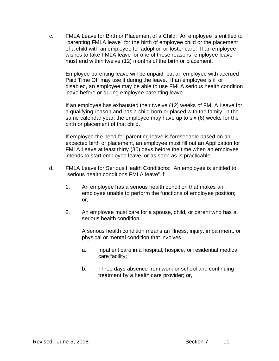c. FMLA Leave for Birth or Placement of a Child: An employee is entitled to "parenting FMLA leave" for the birth of employee child or the placement of a child with an employee for adoption or foster care. If an employee wishes to take FMLA leave for one of these reasons, employee leave must end within twelve (12) months of the birth or placement.

Employee parenting leave will be unpaid, but an employee with accrued Paid Time Off may use it during the leave. If an employee is ill or disabled, an employee may be able to use FMLA serious health condition leave before or during employee parenting leave.

If an employee has exhausted their twelve (12) weeks of FMLA Leave for a qualifying reason and has a child born or placed with the family, in the same calendar year, the employee may have up to six (6) weeks for the birth or placement of that child.

If employee the need for parenting leave is foreseeable based on an expected birth or placement, an employee must fill out an Application for FMLA Leave at least thirty (30) days before the time when an employee intends to start employee leave, or as soon as is practicable.

- d. FMLA Leave for Serious Health Conditions: An employee is entitled to "serious health conditions FMLA leave" if:
	- 1. An employee has a serious health condition that makes an employee unable to perform the functions of employee position; or,
	- 2. An employee must care for a spouse, child, or parent who has a serious health condition.

A serious health condition means an illness, injury, impairment, or physical or mental condition that involves:

- a. Inpatient care in a hospital, hospice, or residential medical care facility;
- b. Three days absence from work or school and continuing treatment by a health care provider; or,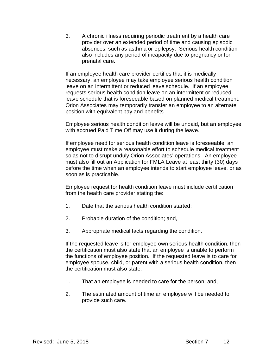3. A chronic illness requiring periodic treatment by a health care provider over an extended period of time and causing episodic absences, such as asthma or epilepsy. Serious health condition also includes any period of incapacity due to pregnancy or for prenatal care.

If an employee health care provider certifies that it is medically necessary, an employee may take employee serious health condition leave on an intermittent or reduced leave schedule. If an employee requests serious health condition leave on an intermittent or reduced leave schedule that is foreseeable based on planned medical treatment, Orion Associates may temporarily transfer an employee to an alternate position with equivalent pay and benefits.

Employee serious health condition leave will be unpaid, but an employee with accrued Paid Time Off may use it during the leave.

If employee need for serious health condition leave is foreseeable, an employee must make a reasonable effort to schedule medical treatment so as not to disrupt unduly Orion Associates' operations. An employee must also fill out an Application for FMLA Leave at least thirty (30) days before the time when an employee intends to start employee leave, or as soon as is practicable.

Employee request for health condition leave must include certification from the health care provider stating the:

- 1. Date that the serious health condition started;
- 2. Probable duration of the condition; and,
- 3. Appropriate medical facts regarding the condition.

If the requested leave is for employee own serious health condition, then the certification must also state that an employee is unable to perform the functions of employee position. If the requested leave is to care for employee spouse, child, or parent with a serious health condition, then the certification must also state:

- 1. That an employee is needed to care for the person; and,
- 2. The estimated amount of time an employee will be needed to provide such care.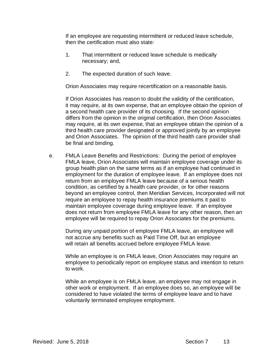If an employee are requesting intermittent or reduced leave schedule, then the certification must also state:

- 1. That intermittent or reduced leave schedule is medically necessary; and,
- 2. The expected duration of such leave.

Orion Associates may require recertification on a reasonable basis.

If Orion Associates has reason to doubt the validity of the certification, it may require, at its own expense, that an employee obtain the opinion of a second health care provider of its choosing. If the second opinion differs from the opinion in the original certification, then Orion Associates may require, at its own expense, that an employee obtain the opinion of a third health care provider designated or approved jointly by an employee and Orion Associates. The opinion of the third health care provider shall be final and binding.

e. FMLA Leave Benefits and Restrictions: During the period of employee FMLA leave, Orion Associates will maintain employee coverage under its group health plan on the same terms as if an employee had continued in employment for the duration of employee leave. If an employee does not return from an employee FMLA leave because of a serious health condition, as certified by a health care provider, or for other reasons beyond an employee control, then Meridian Services, Incorporated will not require an employee to repay health insurance premiums it paid to maintain employee coverage during employee leave. If an employee does not return from employee FMLA leave for any other reason, then an employee will be required to repay Orion Associates for the premiums.

During any unpaid portion of employee FMLA leave, an employee will not accrue any benefits such as Paid Time Off, but an employee will retain all benefits accrued before employee FMLA leave.

While an employee is on FMLA leave, Orion Associates may require an employee to periodically report on employee status and intention to return to work.

While an employee is on FMLA leave, an employee may not engage in other work or employment. If an employee does so, an employee will be considered to have violated the terms of employee leave and to have voluntarily terminated employee employment.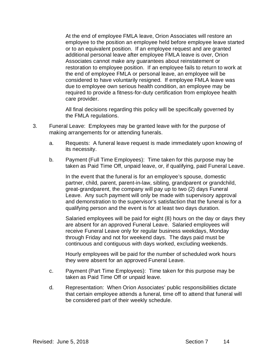At the end of employee FMLA leave, Orion Associates will restore an employee to the position an employee held before employee leave started or to an equivalent position. If an employee request and are granted additional personal leave after employee FMLA leave is over, Orion Associates cannot make any guarantees about reinstatement or restoration to employee position. If an employee fails to return to work at the end of employee FMLA or personal leave, an employee will be considered to have voluntarily resigned. If employee FMLA leave was due to employee own serious health condition, an employee may be required to provide a fitness-for-duty certification from employee health care provider.

All final decisions regarding this policy will be specifically governed by the FMLA regulations.

- 3. Funeral Leave: Employees may be granted leave with for the purpose of making arrangements for or attending funerals.
	- a. Requests: A funeral leave request is made immediately upon knowing of its necessity.
	- b. Payment (Full Time Employees): Time taken for this purpose may be taken as Paid Time Off, unpaid leave, or, if qualifying, paid Funeral Leave.

In the event that the funeral is for an employee's spouse, domestic partner, child, parent, parent-in-law, sibling, grandparent or grandchild, great-grandparent, the company will pay up to two (2) days Funeral Leave. Any such payment will only be made with supervisory approval and demonstration to the supervisor's satisfaction that the funeral is for a qualifying person and the event is for at least two days duration.

Salaried employees will be paid for eight (8) hours on the day or days they are absent for an approved Funeral Leave. Salaried employees will receive Funeral Leave only for regular business weekdays, Monday through Friday and not for weekend days. The days paid must be continuous and contiguous with days worked, excluding weekends.

Hourly employees will be paid for the number of scheduled work hours they were absent for an approved Funeral Leave.

- c. Payment (Part Time Employees): Time taken for this purpose may be taken as Paid Time Off or unpaid leave.
- d. Representation: When Orion Associates' public responsibilities dictate that certain employee attends a funeral, time off to attend that funeral will be considered part of their weekly schedule.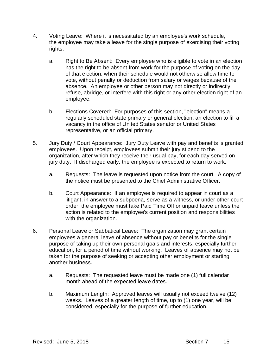- 4. Voting Leave: Where it is necessitated by an employee's work schedule, the employee may take a leave for the single purpose of exercising their voting rights.
	- a. Right to Be Absent: Every employee who is eligible to vote in an election has the right to be absent from work for the purpose of voting on the day of that election, when their schedule would not otherwise allow time to vote, without penalty or deduction from salary or wages because of the absence. An employee or other person may not directly or indirectly refuse, abridge, or interfere with this right or any other election right of an employee.
	- b. Elections Covered: For purposes of this section, "election" means a regularly scheduled state primary or general election, an election to fill a vacancy in the office of United States senator or United States representative, or an official primary.
- 5. Jury Duty / Court Appearance: Jury Duty Leave with pay and benefits is granted employees. Upon receipt, employees submit their jury stipend to the organization, after which they receive their usual pay, for each day served on jury duty. If discharged early, the employee is expected to return to work.
	- a. Requests: The leave is requested upon notice from the court. A copy of the notice must be presented to the Chief Administrative Officer.
	- b. Court Appearance: If an employee is required to appear in court as a litigant, in answer to a subpoena, serve as a witness, or under other court order, the employee must take Paid Time Off or unpaid leave unless the action is related to the employee's current position and responsibilities with the organization.
- 6. Personal Leave or Sabbatical Leave: The organization may grant certain employees a general leave of absence without pay or benefits for the single purpose of taking up their own personal goals and interests, especially further education, for a period of time without working. Leaves of absence may not be taken for the purpose of seeking or accepting other employment or starting another business.
	- a. Requests: The requested leave must be made one (1) full calendar month ahead of the expected leave dates.
	- b. Maximum Length: Approved leaves will usually not exceed twelve (12) weeks. Leaves of a greater length of time, up to (1) one year, will be considered, especially for the purpose of further education.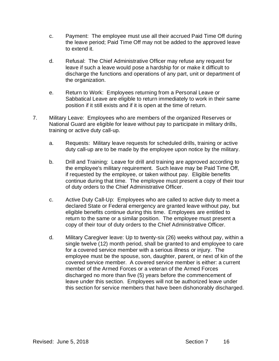- c. Payment: The employee must use all their accrued Paid Time Off during the leave period; Paid Time Off may not be added to the approved leave to extend it.
- d. Refusal: The Chief Administrative Officer may refuse any request for leave if such a leave would pose a hardship for or make it difficult to discharge the functions and operations of any part, unit or department of the organization.
- e. Return to Work: Employees returning from a Personal Leave or Sabbatical Leave are eligible to return immediately to work in their same position if it still exists and if it is open at the time of return.
- 7. Military Leave: Employees who are members of the organized Reserves or National Guard are eligible for leave without pay to participate in military drills, training or active duty call-up.
	- a. Requests: Military leave requests for scheduled drills, training or active duty call-up are to be made by the employee upon notice by the military.
	- b. Drill and Training: Leave for drill and training are approved according to the employee's military requirement. Such leave may be Paid Time Off, if requested by the employee, or taken without pay. Eligible benefits continue during that time. The employee must present a copy of their tour of duty orders to the Chief Administrative Officer.
	- c. Active Duty Call-Up: Employees who are called to active duty to meet a declared State or Federal emergency are granted leave without pay, but eligible benefits continue during this time. Employees are entitled to return to the same or a similar position. The employee must present a copy of their tour of duty orders to the Chief Administrative Officer.
	- d. Military Caregiver leave: Up to twenty-six (26) weeks without pay, within a single twelve (12) month period, shall be granted to and employee to care for a covered service member with a serious illness or injury. The employee must be the spouse, son, daughter, parent, or next of kin of the covered service member. A covered service member is either: a current member of the Armed Forces or a veteran of the Armed Forces discharged no more than five (5) years before the commencement of leave under this section. Employees will not be authorized leave under this section for service members that have been dishonorably discharged.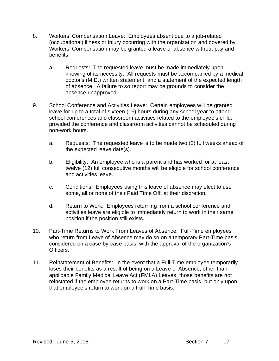- 8. Workers' Compensation Leave: Employees absent due to a job-related (occupational) illness or injury occurring with the organization and covered by Workers' Compensation may be granted a leave of absence without pay and benefits.
	- a. Requests: The requested leave must be made immediately upon knowing of its necessity. All requests must be accompanied by a medical doctor's (M.D.) written statement, and a statement of the expected length of absence. A failure to so report may be grounds to consider the absence unapproved.
- 9. School Conference and Activities Leave: Certain employees will be granted leave for up to a total of sixteen (16) hours during any school year to attend school conferences and classroom activities related to the employee's child, provided the conference and classroom activities cannot be scheduled during non-work hours.
	- a. Requests: The requested leave is to be made two (2) full weeks ahead of the expected leave date(s).
	- b. Eligibility: An employee who is a parent and has worked for at least twelve (12) full consecutive months will be eligible for school conference and activities leave.
	- c. Conditions: Employees using this leave of absence may elect to use some, all or none of their Paid Time Off, at their discretion.
	- d. Return to Work: Employees returning from a school conference and activities leave are eligible to immediately return to work in their same position if the position still exists.
- 10. Part-Time Returns to Work From Leaves of Absence: Full-Time employees who return from Leave of Absence may do so on a temporary Part-Time basis, considered on a case-by-case basis, with the approval of the organization's Officers.
- 11. Reinstatement of Benefits: In the event that a Full-Time employee temporarily loses their benefits as a result of being on a Leave of Absence, other than applicable Family Medical Leave Act (FMLA) Leaves, those benefits are not reinstated if the employee returns to work on a Part-Time basis, but only upon that employee's return to work on a Full-Time basis.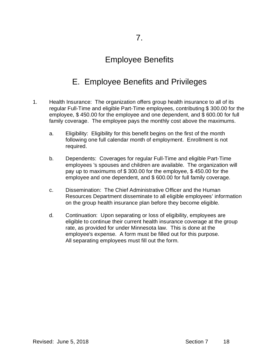## Employee Benefits

# E. Employee Benefits and Privileges

- 1. Health Insurance: The organization offers group health insurance to all of its regular Full-Time and eligible Part-Time employees, contributing \$ 300.00 for the employee, \$ 450.00 for the employee and one dependent, and \$ 600.00 for full family coverage. The employee pays the monthly cost above the maximums.
	- a. Eligibility: Eligibility for this benefit begins on the first of the month following one full calendar month of employment. Enrollment is not required.
	- b. Dependents: Coverages for regular Full-Time and eligible Part-Time employees 's spouses and children are available. The organization will pay up to maximums of \$ 300.00 for the employee, \$ 450.00 for the employee and one dependent, and \$ 600.00 for full family coverage.
	- c. Dissemination: The Chief Administrative Officer and the Human Resources Department disseminate to all eligible employees' information on the group health insurance plan before they become eligible.
	- d. Continuation: Upon separating or loss of eligibility, employees are eligible to continue their current health insurance coverage at the group rate, as provided for under Minnesota law. This is done at the employee's expense. A form must be filled out for this purpose. All separating employees must fill out the form.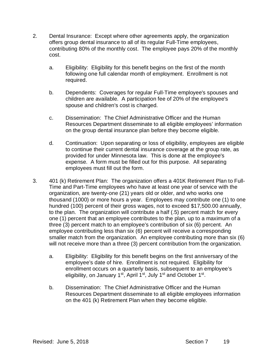- 2. Dental Insurance: Except where other agreements apply, the organization offers group dental insurance to all of its regular Full-Time employees, contributing 80% of the monthly cost. The employee pays 20% of the monthly cost.
	- a. Eligibility: Eligibility for this benefit begins on the first of the month following one full calendar month of employment. Enrollment is not required.
	- b. Dependents: Coverages for regular Full-Time employee's spouses and children are available. A participation fee of 20% of the employee's spouse and children's cost is charged.
	- c. Dissemination: The Chief Administrative Officer and the Human Resources Department disseminate to all eligible employees' information on the group dental insurance plan before they become eligible.
	- d. Continuation: Upon separating or loss of eligibility, employees are eligible to continue their current dental insurance coverage at the group rate, as provided for under Minnesota law. This is done at the employee's expense. A form must be filled out for this purpose. All separating employees must fill out the form.
- 3. 401 (k) Retirement Plan: The organization offers a 401K Retirement Plan to Full-Time and Part-Time employees who have at least one year of service with the organization, are twenty-one (21) years old or older, and who works one thousand (1000) or more hours a year. Employees may contribute one (1) to one hundred (100) percent of their gross wages, not to exceed \$17,500.00 annually, to the plan. The organization will contribute a half (.5) percent match for every one (1) percent that an employee contributes to the plan, up to a maximum of a three (3) percent match to an employee's contribution of six (6) percent. An employee contributing less than six (6) percent will receive a corresponding smaller match from the organization. An employee contributing more than six (6) will not receive more than a three (3) percent contribution from the organization.
	- a. Eligibility: Eligibility for this benefit begins on the first anniversary of the employee's date of hire. Enrollment is not required. Eligibility for enrollment occurs on a quarterly basis, subsequent to an employee's eligibility, on January 1<sup>st</sup>, April 1<sup>st</sup>, July 1<sup>st</sup> and October 1<sup>st</sup>.
	- b. Dissemination: The Chief Administrative Officer and the Human Resources Department disseminate to all eligible employees information on the 401 (k) Retirement Plan when they become eligible.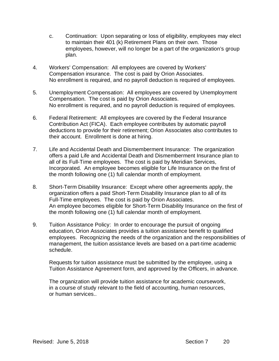- c. Continuation: Upon separating or loss of eligibility, employees may elect to maintain their 401 (k) Retirement Plans on their own. Those employees, however, will no longer be a part of the organization's group plan.
- 4. Workers' Compensation: All employees are covered by Workers' Compensation insurance. The cost is paid by Orion Associates. No enrollment is required, and no payroll deduction is required of employees.
- 5. Unemployment Compensation: All employees are covered by Unemployment Compensation. The cost is paid by Orion Associates. No enrollment is required, and no payroll deduction is required of employees.
- 6. Federal Retirement: All employees are covered by the Federal Insurance Contribution Act (FICA). Each employee contributes by automatic payroll deductions to provide for their retirement; Orion Associates also contributes to their account. Enrollment is done at hiring.
- 7. Life and Accidental Death and Dismemberment Insurance: The organization offers a paid Life and Accidental Death and Dismemberment Insurance plan to all of its Full-Time employees. The cost is paid by Meridian Services, Incorporated. An employee becomes eligible for Life Insurance on the first of the month following one (1) full calendar month of employment.
- 8. Short-Term Disability Insurance: Except where other agreements apply, the organization offers a paid Short-Term Disability Insurance plan to all of its Full-Time employees. The cost is paid by Orion Associates. An employee becomes eligible for Short-Term Disability Insurance on the first of the month following one (1) full calendar month of employment.
- 9. Tuition Assistance Policy: In order to encourage the pursuit of ongoing education, Orion Associates provides a tuition assistance benefit to qualified employees. Recognizing the needs of the organization and the responsibilities of management, the tuition assistance levels are based on a part-time academic schedule.

Requests for tuition assistance must be submitted by the employee, using a Tuition Assistance Agreement form, and approved by the Officers, in advance.

The organization will provide tuition assistance for academic coursework, in a course of study relevant to the field of accounting, human resources, or human services..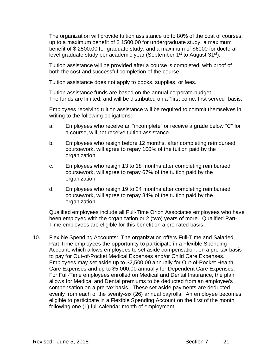The organization will provide tuition assistance up to 80% of the cost of courses, up to a maximum benefit of \$ 1500.00 for undergraduate study, a maximum benefit of \$ 2500.00 for graduate study, and a maximum of \$6000 for doctoral level graduate study per academic year (September 1<sup>st</sup> to August 31<sup>st</sup>).

Tuition assistance will be provided after a course is completed, with proof of both the cost and successful completion of the course.

Tuition assistance does not apply to books, supplies, or fees.

Tuition assistance funds are based on the annual corporate budget. The funds are limited, and will be distributed on a "first come, first served" basis.

Employees receiving tuition assistance will be required to commit themselves in writing to the following obligations:

- a. Employees who receive an "incomplete" or receive a grade below "C" for a course, will not receive tuition assistance.
- b. Employees who resign before 12 months, after completing reimbursed coursework, will agree to repay 100% of the tuition paid by the organization.
- c. Employees who resign 13 to 18 months after completing reimbursed coursework, will agree to repay 67% of the tuition paid by the organization.
- d. Employees who resign 19 to 24 months after completing reimbursed coursework, will agree to repay 34% of the tuition paid by the organization.

Qualified employees include all Full-Time Orion Associates employees who have been employed with the organization or 2 (two) years of more. Qualified Part-Time employees are eligible for this benefit on a pro-rated basis.

10. Flexible Spending Accounts: The organization offers Full-Time and Salaried Part-Time employees the opportunity to participate in a Flexible Spending Account, which allows employees to set aside compensation, on a pre-tax basis to pay for Out-of-Pocket Medical Expenses and/or Child Care Expenses. Employees may set aside up to \$2,500.00 annually for Out-of-Pocket Health Care Expenses and up to \$5,000.00 annually for Dependent Care Expenses. For Full-Time employees enrolled on Medical and Dental Insurance, the plan allows for Medical and Dental premiums to be deducted from an employee's compensation on a pre-tax basis. These set aside payments are deducted evenly from each of the twenty-six (26) annual payrolls. An employee becomes eligible to participate in a Flexible Spending Account on the first of the month following one (1) full calendar month of employment.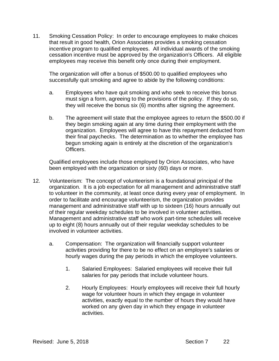11. Smoking Cessation Policy: In order to encourage employees to make choices that result in good health, Orion Associates provides a smoking cessation incentive program to qualified employees. All individual awards of the smoking cessation incentive must be approved by the organization's Officers. All eligible employees may receive this benefit only once during their employment.

The organization will offer a bonus of \$500.00 to qualified employees who successfully quit smoking and agree to abide by the following conditions:

- a. Employees who have quit smoking and who seek to receive this bonus must sign a form, agreeing to the provisions of the policy. If they do so, they will receive the bonus six (6) months after signing the agreement.
- b. The agreement will state that the employee agrees to return the \$500.00 if they begin smoking again at any time during their employment with the organization. Employees will agree to have this repayment deducted from their final paychecks. The determination as to whether the employee has begun smoking again is entirely at the discretion of the organization's Officers.

Qualified employees include those employed by Orion Associates, who have been employed with the organization or sixty (60) days or more.

- 12. Volunteerism: The concept of volunteerism is a foundational principal of the organization. It is a job expectation for all management and administrative staff to volunteer in the community, at least once during every year of employment. In order to facilitate and encourage volunteerism, the organization provides management and administrative staff with up to sixteen (16) hours annually out of their regular weekday schedules to be involved in volunteer activities. Management and administrative staff who work part-time schedules will receive up to eight (8) hours annually out of their regular weekday schedules to be involved in volunteer activities.
	- a. Compensation: The organization will financially support volunteer activities providing for there to be no effect on an employee's salaries or hourly wages during the pay periods in which the employee volunteers.
		- 1. Salaried Employees: Salaried employees will receive their full salaries for pay periods that include volunteer hours.
		- 2. Hourly Employees: Hourly employees will receive their full hourly wage for volunteer hours in which they engage in volunteer activities, exactly equal to the number of hours they would have worked on any given day in which they engage in volunteer activities.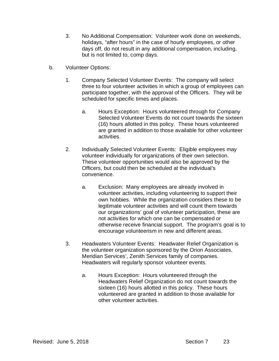- 3. No Additional Compensation: Volunteer work done on weekends, holidays, "after hours" in the case of hourly employees, or other days off, do not result in any additional compensation, including, but is not limited to, comp days.
- b. Volunteer Options:
	- 1. Company Selected Volunteer Events: The company will select three to four volunteer activities in which a group of employees can participate together, with the approval of the Officers. They will be scheduled for specific times and places.
		- a. Hours Exception: Hours volunteered through for Company Selected Volunteer Events do not count towards the sixteen (16) hours allotted in this policy. These hours volunteered are granted in addition to those available for other volunteer activities.
	- 2. Individually Selected Volunteer Events: Eligible employees may volunteer individually for organizations of their own selection. These volunteer opportunities would also be approved by the Officers, but could then be scheduled at the individual's convenience.
		- a. Exclusion: Many employees are already involved in volunteer activities, including volunteering to support their own hobbies. While the organization considers these to be legitimate volunteer activities and will count them towards our organizations' goal of volunteer participation, these are not activities for which one can be compensated or otherwise receive financial support. The program's goal is to encourage volunteerism in new and different areas.
	- 3. Headwaters Volunteer Events: Headwater Relief Organization is the volunteer organization sponsored by the Orion Associates, Meridian Services', Zenith Services family of companies. Headwaters will regularly sponsor volunteer events.
		- a. Hours Exception: Hours volunteered through the Headwaters Relief Organization do not count towards the sixteen (16) hours allotted in this policy. These hours volunteered are granted in addition to those available for other volunteer activities.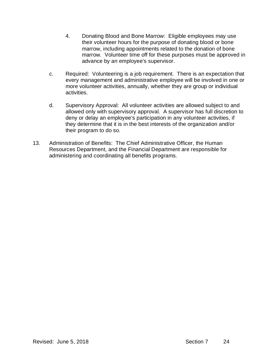- 4. Donating Blood and Bone Marrow: Eligible employees may use their volunteer hours for the purpose of donating blood or bone marrow, including appointments related to the donation of bone marrow. Volunteer time off for these purposes must be approved in advance by an employee's supervisor.
- c. Required: Volunteering is a job requirement. There is an expectation that every management and administrative employee will be involved in one or more volunteer activities, annually, whether they are group or individual activities.
- d. Supervisory Approval: All volunteer activities are allowed subject to and allowed only with supervisory approval. A supervisor has full discretion to deny or delay an employee's participation in any volunteer activities, if they determine that it is in the best interests of the organization and/or their program to do so.
- 13. Administration of Benefits: The Chief Administrative Officer, the Human Resources Department, and the Financial Department are responsible for administering and coordinating all benefits programs.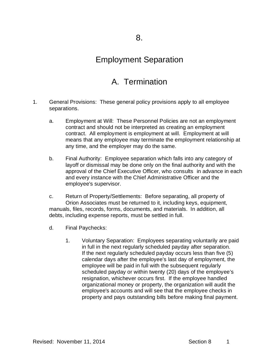#### Employment Separation

## A. Termination

- 1. General Provisions: These general policy provisions apply to all employee separations.
	- a. Employment at Will: These Personnel Policies are not an employment contract and should not be interpreted as creating an employment contract. All employment is employment at will. Employment at will means that any employee may terminate the employment relationship at any time, and the employer may do the same.
	- b. Final Authority: Employee separation which falls into any category of layoff or dismissal may be done only on the final authority and with the approval of the Chief Executive Officer, who consults in advance in each and every instance with the Chief Administrative Officer and the employee's supervisor.
	- c. Return of Property/Settlements: Before separating, all property of Orion Associates must be returned to it, including keys, equipment, manuals, files, records, forms, documents, and materials. In addition, all debts, including expense reports, must be settled in full.
	- d. Final Paychecks:
		- 1. Voluntary Separation: Employees separating voluntarily are paid in full in the next regularly scheduled payday after separation. If the next regularly scheduled payday occurs less than five (5) calendar days after the employee's last day of employment, the employee will be paid in full with the subsequent regularly scheduled payday or within twenty (20) days of the employee's resignation, whichever occurs first. If the employee handled organizational money or property, the organization will audit the employee's accounts and will see that the employee checks in property and pays outstanding bills before making final payment.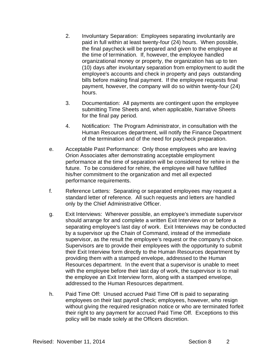- 2. Involuntary Separation: Employees separating involuntarily are paid in full within at least twenty-four (24) hours. When possible, the final paycheck will be prepared and given to the employee at the time of termination. If, however, the employee handled organizational money or property, the organization has up to ten (10) days after involuntary separation from employment to audit the employee's accounts and check in property and pays outstanding bills before making final payment. If the employee requests final payment, however, the company will do so within twenty-four (24) hours.
- 3. Documentation: All payments are contingent upon the employee submitting Time Sheets and, when applicable, Narrative Sheets for the final pay period.
- 4. Notification: The Program Administrator, in consultation with the Human Resources department, will notify the Finance Department of the termination and of the need for paycheck preparation.
- e. Acceptable Past Performance: Only those employees who are leaving Orion Associates after demonstrating acceptable employment performance at the time of separation will be considered for rehire in the future. To be considered for rehire, the employee will have fulfilled his/her commitment to the organization and met all expected performance requirements.
- f. Reference Letters: Separating or separated employees may request a standard letter of reference. All such requests and letters are handled only by the Chief Administrative Officer.
- g. Exit Interviews: Wherever possible, an employee's immediate supervisor should arrange for and complete a written Exit Interview on or before a separating employee's last day of work. Exit Interviews may be conducted by a supervisor up the Chain of Command, instead of the immediate supervisor, as the result the employee's request or the company's choice. Supervisors are to provide their employees with the opportunity to submit their Exit Interview form directly to the Human Resources department by providing them with a stamped envelope, addressed to the Human Resources department. In the event that a supervisor is unable to meet with the employee before their last day of work, the supervisor is to mail the employee an Exit Interview form, along with a stamped envelope, addressed to the Human Resources department.
- h. Paid Time Off: Unused accrued Paid Time Off is paid to separating employees on their last payroll check; employees, however, who resign without giving the required resignation notice or who are terminated forfeit their right to any payment for accrued Paid Time Off. Exceptions to this policy will be made solely at the Officers discretion.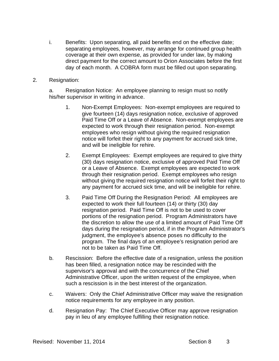- i. Benefits: Upon separating, all paid benefits end on the effective date; separating employees, however, may arrange for continued group health coverage at their own expense, as provided for under law, by making direct payment for the correct amount to Orion Associates before the first day of each month. A COBRA form must be filled out upon separating.
- 2. Resignation:

a. Resignation Notice: An employee planning to resign must so notify his/her supervisor in writing in advance.

- 1. Non-Exempt Employees: Non-exempt employees are required to give fourteen (14) days resignation notice, exclusive of approved Paid Time Off or a Leave of Absence. Non-exempt employees are expected to work through their resignation period. Non-exempt employees who resign without giving the required resignation notice will forfeit their right to any payment for accrued sick time, and will be ineligible for rehire.
- 2. Exempt Employees: Exempt employees are required to give thirty (30) days resignation notice, exclusive of approved Paid Time Off or a Leave of Absence. Exempt employees are expected to work through their resignation period. Exempt employees who resign without giving the required resignation notice will forfeit their right to any payment for accrued sick time, and will be ineligible for rehire.
- 3. Paid Time Off During the Resignation Period: All employees are expected to work their full fourteen (14) or thirty (30) day resignation period. Paid Time Off is not to be used to cover portions of the resignation period. Program Administrators have the discretion to allow the use of a limited amount of Paid Time Off days during the resignation period, if in the Program Administrator's judgment, the employee's absence poses no difficulty to the program. The final days of an employee's resignation period are not to be taken as Paid Time Off.
- b. Rescission: Before the effective date of a resignation, unless the position has been filled, a resignation notice may be rescinded with the supervisor's approval and with the concurrence of the Chief Administrative Officer, upon the written request of the employee, when such a rescission is in the best interest of the organization.
- c. Waivers: Only the Chief Administrative Officer may waive the resignation notice requirements for any employee in any position.
- d. Resignation Pay: The Chief Executive Officer may approve resignation pay in lieu of any employee fulfilling their resignation notice.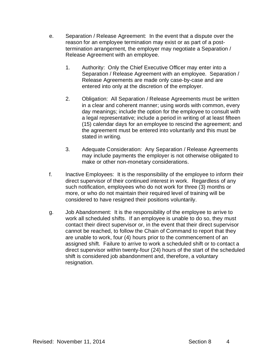- e. Separation / Release Agreement: In the event that a dispute over the reason for an employee termination may exist or as part of a posttermination arrangement, the employer may negotiate a Separation / Release Agreement with an employee.
	- 1. Authority: Only the Chief Executive Officer may enter into a Separation / Release Agreement with an employee. Separation / Release Agreements are made only case-by-case and are entered into only at the discretion of the employer.
	- 2. Obligation: All Separation / Release Agreements must be written in a clear and coherent manner; using words with common, every day meanings; include the option for the employee to consult with a legal representative; include a period in writing of at least fifteen (15) calendar days for an employee to rescind the agreement; and the agreement must be entered into voluntarily and this must be stated in writing.
	- 3. Adequate Consideration: Any Separation / Release Agreements may include payments the employer is not otherwise obligated to make or other non-monetary considerations.
- f. Inactive Employees: It is the responsibility of the employee to inform their direct supervisor of their continued interest in work. Regardless of any such notification, employees who do not work for three (3) months or more, or who do not maintain their required level of training will be considered to have resigned their positions voluntarily.
- g. Job Abandonment: It is the responsibility of the employee to arrive to work all scheduled shifts. If an employee is unable to do so, they must contact their direct supervisor or, in the event that their direct supervisor cannot be reached, to follow the Chain of Command to report that they are unable to work, four (4) hours prior to the commencement of an assigned shift. Failure to arrive to work a scheduled shift or to contact a direct supervisor within twenty-four (24) hours of the start of the scheduled shift is considered job abandonment and, therefore, a voluntary resignation.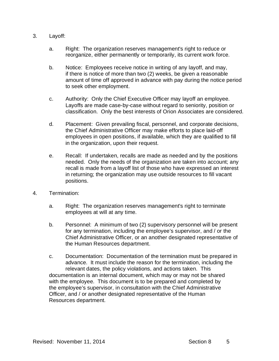- 3. Layoff:
	- a. Right: The organization reserves management's right to reduce or reorganize, either permanently or temporarily, its current work force.
	- b. Notice: Employees receive notice in writing of any layoff, and may, if there is notice of more than two (2) weeks, be given a reasonable amount of time off approved in advance with pay during the notice period to seek other employment.
	- c. Authority: Only the Chief Executive Officer may layoff an employee. Layoffs are made case-by-case without regard to seniority, position or classification. Only the best interests of Orion Associates are considered.
	- d. Placement: Given prevailing fiscal, personnel, and corporate decisions, the Chief Administrative Officer may make efforts to place laid-off employees in open positions, if available, which they are qualified to fill in the organization, upon their request.
	- e. Recall: If undertaken, recalls are made as needed and by the positions needed. Only the needs of the organization are taken into account; any recall is made from a layoff list of those who have expressed an interest in returning; the organization may use outside resources to fill vacant positions.
- 4. Termination:
	- a. Right: The organization reserves management's right to terminate employees at will at any time.
	- b. Personnel: A minimum of two (2) supervisory personnel will be present for any termination, including the employee's supervisor, and / or the Chief Administrative Officer, or an another designated representative of the Human Resources department.
	- c. Documentation: Documentation of the termination must be prepared in advance. It must include the reason for the termination, including the relevant dates, the policy violations, and actions taken. This documentation is an internal document, which may or may not be shared with the employee. This document is to be prepared and completed by the employee's supervisor, in consultation with the Chief Administrative Officer, and / or another designated representative of the Human Resources department.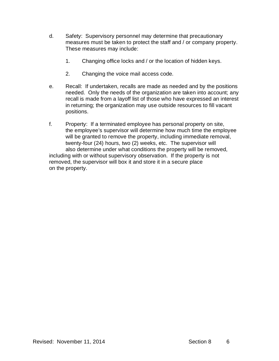- d. Safety: Supervisory personnel may determine that precautionary measures must be taken to protect the staff and / or company property. These measures may include:
	- 1. Changing office locks and / or the location of hidden keys.
	- 2. Changing the voice mail access code.
- e. Recall: If undertaken, recalls are made as needed and by the positions needed. Only the needs of the organization are taken into account; any recall is made from a layoff list of those who have expressed an interest in returning; the organization may use outside resources to fill vacant positions.
- f. Property: If a terminated employee has personal property on site, the employee's supervisor will determine how much time the employee will be granted to remove the property, including immediate removal, twenty-four (24) hours, two (2) weeks, etc. The supervisor will also determine under what conditions the property will be removed, including with or without supervisory observation. If the property is not removed, the supervisor will box it and store it in a secure place on the property.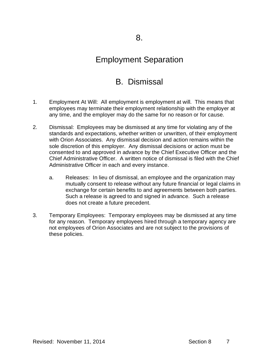#### Employment Separation

## B. Dismissal

- 1. Employment At Will: All employment is employment at will. This means that employees may terminate their employment relationship with the employer at any time, and the employer may do the same for no reason or for cause.
- 2. Dismissal: Employees may be dismissed at any time for violating any of the standards and expectations, whether written or unwritten, of their employment with Orion Associates. Any dismissal decision and action remains within the sole discretion of this employer. Any dismissal decisions or action must be consented to and approved in advance by the Chief Executive Officer and the Chief Administrative Officer. A written notice of dismissal is filed with the Chief Administrative Officer in each and every instance.
	- a. Releases: In lieu of dismissal, an employee and the organization may mutually consent to release without any future financial or legal claims in exchange for certain benefits to and agreements between both parties. Such a release is agreed to and signed in advance. Such a release does not create a future precedent.
- 3. Temporary Employees: Temporary employees may be dismissed at any time for any reason. Temporary employees hired through a temporary agency are not employees of Orion Associates and are not subject to the provisions of these policies.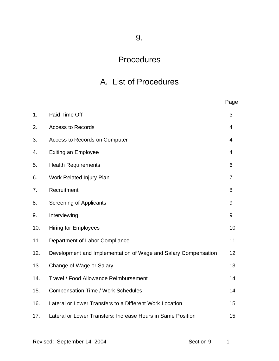9.

## Procedures

# A. List of Procedures

|     |                                                                | Page           |
|-----|----------------------------------------------------------------|----------------|
| 1.  | Paid Time Off                                                  | 3              |
| 2.  | <b>Access to Records</b>                                       | 4              |
| 3.  | Access to Records on Computer                                  | 4              |
| 4.  | <b>Exiting an Employee</b>                                     | 4              |
| 5.  | <b>Health Requirements</b>                                     | 6              |
| 6.  | Work Related Injury Plan                                       | $\overline{7}$ |
| 7.  | Recruitment                                                    | 8              |
| 8.  | <b>Screening of Applicants</b>                                 | 9              |
| 9.  | Interviewing                                                   | 9              |
| 10. | <b>Hiring for Employees</b>                                    | 10             |
| 11. | Department of Labor Compliance                                 | 11             |
| 12. | Development and Implementation of Wage and Salary Compensation | 12             |
| 13. | Change of Wage or Salary                                       | 13             |
| 14. | Travel / Food Allowance Reimbursement                          | 14             |
| 15. | <b>Compensation Time / Work Schedules</b>                      | 14             |
| 16. | Lateral or Lower Transfers to a Different Work Location        | 15             |
| 17. | Lateral or Lower Transfers: Increase Hours in Same Position    | 15             |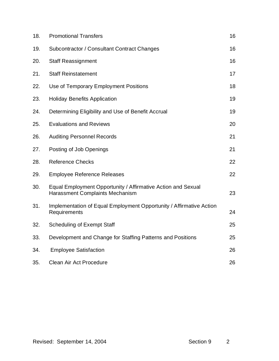| 18. | <b>Promotional Transfers</b>                                                                    | 16 |
|-----|-------------------------------------------------------------------------------------------------|----|
| 19. | Subcontractor / Consultant Contract Changes                                                     | 16 |
| 20. | <b>Staff Reassignment</b>                                                                       | 16 |
| 21. | <b>Staff Reinstatement</b>                                                                      | 17 |
| 22. | Use of Temporary Employment Positions                                                           | 18 |
| 23. | <b>Holiday Benefits Application</b>                                                             | 19 |
| 24. | Determining Eligibility and Use of Benefit Accrual                                              | 19 |
| 25. | <b>Evaluations and Reviews</b>                                                                  | 20 |
| 26. | <b>Auditing Personnel Records</b>                                                               | 21 |
| 27. | Posting of Job Openings                                                                         | 21 |
| 28. | <b>Reference Checks</b>                                                                         | 22 |
| 29. | <b>Employee Reference Releases</b>                                                              | 22 |
| 30. | Equal Employment Opportunity / Affirmative Action and Sexual<br>Harassment Complaints Mechanism | 23 |
| 31. | Implementation of Equal Employment Opportunity / Affirmative Action<br>Requirements             | 24 |
| 32. | <b>Scheduling of Exempt Staff</b>                                                               | 25 |
| 33. | Development and Change for Staffing Patterns and Positions                                      | 25 |
| 34. | <b>Employee Satisfaction</b>                                                                    | 26 |
| 35. | Clean Air Act Procedure                                                                         | 26 |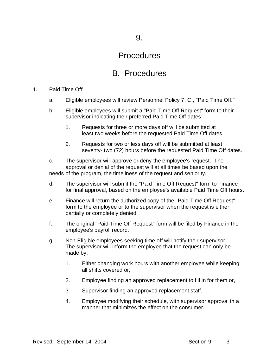#### **Procedures**

## B. Procedures

#### 1. Paid Time Off

- a. Eligible employees will review Personnel Policy 7. C., "Paid Time Off."
- b. Eligible employees will submit a "Paid Time Off Request" form to their supervisor indicating their preferred Paid Time Off dates:
	- 1. Requests for three or more days off will be submitted at least two weeks before the requested Paid Time Off dates.
	- 2. Requests for two or less days off will be submitted at least seventy- two (72) hours before the requested Paid Time Off dates.
- c. The supervisor will approve or deny the employee's request. The approval or denial of the request will at all times be based upon the needs of the program, the timeliness of the request and seniority.
- d. The supervisor will submit the "Paid Time Off Request" form to Finance for final approval, based on the employee's available Paid Time Off hours.
- e. Finance will return the authorized copy of the "Paid Time Off Request" form to the employee or to the supervisor when the request is either partially or completely denied.
- f. The original "Paid Time Off Request" form will be filed by Finance in the employee's payroll record.
- g. Non-Eligible employees seeking time off will notify their supervisor. The supervisor will inform the employee that the request can only be made by:
	- 1. Either changing work hours with another employee while keeping all shifts covered or,
	- 2. Employee finding an approved replacement to fill in for them or,
	- 3. Supervisor finding an approved replacement staff.
	- 4. Employee modifying their schedule, with supervisor approval in a manner that minimizes the effect on the consumer.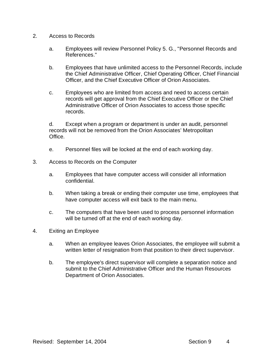- 2. Access to Records
	- a. Employees will review Personnel Policy 5. G., "Personnel Records and References."
	- b. Employees that have unlimited access to the Personnel Records, include the Chief Administrative Officer, Chief Operating Officer, Chief Financial Officer, and the Chief Executive Officer of Orion Associates.
	- c. Employees who are limited from access and need to access certain records will get approval from the Chief Executive Officer or the Chief Administrative Officer of Orion Associates to access those specific records.

d. Except when a program or department is under an audit, personnel records will not be removed from the Orion Associates' Metropolitan **Office** 

- e. Personnel files will be locked at the end of each working day.
- 3. Access to Records on the Computer
	- a. Employees that have computer access will consider all information confidential.
	- b. When taking a break or ending their computer use time, employees that have computer access will exit back to the main menu.
	- c. The computers that have been used to process personnel information will be turned off at the end of each working day.
- 4. Exiting an Employee
	- a. When an employee leaves Orion Associates, the employee will submit a written letter of resignation from that position to their direct supervisor.
	- b. The employee's direct supervisor will complete a separation notice and submit to the Chief Administrative Officer and the Human Resources Department of Orion Associates.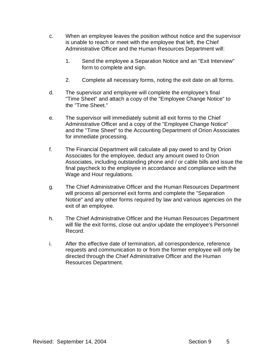- c. When an employee leaves the position without notice and the supervisor is unable to reach or meet with the employee that left, the Chief Administrative Officer and the Human Resources Department will:
	- 1. Send the employee a Separation Notice and an "Exit Interview" form to complete and sign.
	- 2. Complete all necessary forms, noting the exit date on all forms.
- d. The supervisor and employee will complete the employee's final "Time Sheet" and attach a copy of the "Employee Change Notice" to the "Time Sheet."
- e. The supervisor will immediately submit all exit forms to the Chief Administrative Officer and a copy of the "Employee Change Notice" and the "Time Sheet" to the Accounting Department of Orion Associates for immediate processing.
- f. The Financial Department will calculate all pay owed to and by Orion Associates for the employee, deduct any amount owed to Orion Associates, including outstanding phone and / or cable bills and issue the final paycheck to the employee in accordance and compliance with the Wage and Hour regulations.
- g. The Chief Administrative Officer and the Human Resources Department will process all personnel exit forms and complete the "Separation Notice" and any other forms required by law and various agencies on the exit of an employee.
- h. The Chief Administrative Officer and the Human Resources Department will file the exit forms, close out and/or update the employee's Personnel Record.
- i. After the effective date of termination, all correspondence, reference requests and communication to or from the former employee will only be directed through the Chief Administrative Officer and the Human Resources Department.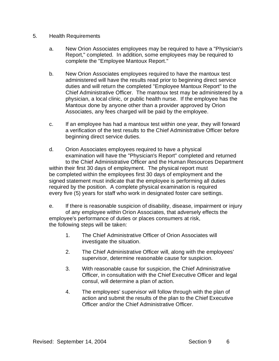- 5. Health Requirements
	- a. New Orion Associates employees may be required to have a "Physician's Report," completed. In addition, some employees may be required to complete the "Employee Mantoux Report."
	- b. New Orion Associates employees required to have the mantoux test administered will have the results read prior to beginning direct service duties and will return the completed "Employee Mantoux Report" to the Chief Administrative Officer. The mantoux test may be administered by a physician, a local clinic, or public health nurse. If the employee has the Mantoux done by anyone other than a provider approved by Orion Associates, any fees charged will be paid by the employee.
	- c. If an employee has had a mantoux test within one year, they will forward a verification of the test results to the Chief Administrative Officer before beginning direct service duties.
	- d. Orion Associates employees required to have a physical examination will have the "Physician's Report" completed and returned to the Chief Administrative Officer and the Human Resources Department within their first 30 days of employment. The physical report must be completed within the employees first 30 days of employment and the signed statement must indicate that the employee is performing all duties required by the position. A complete physical examination is required every five (5) years for staff who work in designated foster care settings.
	- e. If there is reasonable suspicion of disability, disease, impairment or injury of any employee within Orion Associates, that adversely effects the employee's performance of duties or places consumers at risk, the following steps will be taken:
		- 1. The Chief Administrative Officer of Orion Associates will investigate the situation.
		- 2. The Chief Administrative Officer will, along with the employees' supervisor, determine reasonable cause for suspicion.
		- 3. With reasonable cause for suspicion, the Chief Administrative Officer, in consultation with the Chief Executive Officer and legal consul, will determine a plan of action.
		- 4. The employees' supervisor will follow through with the plan of action and submit the results of the plan to the Chief Executive Officer and/or the Chief Administrative Officer.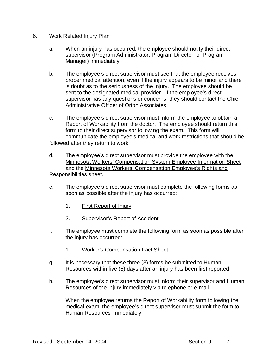- 6. Work Related Injury Plan
	- a. When an injury has occurred, the employee should notify their direct supervisor (Program Administrator, Program Director, or Program Manager) immediately.
	- b. The employee's direct supervisor must see that the employee receives proper medical attention, even if the injury appears to be minor and there is doubt as to the seriousness of the injury. The employee should be sent to the designated medical provider. If the employee's direct supervisor has any questions or concerns, they should contact the Chief Administrative Officer of Orion Associates.
	- c. The employee's direct supervisor must inform the employee to obtain a Report of Workability from the doctor. The employee should return this form to their direct supervisor following the exam. This form will communicate the employee's medical and work restrictions that should be followed after they return to work.
	- d. The employee's direct supervisor must provide the employee with the Minnesota Workers' Compensation System Employee Information Sheet and the Minnesota Workers' Compensation Employee's Rights and Responsibilities sheet.
	- e. The employee's direct supervisor must complete the following forms as soon as possible after the injury has occurred:
		- 1. First Report of Injury
		- 2. Supervisor's Report of Accident
	- f. The employee must complete the following form as soon as possible after the injury has occurred:
		- 1. Worker's Compensation Fact Sheet
	- g. It is necessary that these three (3) forms be submitted to Human Resources within five (5) days after an injury has been first reported.
	- h. The employee's direct supervisor must inform their supervisor and Human Resources of the injury immediately via telephone or e-mail.
	- i. When the employee returns the Report of Workability form following the medical exam, the employee's direct supervisor must submit the form to Human Resources immediately.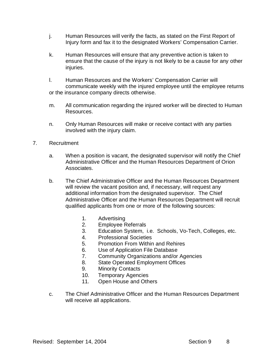- j. Human Resources will verify the facts, as stated on the First Report of Injury form and fax it to the designated Workers' Compensation Carrier.
- k. Human Resources will ensure that any preventive action is taken to ensure that the cause of the injury is not likely to be a cause for any other injuries.
- l. Human Resources and the Workers' Compensation Carrier will communicate weekly with the injured employee until the employee returns or the insurance company directs otherwise.
- m. All communication regarding the injured worker will be directed to Human Resources.
- n. Only Human Resources will make or receive contact with any parties involved with the injury claim.
- 7. Recruitment
	- a. When a position is vacant, the designated supervisor will notify the Chief Administrative Officer and the Human Resources Department of Orion Associates.
	- b. The Chief Administrative Officer and the Human Resources Department will review the vacant position and, if necessary, will request any additional information from the designated supervisor. The Chief Administrative Officer and the Human Resources Department will recruit qualified applicants from one or more of the following sources:
		- 1. Advertising
		- 2. Employee Referrals
		- 3. Education System, i.e. Schools, Vo-Tech, Colleges, etc.
		- 4. Professional Societies
		- 5. Promotion From Within and Rehires
		- 6. Use of Application File Database
		- 7. Community Organizations and/or Agencies
		- 8. State Operated Employment Offices
		- 9. Minority Contacts
		- 10. Temporary Agencies
		- 11. Open House and Others
	- c. The Chief Administrative Officer and the Human Resources Department will receive all applications.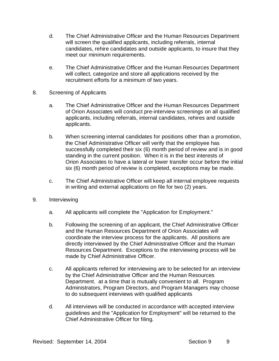- d. The Chief Administrative Officer and the Human Resources Department will screen the qualified applicants, including referrals, internal candidates, rehire candidates and outside applicants, to insure that they meet our minimum requirements.
- e. The Chief Administrative Officer and the Human Resources Department will collect, categorize and store all applications received by the recruitment efforts for a minimum of two years.
- 8. Screening of Applicants
	- a. The Chief Administrative Officer and the Human Resources Department of Orion Associates will conduct pre-interview screenings on all qualified applicants, including referrals, internal candidates, rehires and outside applicants.
	- b. When screening internal candidates for positions other than a promotion, the Chief Administrative Officer will verify that the employee has successfully completed their six (6) month period of review and is in good standing in the current position. When it is in the best interests of Orion Associates to have a lateral or lower transfer occur before the initial six (6) month period of review is completed, exceptions may be made.
	- c. The Chief Administrative Officer will keep all internal employee requests in writing and external applications on file for two (2) years.
- 9. Interviewing
	- a. All applicants will complete the "Application for Employment."
	- b. Following the screening of an applicant, the Chief Administrative Officer and the Human Resources Department of Orion Associates will coordinate the interview process for the applicants. All positions are directly interviewed by the Chief Administrative Officer and the Human Resources Department. Exceptions to the interviewing process will be made by Chief Administrative Officer.
	- c. All applicants referred for interviewing are to be selected for an interview by the Chief Administrative Officer and the Human Resources Department. at a time that is mutually convenient to all. Program Administrators, Program Directors, and Program Managers may choose to do subsequent interviews with qualified applicants
	- d. All interviews will be conducted in accordance with accepted interview guidelines and the "Application for Employment" will be returned to the Chief Administrative Officer for filing.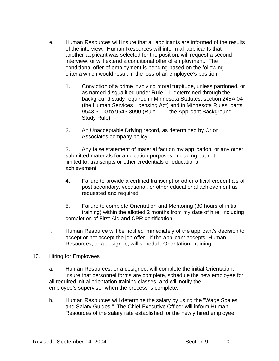- e. Human Resources will insure that all applicants are informed of the results of the interview. Human Resources will inform all applicants that another applicant was selected for the position, will request a second interview, or will extend a conditional offer of employment. The conditional offer of employment is pending based on the following criteria which would result in the loss of an employee's position:
	- 1. Conviction of a crime involving moral turpitude, unless pardoned, or as named disqualified under Rule 11, determined through the background study required in Minnesota Statutes, section 245A.04 (the Human Services Licensing Act) and in Minnesota Rules, parts 9543.3000 to 9543.3090 (Rule 11 – the Applicant Background Study Rule).
	- 2. An Unacceptable Driving record, as determined by Orion Associates company policy.

3. Any false statement of material fact on my application, or any other submitted materials for application purposes, including but not limited to, transcripts or other credentials or educational achievement.

- 4. Failure to provide a certified transcript or other official credentials of post secondary, vocational, or other educational achievement as requested and required.
- 5. Failure to complete Orientation and Mentoring (30 hours of initial training) within the allotted 2 months from my date of hire, including completion of First Aid and CPR certification.
- f. Human Resource will be notified immediately of the applicant's decision to accept or not accept the job offer. If the applicant accepts, Human Resources, or a designee, will schedule Orientation Training.

#### 10. Hiring for Employees

- a. Human Resources, or a designee, will complete the initial Orientation, insure that personnel forms are complete, schedule the new employee for all required initial orientation training classes, and will notify the employee's supervisor when the process is complete.
- b. Human Resources will determine the salary by using the "Wage Scales and Salary Guides." The Chief Executive Officer will inform Human Resources of the salary rate established for the newly hired employee.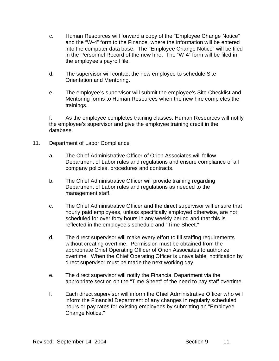- c. Human Resources will forward a copy of the "Employee Change Notice" and the "W-4" form to the Finance, where the information will be entered into the computer data base. The "Employee Change Notice" will be filed in the Personnel Record of the new hire. The "W-4" form will be filed in the employee's payroll file.
- d. The supervisor will contact the new employee to schedule Site Orientation and Mentoring.
- e. The employee's supervisor will submit the employee's Site Checklist and Mentoring forms to Human Resources when the new hire completes the trainings.

f. As the employee completes training classes, Human Resources will notify the employee's supervisor and give the employee training credit in the database.

- 11. Department of Labor Compliance
	- a. The Chief Administrative Officer of Orion Associates will follow Department of Labor rules and regulations and ensure compliance of all company policies, procedures and contracts.
	- b. The Chief Administrative Officer will provide training regarding Department of Labor rules and regulations as needed to the management staff.
	- c. The Chief Administrative Officer and the direct supervisor will ensure that hourly paid employees, unless specifically employed otherwise, are not scheduled for over forty hours in any weekly period and that this is reflected in the employee's schedule and "Time Sheet."
	- d. The direct supervisor will make every effort to fill staffing requirements without creating overtime. Permission must be obtained from the appropriate Chief Operating Officer of Orion Associates to authorize overtime. When the Chief Operating Officer is unavailable, notification by direct supervisor must be made the next working day.
	- e. The direct supervisor will notify the Financial Department via the appropriate section on the "Time Sheet" of the need to pay staff overtime.
	- f. Each direct supervisor will inform the Chief Administrative Officer who will inform the Financial Department of any changes in regularly scheduled hours or pay rates for existing employees by submitting an "Employee Change Notice."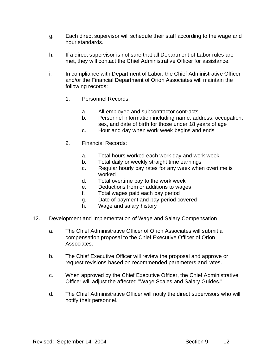- g. Each direct supervisor will schedule their staff according to the wage and hour standards.
- h. If a direct supervisor is not sure that all Department of Labor rules are met, they will contact the Chief Administrative Officer for assistance.
- i. In compliance with Department of Labor, the Chief Administrative Officer and/or the Financial Department of Orion Associates will maintain the following records:
	- 1. Personnel Records:
		- a. All employee and subcontractor contracts
		- b. Personnel information including name, address, occupation, sex, and date of birth for those under 18 years of age
		- c. Hour and day when work week begins and ends
	- 2. Financial Records:
		- a. Total hours worked each work day and work week
		- b. Total daily or weekly straight time earnings
		- c. Regular hourly pay rates for any week when overtime is worked
		- d. Total overtime pay to the work week
		- e. Deductions from or additions to wages
		- f. Total wages paid each pay period
		- g. Date of payment and pay period covered
		- h. Wage and salary history
- 12. Development and Implementation of Wage and Salary Compensation
	- a. The Chief Administrative Officer of Orion Associates will submit a compensation proposal to the Chief Executive Officer of Orion Associates.
	- b. The Chief Executive Officer will review the proposal and approve or request revisions based on recommended parameters and rates.
	- c. When approved by the Chief Executive Officer, the Chief Administrative Officer will adjust the affected "Wage Scales and Salary Guides."
	- d. The Chief Administrative Officer will notify the direct supervisors who will notify their personnel.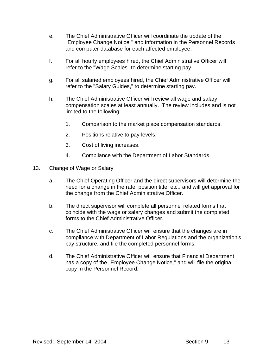- e. The Chief Administrative Officer will coordinate the update of the "Employee Change Notice," and information in the Personnel Records and computer database for each affected employee.
- f. For all hourly employees hired, the Chief Administrative Officer will refer to the "Wage Scales" to determine starting pay.
- g. For all salaried employees hired, the Chief Administrative Officer will refer to the "Salary Guides," to determine starting pay.
- h. The Chief Administrative Officer will review all wage and salary compensation scales at least annually. The review includes and is not limited to the following:
	- 1. Comparison to the market place compensation standards.
	- 2. Positions relative to pay levels.
	- 3. Cost of living increases.
	- 4. Compliance with the Department of Labor Standards.
- 13. Change of Wage or Salary
	- a. The Chief Operating Officer and the direct supervisors will determine the need for a change in the rate, position title, etc., and will get approval for the change from the Chief Administrative Officer.
	- b. The direct supervisor will complete all personnel related forms that coincide with the wage or salary changes and submit the completed forms to the Chief Administrative Officer.
	- c. The Chief Administrative Officer will ensure that the changes are in compliance with Department of Labor Regulations and the organization's pay structure, and file the completed personnel forms.
	- d. The Chief Administrative Officer will ensure that Financial Department has a copy of the "Employee Change Notice," and will file the original copy in the Personnel Record.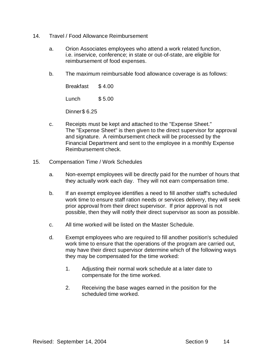- 14. Travel / Food Allowance Reimbursement
	- a. Orion Associates employees who attend a work related function, i.e. inservice, conference; in state or out-of-state, are eligible for reimbursement of food expenses.
	- b. The maximum reimbursable food allowance coverage is as follows:

 Breakfast \$ 4.00 Lunch \$ 5.00

Dinner\$ 6.25

- c. Receipts must be kept and attached to the "Expense Sheet." The "Expense Sheet" is then given to the direct supervisor for approval and signature. A reimbursement check will be processed by the Financial Department and sent to the employee in a monthly Expense Reimbursement check.
- 15. Compensation Time / Work Schedules
	- a. Non-exempt employees will be directly paid for the number of hours that they actually work each day. They will not earn compensation time.
	- b. If an exempt employee identifies a need to fill another staff's scheduled work time to ensure staff ration needs or services delivery, they will seek prior approval from their direct supervisor. If prior approval is not possible, then they will notify their direct supervisor as soon as possible.
	- c. All time worked will be listed on the Master Schedule.
	- d. Exempt employees who are required to fill another position's scheduled work time to ensure that the operations of the program are carried out, may have their direct supervisor determine which of the following ways they may be compensated for the time worked:
		- 1. Adjusting their normal work schedule at a later date to compensate for the time worked.
		- 2. Receiving the base wages earned in the position for the scheduled time worked.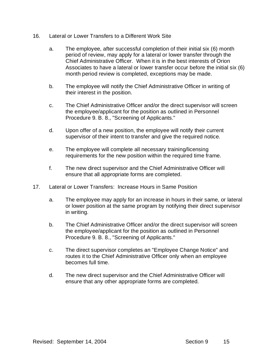- 16. Lateral or Lower Transfers to a Different Work Site
	- a. The employee, after successful completion of their initial six (6) month period of review, may apply for a lateral or lower transfer through the Chief Administrative Officer. When it is in the best interests of Orion Associates to have a lateral or lower transfer occur before the initial six (6) month period review is completed, exceptions may be made.
	- b. The employee will notify the Chief Administrative Officer in writing of their interest in the position.
	- c. The Chief Administrative Officer and/or the direct supervisor will screen the employee/applicant for the position as outlined in Personnel Procedure 9. B. 8., "Screening of Applicants."
	- d. Upon offer of a new position, the employee will notify their current supervisor of their intent to transfer and give the required notice.
	- e. The employee will complete all necessary training/licensing requirements for the new position within the required time frame.
	- f. The new direct supervisor and the Chief Administrative Officer will ensure that all appropriate forms are completed.
- 17. Lateral or Lower Transfers: Increase Hours in Same Position
	- a. The employee may apply for an increase in hours in their same, or lateral or lower position at the same program by notifying their direct supervisor in writing.
	- b. The Chief Administrative Officer and/or the direct supervisor will screen the employee/applicant for the position as outlined in Personnel Procedure 9. B. 8., "Screening of Applicants."
	- c. The direct supervisor completes an "Employee Change Notice" and routes it to the Chief Administrative Officer only when an employee becomes full time.
	- d. The new direct supervisor and the Chief Administrative Officer will ensure that any other appropriate forms are completed.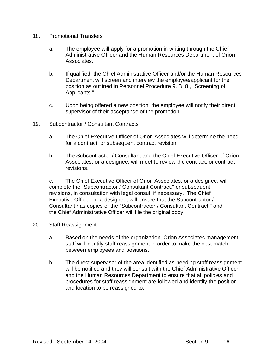- 18. Promotional Transfers
	- a. The employee will apply for a promotion in writing through the Chief Administrative Officer and the Human Resources Department of Orion Associates.
	- b. If qualified, the Chief Administrative Officer and/or the Human Resources Department will screen and interview the employee/applicant for the position as outlined in Personnel Procedure 9. B. 8., "Screening of Applicants."
	- c. Upon being offered a new position, the employee will notify their direct supervisor of their acceptance of the promotion.
- 19. Subcontractor / Consultant Contracts
	- a. The Chief Executive Officer of Orion Associates will determine the need for a contract, or subsequent contract revision.
	- b. The Subcontractor / Consultant and the Chief Executive Officer of Orion Associates, or a designee, will meet to review the contract, or contract revisions.

c. The Chief Executive Officer of Orion Associates, or a designee, will complete the "Subcontractor / Consultant Contract," or subsequent revisions, in consultation with legal consul, if necessary. The Chief Executive Officer, or a designee, will ensure that the Subcontractor / Consultant has copies of the "Subcontractor / Consultant Contract," and the Chief Administrative Officer will file the original copy.

- 20. Staff Reassignment
	- a. Based on the needs of the organization, Orion Associates management staff will identify staff reassignment in order to make the best match between employees and positions.
	- b. The direct supervisor of the area identified as needing staff reassignment will be notified and they will consult with the Chief Administrative Officer and the Human Resources Department to ensure that all policies and procedures for staff reassignment are followed and identify the position and location to be reassigned to.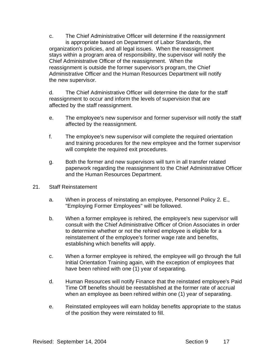c. The Chief Administrative Officer will determine if the reassignment is appropriate based on Department of Labor Standards, the organization's policies, and all legal issues. When the reassignment stays within a program area of responsibility, the supervisor will notify the Chief Administrative Officer of the reassignment. When the reassignment is outside the former supervisor's program, the Chief Administrative Officer and the Human Resources Department will notify the new supervisor.

d. The Chief Administrative Officer will determine the date for the staff reassignment to occur and inform the levels of supervision that are affected by the staff reassignment.

- e. The employee's new supervisor and former supervisor will notify the staff affected by the reassignment.
- f. The employee's new supervisor will complete the required orientation and training procedures for the new employee and the former supervisor will complete the required exit procedures.
- g. Both the former and new supervisors will turn in all transfer related paperwork regarding the reassignment to the Chief Administrative Officer and the Human Resources Department.
- 21. Staff Reinstatement
	- a. When in process of reinstating an employee, Personnel Policy 2. E., "Employing Former Employees" will be followed.
	- b. When a former employee is rehired, the employee's new supervisor will consult with the Chief Administrative Officer of Orion Associates in order to determine whether or not the rehired employee is eligible for a reinstatement of the employee's former wage rate and benefits, establishing which benefits will apply.
	- c. When a former employee is rehired, the employee will go through the full Initial Orientation Training again, with the exception of employees that have been rehired with one (1) year of separating.
	- d. Human Resources will notify Finance that the reinstated employee's Paid Time Off benefits should be reestablished at the former rate of accrual when an employee as been rehired within one (1) year of separating.
	- e. Reinstated employees will earn holiday benefits appropriate to the status of the position they were reinstated to fill.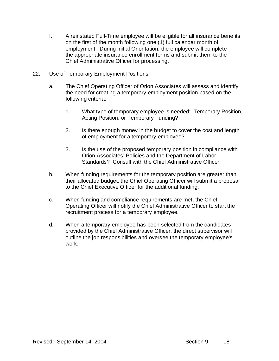- f. A reinstated Full-Time employee will be eligible for all insurance benefits on the first of the month following one (1) full calendar month of employment. During initial Orientation, the employee will complete the appropriate insurance enrollment forms and submit them to the Chief Administrative Officer for processing.
- 22. Use of Temporary Employment Positions
	- a. The Chief Operating Officer of Orion Associates will assess and identify the need for creating a temporary employment position based on the following criteria:
		- 1. What type of temporary employee is needed: Temporary Position, Acting Position, or Temporary Funding?
		- 2. Is there enough money in the budget to cover the cost and length of employment for a temporary employee?
		- 3. Is the use of the proposed temporary position in compliance with Orion Associates' Policies and the Department of Labor Standards? Consult with the Chief Administrative Officer.
	- b. When funding requirements for the temporary position are greater than their allocated budget, the Chief Operating Officer will submit a proposal to the Chief Executive Officer for the additional funding.
	- c. When funding and compliance requirements are met, the Chief Operating Officer will notify the Chief Administrative Officer to start the recruitment process for a temporary employee.
	- d. When a temporary employee has been selected from the candidates provided by the Chief Administrative Officer, the direct supervisor will outline the job responsibilities and oversee the temporary employee's work.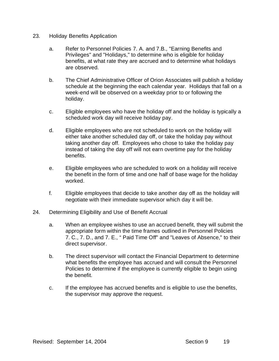- 23. Holiday Benefits Application
	- a. Refer to Personnel Policies 7. A. and 7.B., "Earning Benefits and Privileges" and "Holidays," to determine who is eligible for holiday benefits, at what rate they are accrued and to determine what holidays are observed.
	- b. The Chief Administrative Officer of Orion Associates will publish a holiday schedule at the beginning the each calendar year. Holidays that fall on a week-end will be observed on a weekday prior to or following the holiday.
	- c. Eligible employees who have the holiday off and the holiday is typically a scheduled work day will receive holiday pay.
	- d. Eligible employees who are not scheduled to work on the holiday will either take another scheduled day off, or take the holiday pay without taking another day off. Employees who chose to take the holiday pay instead of taking the day off will not earn overtime pay for the holiday benefits.
	- e. Eligible employees who are scheduled to work on a holiday will receive the benefit in the form of time and one half of base wage for the holiday worked.
	- f. Eligible employees that decide to take another day off as the holiday will negotiate with their immediate supervisor which day it will be.
- 24. Determining Eligibility and Use of Benefit Accrual
	- a. When an employee wishes to use an accrued benefit, they will submit the appropriate form within the time frames outlined in Personnel Policies 7. C., 7. D., and 7. E., " Paid Time Off" and "Leaves of Absence," to their direct supervisor.
	- b. The direct supervisor will contact the Financial Department to determine what benefits the employee has accrued and will consult the Personnel Policies to determine if the employee is currently eligible to begin using the benefit.
	- c. If the employee has accrued benefits and is eligible to use the benefits, the supervisor may approve the request.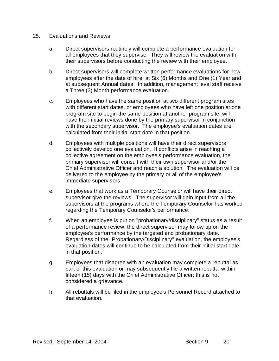- 25. Evaluations and Reviews
	- a. Direct supervisors routinely will complete a performance evaluation for all employees that they supervise. They will review the evaluation with their supervisors before conducting the review with their employee.
	- b. Direct supervisors will complete written performance evaluations for new employees after the date of hire, at Six (6) Months and One (1) Year and at subsequent Annual dates. In addition, management level staff receive a Three (3) Month performance evaluation.
	- c. Employees who have the same position at two different program sites with different start dates, or employees who have left one position at one program site to begin the same position at another program site, will have their initial reviews done by the primary supervisor in conjunction with the secondary supervisor. The employee's evaluation dates are calculated from their initial start date in that position.
	- d. Employees with multiple positions will have their direct supervisors collectively develop one evaluation. If conflicts arise in reaching a collective agreement on the employee's performance evaluation, the primary supervisor will consult with their own supervisor and/or the Chief Administrative Officer and reach a solution. The evaluation will be delivered to the employee by the primary or all of the employee's immediate supervisors.
	- e. Employees that work as a Temporary Counselor will have their direct supervisor give the reviews. The supervisor will gain input from all the supervisors at the programs where the Temporary Counselor has worked regarding the Temporary Counselor's performance.
	- f. When an employee is put on "probationary/disciplinary" status as a result of a performance review, the direct supervisor may follow up on the employee's performance by the targeted end probationary date. Regardless of the "Probationary/Disciplinary" evaluation, the employee's evaluation dates will continue to be calculated from their initial start date in that position.
	- g. Employees that disagree with an evaluation may complete a rebuttal as part of this evaluation or may subsequently file a written rebuttal within fifteen (15) days with the Chief Administrative Officer; this is not considered a grievance.
	- h. All rebuttals will be filed in the employee's Personnel Record attached to that evaluation.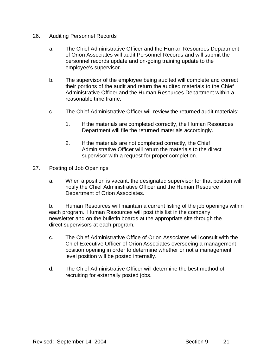- 26. Auditing Personnel Records
	- a. The Chief Administrative Officer and the Human Resources Department of Orion Associates will audit Personnel Records and will submit the personnel records update and on-going training update to the employee's supervisor.
	- b. The supervisor of the employee being audited will complete and correct their portions of the audit and return the audited materials to the Chief Administrative Officer and the Human Resources Department within a reasonable time frame.
	- c. The Chief Administrative Officer will review the returned audit materials:
		- 1. If the materials are completed correctly, the Human Resources Department will file the returned materials accordingly.
		- 2. If the materials are not completed correctly, the Chief Administrative Officer will return the materials to the direct supervisor with a request for proper completion.
- 27. Posting of Job Openings
	- a. When a position is vacant, the designated supervisor for that position will notify the Chief Administrative Officer and the Human Resource Department of Orion Associates.

b. Human Resources will maintain a current listing of the job openings within each program. Human Resources will post this list in the company newsletter and on the bulletin boards at the appropriate site through the direct supervisors at each program.

- c. The Chief Administrative Office of Orion Associates will consult with the Chief Executive Officer of Orion Associates overseeing a management position opening in order to determine whether or not a management level position will be posted internally.
- d. The Chief Administrative Officer will determine the best method of recruiting for externally posted jobs.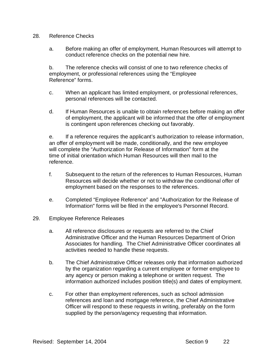#### 28. Reference Checks

a. Before making an offer of employment, Human Resources will attempt to conduct reference checks on the potential new hire.

b. The reference checks will consist of one to two reference checks of employment, or professional references using the "Employee Reference" forms.

- c. When an applicant has limited employment, or professional references, personal references will be contacted.
- d. If Human Resources is unable to obtain references before making an offer of employment, the applicant will be informed that the offer of employment is contingent upon references checking out favorably.

e. If a reference requires the applicant's authorization to release information, an offer of employment will be made, conditionally, and the new employee will complete the "Authorization for Release of Information" form at the time of initial orientation which Human Resources will then mail to the reference.

- f. Subsequent to the return of the references to Human Resources, Human Resources will decide whether or not to withdraw the conditional offer of employment based on the responses to the references.
- e. Completed "Employee Reference" and "Authorization for the Release of Information" forms will be filed in the employee's Personnel Record.
- 29. Employee Reference Releases
	- a. All reference disclosures or requests are referred to the Chief Administrative Officer and the Human Resources Department of Orion Associates for handling. The Chief Administrative Officer coordinates all activities needed to handle these requests.
	- b. The Chief Administrative Officer releases only that information authorized by the organization regarding a current employee or former employee to any agency or person making a telephone or written request. The information authorized includes position title(s) and dates of employment.
	- c. For other than employment references, such as school admission references and loan and mortgage reference, the Chief Administrative Officer will respond to these requests in writing, preferably on the form supplied by the person/agency requesting that information.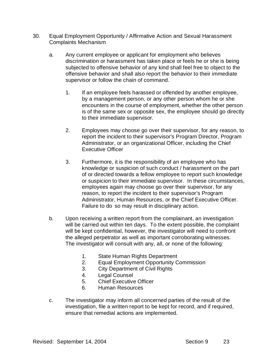- 30. Equal Employment Opportunity / Affirmative Action and Sexual Harassment Complaints Mechanism
	- a. Any current employee or applicant for employment who believes discrimination or harassment has taken place or feels he or she is being subjected to offensive behavior of any kind shall feel free to object to the offensive behavior and shall also report the behavior to their immediate supervisor or follow the chain of command.
		- 1. If an employee feels harassed or offended by another employee, by a management person, or any other person whom he or she encounters in the course of employment, whether the other person is of the same sex or opposite sex, the employee should go directly to their immediate supervisor.
		- 2. Employees may choose go over their supervisor, for any reason, to report the incident to their supervisor's Program Director, Program Administrator, or an organizational Officer, including the Chief Executive Officer
		- 3. Furthermore, it is the responsibility of an employee who has knowledge or suspicion of such conduct / harassment on the part of or directed towards a fellow employee to report such knowledge or suspicion to their immediate supervisor. In these circumstances, employees again may choose go over their supervisor, for any reason, to report the incident to their supervisor's Program Administrator, Human Resources, or the Chief Executive Officer. Failure to do so may result in disciplinary action.
	- b. Upon receiving a written report from the complainant, an investigation will be carried out within ten days. To the extent possible, the complaint will be kept confidential, however, the investigator will need to confront the alleged perpetrator as well as important corroborating witnesses. The investigator will consult with any, all, or none of the following:
		- 1. State Human Rights Department
		- 2. Equal Employment Opportunity Commission
		- 3. City Department of Civil Rights
		- 4. Legal Counsel<br>5. Chief Executive
		- 5. Chief Executive Officer
		- 6. Human Resources
	- c. The investigator may inform all concerned parties of the result of the investigation, file a written report to be kept for record, and if required, ensure that remedial actions are implemented.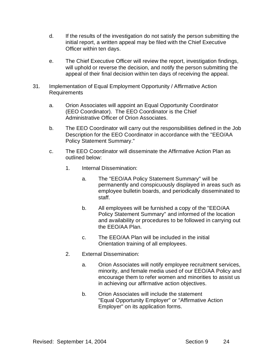- d. If the results of the investigation do not satisfy the person submitting the initial report, a written appeal may be filed with the Chief Executive Officer within ten days.
- e. The Chief Executive Officer will review the report, investigation findings, will uphold or reverse the decision, and notify the person submitting the appeal of their final decision within ten days of receiving the appeal.
- 31. Implementation of Equal Employment Opportunity / Affirmative Action Requirements
	- a. Orion Associates will appoint an Equal Opportunity Coordinator (EEO Coordinator). The EEO Coordinator is the Chief Administrative Officer of Orion Associates.
	- b. The EEO Coordinator will carry out the responsibilities defined in the Job Description for the EEO Coordinator in accordance with the "EEO/AA Policy Statement Summary."
	- c. The EEO Coordinator will disseminate the Affirmative Action Plan as outlined below:
		- 1. Internal Dissemination:
			- a. The "EEO/AA Policy Statement Summary" will be permanently and conspicuously displayed in areas such as employee bulletin boards, and periodically disseminated to staff.
			- b. All employees will be furnished a copy of the "EEO/AA Policy Statement Summary" and informed of the location and availability or procedures to be followed in carrying out the EEO/AA Plan.
			- c. The EEO/AA Plan will be included in the initial Orientation training of all employees.
		- 2. External Dissemination:
			- a. Orion Associates will notify employee recruitment services, minority, and female media used of our EEO/AA Policy and encourage them to refer women and minorities to assist us in achieving our affirmative action objectives.
			- b. Orion Associates will include the statement "Equal Opportunity Employer" or "Affirmative Action Employer" on its application forms.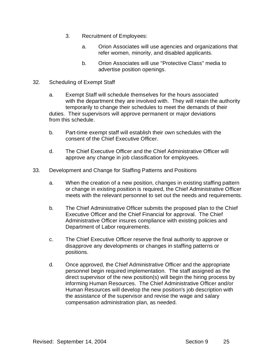- 3. Recruitment of Employees:
	- a. Orion Associates will use agencies and organizations that refer women, minority, and disabled applicants.
	- b. Orion Associates will use "Protective Class" media to advertise position openings.
- 32. Scheduling of Exempt Staff
	- a. Exempt Staff will schedule themselves for the hours associated with the department they are involved with. They will retain the authority temporarily to change their schedules to meet the demands of their duties. Their supervisors will approve permanent or major deviations from this schedule.
	- b. Part-time exempt staff will establish their own schedules with the consent of the Chief Executive Officer.
	- d. The Chief Executive Officer and the Chief Administrative Officer will approve any change in job classification for employees.
- 33. Development and Change for Staffing Patterns and Positions
	- a. When the creation of a new position, changes in existing staffing pattern or change in existing position is required, the Chief Administrative Officer meets with the relevant personnel to set out the needs and requirements.
	- b. The Chief Administrative Officer submits the proposed plan to the Chief Executive Officer and the Chief Financial for approval. The Chief Administrative Officer insures compliance with existing policies and Department of Labor requirements.
	- c. The Chief Executive Officer reserve the final authority to approve or disapprove any developments or changes in staffing patterns or positions.
	- d. Once approved, the Chief Administrative Officer and the appropriate personnel begin required implementation. The staff assigned as the direct supervisor of the new position(s) will begin the hiring process by informing Human Resources. The Chief Administrative Officer and/or Human Resources will develop the new position's job description with the assistance of the supervisor and revise the wage and salary compensation administration plan, as needed.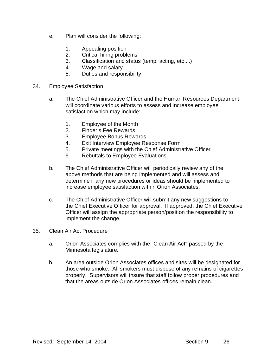- e. Plan will consider the following:
	- 1. Appealing position
	- 2. Critical hiring problems
	- 3. Classification and status (temp, acting, etc....)
	- 4. Wage and salary
	- 5. Duties and responsibility
- 34. Employee Satisfaction
	- a. The Chief Administrative Officer and the Human Resources Department will coordinate various efforts to assess and increase employee satisfaction which may include:
		- 1. Employee of the Month
		- 2. Finder's Fee Rewards
		- 3. Employee Bonus Rewards
		- 4. Exit Interview Employee Response Form
		- 5. Private meetings with the Chief Administrative Officer
		- 6. Rebuttals to Employee Evaluations
	- b. The Chief Administrative Officer will periodically review any of the above methods that are being implemented and will assess and determine if any new procedures or ideas should be implemented to increase employee satisfaction within Orion Associates.
	- c. The Chief Administrative Officer will submit any new suggestions to the Chief Executive Officer for approval. If approved, the Chief Executive Officer will assign the appropriate person/position the responsibility to implement the change.
- 35. Clean Air Act Procedure
	- a. Orion Associates complies with the "Clean Air Act" passed by the Minnesota legislature.
	- b. An area outside Orion Associates offices and sites will be designated for those who smoke. All smokers must dispose of any remains of cigarettes properly. Supervisors will insure that staff follow proper procedures and that the areas outside Orion Associates offices remain clean.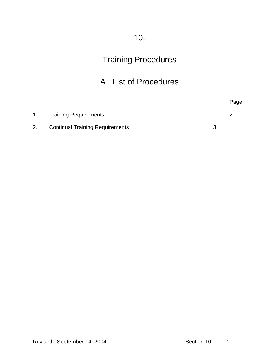# 10.

# Training Procedures

## A. List of Procedures

|    |                                        | Page |
|----|----------------------------------------|------|
| 1. | <b>Training Requirements</b>           |      |
| 2. | <b>Continual Training Requirements</b> |      |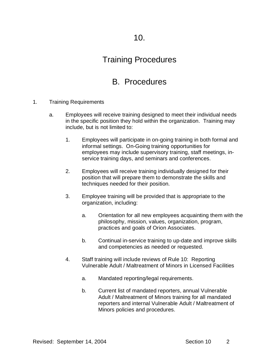### Training Procedures

### B. Procedures

- 1. Training Requirements
	- a. Employees will receive training designed to meet their individual needs in the specific position they hold within the organization. Training may include, but is not limited to:
		- 1. Employees will participate in on-going training in both formal and informal settings. On-Going training opportunities for employees may include supervisory training, staff meetings, inservice training days, and seminars and conferences.
		- 2. Employees will receive training individually designed for their position that will prepare them to demonstrate the skills and techniques needed for their position.
		- 3. Employee training will be provided that is appropriate to the organization, including:
			- a. Orientation for all new employees acquainting them with the philosophy, mission, values, organization, program, practices and goals of Orion Associates.
			- b. Continual in-service training to up-date and improve skills and competencies as needed or requested.
		- 4. Staff training will include reviews of Rule 10: Reporting Vulnerable Adult / Maltreatment of Minors in Licensed Facilities
			- a. Mandated reporting/legal requirements.
			- b. Current list of mandated reporters, annual Vulnerable Adult / Maltreatment of Minors training for all mandated reporters and internal Vulnerable Adult / Maltreatment of Minors policies and procedures.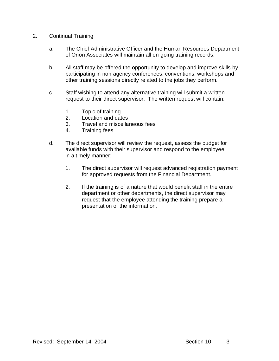- 2. Continual Training
	- a. The Chief Administrative Officer and the Human Resources Department of Orion Associates will maintain all on-going training records:
	- b. All staff may be offered the opportunity to develop and improve skills by participating in non-agency conferences, conventions, workshops and other training sessions directly related to the jobs they perform.
	- c. Staff wishing to attend any alternative training will submit a written request to their direct supervisor. The written request will contain:
		- 1. Topic of training
		- 2. Location and dates
		- 3. Travel and miscellaneous fees
		- 4. Training fees
	- d. The direct supervisor will review the request, assess the budget for available funds with their supervisor and respond to the employee in a timely manner:
		- 1. The direct supervisor will request advanced registration payment for approved requests from the Financial Department.
		- 2. If the training is of a nature that would benefit staff in the entire department or other departments, the direct supervisor may request that the employee attending the training prepare a presentation of the information.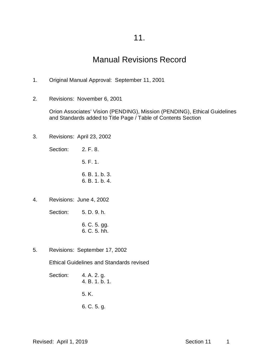### 11.

### Manual Revisions Record

- 1. Original Manual Approval: September 11, 2001
- 2. Revisions: November 6, 2001

Orion Associates' Vision (PENDING), Mission (PENDING), Ethical Guidelines and Standards added to Title Page / Table of Contents Section

3. Revisions: April 23, 2002

Section: 2. F. 8.

5. F. 1.

6. B. 1. b. 3. 6. B. 1. b. 4.

4. Revisions: June 4, 2002

Section: 5. D. 9. h.

- 6. C. 5. gg. 6. C. 5. hh.
- 5. Revisions: September 17, 2002

Ethical Guidelines and Standards revised

Section: 4. A. 2. g. 4. B. 1. b. 1. 5. K. 6. C. 5. g.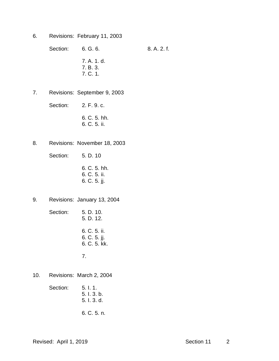6. Revisions: February 11, 2003

Section: 6. G. 6. 6. 8. A. 2. f. 7. A. 1. d. 7. B. 3. 7. C. 1.

7. Revisions: September 9, 2003

Section: 2. F. 9. c.

- 6. C. 5. hh. 6. C. 5. ii.
- 8. Revisions: November 18, 2003
	- Section: 5. D. 10
		- 6. C. 5. hh. 6. C. 5. ii. 6. C. 5. jj.
- 9. Revisions: January 13, 2004
	- Section: 5. D. 10. 5. D. 12. 6. C. 5. ii. 6. C. 5. jj. 6. C. 5. kk. 7.
- 10. Revisions: March 2, 2004
	- Section: 5. I. 1. 5. I. 3. b. 5. I. 3. d.
		- 6. C. 5. n.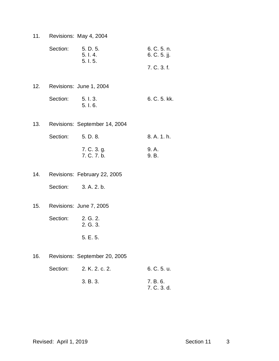11. Revisions: May 4, 2004

| Section: | 5. D. 5. | 6. C. 5. n.  |
|----------|----------|--------------|
|          | 5. l. 4. | 6. C. 5. ji. |
|          | 5.1.5.   |              |
|          |          | 7. C. 3. f.  |

- 12. Revisions: June 1, 2004 Section: 5. I. 3. 6. C. 5. kk. 5. I. 6.
- 13. Revisions: September 14, 2004

| Section: 5. D. 8. |                            | 8. A. 1. h.    |
|-------------------|----------------------------|----------------|
|                   | 7. C. 3. g.<br>7. C. 7. b. | 9. A.<br>9. B. |

14. Revisions: February 22, 2005

Section: 3. A. 2. b.

15. Revisions: June 7, 2005

Section: 2. G. 2. 2. G. 3.

5. E. 5.

16. Revisions: September 20, 2005

| Section: 2. K. 2. c. 2. | 6. C. 5. u.             |
|-------------------------|-------------------------|
| 3. B. 3.                | 7. B. 6.<br>7. C. 3. d. |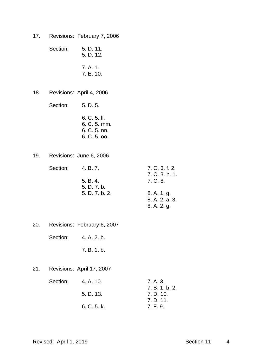17. Revisions: February 7, 2006

Section: 5. D. 11. 5. D. 12. 7. A. 1. 7. E. 10.

18. Revisions: April 4, 2006

Section: 5. D. 5.

- 6. C. 5. ll. 6. C. 5. mm. 6. C. 5. nn. 6. C. 5. oo.
- 19. Revisions: June 6, 2006

| Section: | 4. B. 7.       | 7. C. 3. f. 2. |
|----------|----------------|----------------|
|          |                | 7. C. 3. h. 1. |
|          | 5. B. 4.       | 7. C. 8.       |
|          | 5. D. 7. b.    |                |
|          | 5. D. 7. b. 2. | 8. A. 1. g.    |
|          |                | 8. A. 2. a. 3. |
|          |                | 8. A. 2. g.    |

20. Revisions: February 6, 2007

Section: 4. A. 2. b.

7. B. 1. b.

21. Revisions: April 17, 2007

| Section: | 4. A. 10.   | 7. A. 3.       |
|----------|-------------|----------------|
|          |             | 7. B. 1. b. 2. |
|          | 5. D. 13.   | 7. D. 10.      |
|          |             | 7. D. 11.      |
|          | 6. C. 5. k. | 7. F. 9.       |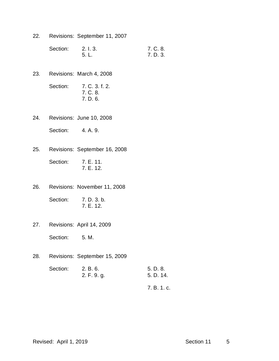22. Revisions: September 11, 2007

| Section: | 2. l. 3. | 7. C. 8. |
|----------|----------|----------|
|          | . 5. L.  | 7. D. 3. |

- 23. Revisions: March 4, 2008
	- Section: 7. C. 3. f. 2. 7. C. 8. 7. D. 6.
- 24. Revisions: June 10, 2008
	- Section: 4. A. 9.
- 25. Revisions: September 16, 2008
	- Section: 7. E. 11. 7. E. 12.
- 26. Revisions: November 11, 2008

Section: 7. D. 3. b. 7. E. 12.

27. Revisions: April 14, 2009

Section: 5. M.

28. Revisions: September 15, 2009

| Section: 2. B. 6. |             | 5. D. 8.  |
|-------------------|-------------|-----------|
|                   | 2. F. 9. g. | 5. D. 14. |
|                   |             |           |

7. B. 1. c.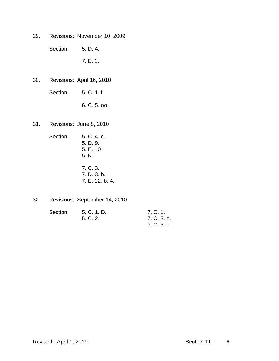29. Revisions: November 10, 2009

Section: 5. D. 4.

7. E. 1.

30. Revisions: April 16, 2010

Section: 5. C. 1. f.

6. C. 5. oo.

31. Revisions: June 8, 2010

| Section: | 5. C. 4. c.<br>5. D. 9.<br>5. E. 10<br>5. N. |
|----------|----------------------------------------------|
|          | 7. C. 3.<br>7. D. 3. b.<br>7. E. 12. b. 4.   |

32. Revisions: September 14, 2010

| Section: | 5. C. 1. D. | 7. C. 1.    |
|----------|-------------|-------------|
|          | 5. C. 2.    | 7. C. 3. e. |
|          |             | 7. C. 3. h. |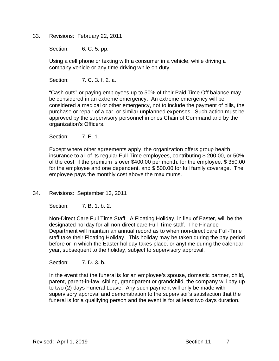33. Revisions: February 22, 2011

Section: 6. C. 5. pp.

Using a cell phone or texting with a consumer in a vehicle, while driving a company vehicle or any time driving while on duty.

Section: 7. C. 3. f. 2. a.

"Cash outs" or paying employees up to 50% of their Paid Time Off balance may be considered in an extreme emergency. An extreme emergency will be considered a medical or other emergency, not to include the payment of bills, the purchase or repair of a car, or similar unplanned expenses. Such action must be approved by the supervisory personnel in ones Chain of Command and by the organization's Officers.

Section: **7. E. 1.** 

Except where other agreements apply, the organization offers group health insurance to all of its regular Full-Time employees, contributing \$ 200.00, or 50% of the cost, if the premium is over \$400.00 per month, for the employee, \$ 350.00 for the employee and one dependent, and \$ 500.00 for full family coverage. The employee pays the monthly cost above the maximums.

34. Revisions: September 13, 2011

Section: 7. B. 1. b. 2.

Non-Direct Care Full Time Staff: A Floating Holiday, in lieu of Easter, will be the designated holiday for all non-direct care Full-Time staff. The Finance Department will maintain an annual record as to when non-direct care Full-Time staff take their Floating Holiday. This holiday may be taken during the pay period before or in which the Easter holiday takes place, or anytime during the calendar year, subsequent to the holiday, subject to supervisory approval.

Section: 7. D. 3. b.

In the event that the funeral is for an employee's spouse, domestic partner, child, parent, parent-in-law, sibling, grandparent or grandchild, the company will pay up to two (2) days Funeral Leave. Any such payment will only be made with supervisory approval and demonstration to the supervisor's satisfaction that the funeral is for a qualifying person and the event is for at least two days duration.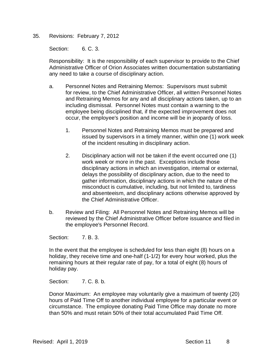#### 35. Revisions: February 7, 2012

Section: 6. C. 3.

Responsibility: It is the responsibility of each supervisor to provide to the Chief Administrative Officer of Orion Associates written documentation substantiating any need to take a course of disciplinary action.

- a. Personnel Notes and Retraining Memos: Supervisors must submit for review, to the Chief Administrative Officer, all written Personnel Notes and Retraining Memos for any and all disciplinary actions taken, up to an including dismissal. Personnel Notes must contain a warning to the employee being disciplined that, if the expected improvement does not occur, the employee's position and income will be in jeopardy of loss.
	- 1. Personnel Notes and Retraining Memos must be prepared and issued by supervisors in a timely manner, within one (1) work week of the incident resulting in disciplinary action.
	- 2. Disciplinary action will not be taken if the event occurred one (1) work week or more in the past. Exceptions include those disciplinary actions in which an investigation, internal or external, delays the possibility of disciplinary action, due to the need to gather information, disciplinary actions in which the nature of the misconduct is cumulative, including, but not limited to, tardiness and absenteeism, and disciplinary actions otherwise approved by the Chief Administrative Officer.
- b. Review and Filing: All Personnel Notes and Retraining Memos will be reviewed by the Chief Administrative Officer before issuance and filed in the employee's Personnel Record.

Section: 7. B. 3.

In the event that the employee is scheduled for less than eight (8) hours on a holiday, they receive time and one-half (1-1/2) for every hour worked, plus the remaining hours at their regular rate of pay, for a total of eight (8) hours of holiday pay.

Section: 7. C. 8. b.

Donor Maximum: An employee may voluntarily give a maximum of twenty (20) hours of Paid Time Off to another individual employee for a particular event or circumstance. The employee donating Paid Time Office may donate no more than 50% and must retain 50% of their total accumulated Paid Time Off.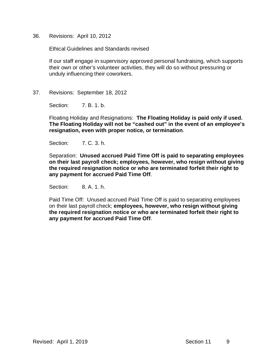36. Revisions: April 10, 2012

Ethical Guidelines and Standards revised

If our staff engage in supervisory approved personal fundraising, which supports their own or other's volunteer activities, they will do so without pressuring or unduly influencing their coworkers.

#### 37. Revisions: September 18, 2012

Section: 7. B. 1. b.

Floating Holiday and Resignations: **The Floating Holiday is paid only if used. The Floating Holiday will not be "cashed out" in the event of an employee's resignation, even with proper notice, or termination**.

Section: 7. C. 3. h.

Separation: **Unused accrued Paid Time Off is paid to separating employees on their last payroll check; employees, however, who resign without giving the required resignation notice or who are terminated forfeit their right to any payment for accrued Paid Time Off**.

Section: 8. A. 1. h.

Paid Time Off: Unused accrued Paid Time Off is paid to separating employees on their last payroll check; **employees, however, who resign without giving the required resignation notice or who are terminated forfeit their right to any payment for accrued Paid Time Off**.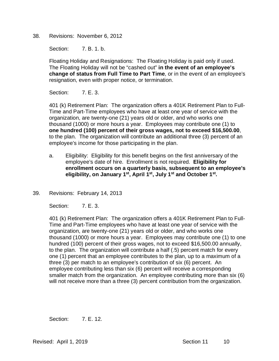38. Revisions: November 6, 2012

Section: 7. B. 1. b.

Floating Holiday and Resignations: The Floating Holiday is paid only if used. The Floating Holiday will not be "cashed out" **in the event of an employee's change of status from Full Time to Part Time**, or in the event of an employee's resignation, even with proper notice, or termination.

Section: **7. E. 3.** 

401 (k) Retirement Plan: The organization offers a 401K Retirement Plan to Full-Time and Part-Time employees who have at least one year of service with the organization, are twenty-one (21) years old or older, and who works one thousand (1000) or more hours a year. Employees may contribute one (1) to **one hundred (100) percent of their gross wages, not to exceed \$16,500.00**, to the plan. The organization will contribute an additional three (3) percent of an employee's income for those participating in the plan.

- a. Eligibility: Eligibility for this benefit begins on the first anniversary of the employee's date of hire. Enrollment is not required. **Eligibility for enrollment occurs on a quarterly basis, subsequent to an employee's eligibility, on January 1st, April 1st, July 1st and October 1st.**
- 39. Revisions: February 14, 2013

Section: **7. E. 3.** 

401 (k) Retirement Plan: The organization offers a 401K Retirement Plan to Full-Time and Part-Time employees who have at least one year of service with the organization, are twenty-one (21) years old or older, and who works one thousand (1000) or more hours a year. Employees may contribute one (1) to one hundred (100) percent of their gross wages, not to exceed \$16,500.00 annually, to the plan. The organization will contribute a half (.5) percent match for every one (1) percent that an employee contributes to the plan, up to a maximum of a three (3) per match to an employee's contribution of six (6) percent. An employee contributing less than six (6) percent will receive a corresponding smaller match from the organization. An employee contributing more than six (6) will not receive more than a three (3) percent contribution from the organization.

Section: **7. E. 12.**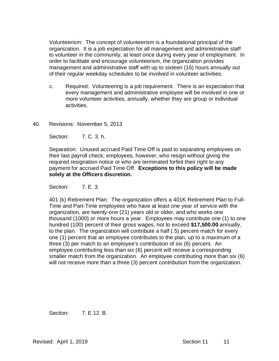Volunteerism: The concept of volunteerism is a foundational principal of the organization. It is a job expectation for all management and administrative staff to volunteer in the community, at least once during every year of employment. In order to facilitate and encourage volunteerism, the organization provides management and administrative staff with up to sixteen (16) hours annually out of their regular weekday schedules to be involved in volunteer activities.

- c. Required: Volunteering is a job requirement. There is an expectation that every management and administrative employee will be involved in one or more volunteer activities, annually, whether they are group or individual activities.
- 40. Revisions: November 5, 2013

Section: 7. C. 3. h.

Separation: Unused accrued Paid Time Off is paid to separating employees on their last payroll check; employees, however, who resign without giving the required resignation notice or who are terminated forfeit their right to any payment for accrued Paid Time Off. **Exceptions to this policy will be made solely at the Officers discretion.**

Section: **7. E. 3.** 

401 (k) Retirement Plan: The organization offers a 401K Retirement Plan to Full-Time and Part-Time employees who have at least one year of service with the organization, are twenty-one (21) years old or older, and who works one thousand (1000) or more hours a year. Employees may contribute one (1) to one hundred (100) percent of their gross wages, not to exceed **\$17,500.00** annually, to the plan. The organization will contribute a half (.5) percent match for every one (1) percent that an employee contributes to the plan, up to a maximum of a three (3) per match to an employee's contribution of six (6) percent. An employee contributing less than six (6) percent will receive a corresponding smaller match from the organization. An employee contributing more than six (6) will not receive more than a three (3) percent contribution from the organization.

Section: 7. E 12. B.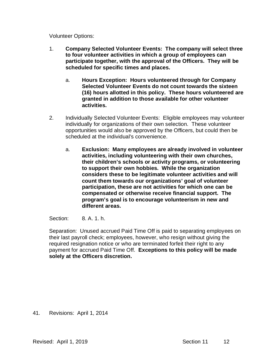Volunteer Options:

- 1. **Company Selected Volunteer Events: The company will select three to four volunteer activities in which a group of employees can participate together, with the approval of the Officers. They will be scheduled for specific times and places.**
	- a. **Hours Exception: Hours volunteered through for Company Selected Volunteer Events do not count towards the sixteen (16) hours allotted in this policy. These hours volunteered are granted in addition to those available for other volunteer activities.**
- 2. Individually Selected Volunteer Events: Eligible employees may volunteer individually for organizations of their own selection. These volunteer opportunities would also be approved by the Officers, but could then be scheduled at the individual's convenience.
	- a. **Exclusion: Many employees are already involved in volunteer activities, including volunteering with their own churches, their children's schools or activity programs, or volunteering to support their own hobbies. While the organization considers these to be legitimate volunteer activities and will count them towards our organizations' goal of volunteer participation, these are not activities for which one can be compensated or otherwise receive financial support. The program's goal is to encourage volunteerism in new and different areas.**

Section: 8. A. 1. h.

Separation: Unused accrued Paid Time Off is paid to separating employees on their last payroll check; employees, however, who resign without giving the required resignation notice or who are terminated forfeit their right to any payment for accrued Paid Time Off. **Exceptions to this policy will be made solely at the Officers discretion.**

41. Revisions: April 1, 2014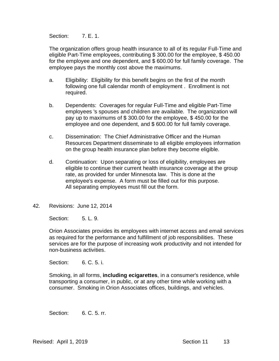Section: **7. E. 1.** 

The organization offers group health insurance to all of its regular Full-Time and eligible Part-Time employees, contributing \$ 300.00 for the employee, \$ 450.00 for the employee and one dependent, and \$ 600.00 for full family coverage. The employee pays the monthly cost above the maximums.

- a. Eligibility: Eligibility for this benefit begins on the first of the month following one full calendar month of employment . Enrollment is not required.
- b. Dependents: Coverages for regular Full-Time and eligible Part-Time employees 's spouses and children are available. The organization will pay up to maximums of \$ 300.00 for the employee, \$ 450.00 for the employee and one dependent, and \$ 600.00 for full family coverage.
- c. Dissemination: The Chief Administrative Officer and the Human Resources Department disseminate to all eligible employees information on the group health insurance plan before they become eligible.
- d. Continuation: Upon separating or loss of eligibility, employees are eligible to continue their current health insurance coverage at the group rate, as provided for under Minnesota law. This is done at the employee's expense. A form must be filled out for this purpose. All separating employees must fill out the form.
- 42. Revisions: June 12, 2014

Section: 5. L. 9.

Orion Associates provides its employees with internet access and email services as required for the performance and fulfillment of job responsibilities. These services are for the purpose of increasing work productivity and not intended for non-business activities.

Section: 6. C. 5. i.

Smoking, in all forms, **including ecigarettes**, in a consumer's residence, while transporting a consumer, in public, or at any other time while working with a consumer. Smoking in Orion Associates offices, buildings, and vehicles.

Section: 6. C. 5. rr.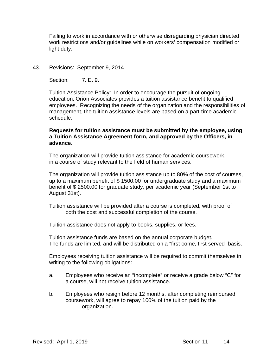Failing to work in accordance with or otherwise disregarding physician directed work restrictions and/or guidelines while on workers' compensation modified or light duty.

43. Revisions: September 9, 2014

Section: **7. E. 9.** 

Tuition Assistance Policy: In order to encourage the pursuit of ongoing education, Orion Associates provides a tuition assistance benefit to qualified employees. Recognizing the needs of the organization and the responsibilities of management, the tuition assistance levels are based on a part-time academic schedule.

#### **Requests for tuition assistance must be submitted by the employee, using a Tuition Assistance Agreement form, and approved by the Officers, in advance.**

The organization will provide tuition assistance for academic coursework, in a course of study relevant to the field of human services.

The organization will provide tuition assistance up to 80% of the cost of courses, up to a maximum benefit of \$ 1500.00 for undergraduate study and a maximum benefit of \$ 2500.00 for graduate study, per academic year (September 1st to August 31st).

Tuition assistance will be provided after a course is completed, with proof of both the cost and successful completion of the course.

Tuition assistance does not apply to books, supplies, or fees.

Tuition assistance funds are based on the annual corporate budget. The funds are limited, and will be distributed on a "first come, first served" basis.

Employees receiving tuition assistance will be required to commit themselves in writing to the following obligations:

- a. Employees who receive an "incomplete" or receive a grade below "C" for a course, will not receive tuition assistance.
- b. Employees who resign before 12 months, after completing reimbursed coursework, will agree to repay 100% of the tuition paid by the organization.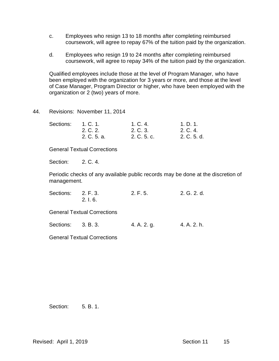- c. Employees who resign 13 to 18 months after completing reimbursed coursework, will agree to repay 67% of the tuition paid by the organization.
- d. Employees who resign 19 to 24 months after completing reimbursed coursework, will agree to repay 34% of the tuition paid by the organization.

Qualified employees include those at the level of Program Manager, who have been employed with the organization for 3 years or more, and those at the level of Case Manager, Program Director or higher, who have been employed with the organization or 2 (two) years of more.

44. Revisions: November 11, 2014

| Sections: | 1, C, 1.    | 1. C. 4.    | 1. D. 1.    |
|-----------|-------------|-------------|-------------|
|           | 2. C. 2.    | 2. C. 3.    | 2. C. 4.    |
|           | 2. C. 5. a. | 2. C. 5. c. | 2. C. 5. d. |

General Textual Corrections

Section: 2. C. 4.

Periodic checks of any available public records may be done at the discretion of management.

| Sections: 2. F. 3. | 2.1.6.                             | 2. F. 5. | 2. G. 2. d. |
|--------------------|------------------------------------|----------|-------------|
|                    | <b>General Textual Corrections</b> |          |             |

Sections: 3. B. 3. 4. A. 2. g. 4. A. 2. h.

General Textual Corrections

Section: 5. B. 1.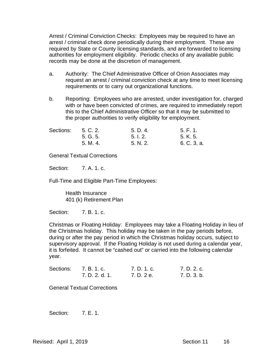Arrest / Criminal Conviction Checks: Employees may be required to have an arrest / criminal check done periodically during their employment. These are required by State or County licensing standards, and are forwarded to licensing authorities for employment eligibility. Periodic checks of any available public records may be done at the discretion of management.

- a. Authority: The Chief Administrative Officer of Orion Associates may request an arrest / criminal conviction check at any time to meet licensing requirements or to carry out organizational functions.
- b. Reporting: Employees who are arrested, under investigation for, charged with or have been convicted of crimes, are required to immediately report this to the Chief Administrative Officer so that it may be submitted to the proper authorities to verify eligibility for employment.

| Sections: | 5. C. 2. | 5. D. 4. | 5. F. 1.    |
|-----------|----------|----------|-------------|
|           | 5. G. 5. | 5.1.2.   | 5. K. 5.    |
|           | 5. M. 4. | 5. N. 2. | 6. C. 3. a. |

General Textual Corrections

Section: 7. A. 1. c.

Full-Time and Eligible Part-Time Employees:

Health Insurance 401 (k) Retirement Plan

Section: 7. B. 1. c.

Christmas or Floating Holiday: Employees may take a Floating Holiday in lieu of the Christmas holiday. This holiday may be taken in the pay periods before, during or after the pay period in which the Christmas holiday occurs, subject to supervisory approval. If the Floating Holiday is not used during a calendar year, it is forfeited. It cannot be "cashed out" or carried into the following calendar year.

| Sections: | 7. B. 1. c.    | 7. D. 1. c. | 7. D. 2. c. |
|-----------|----------------|-------------|-------------|
|           | 7. D. 2. d. 1. | 7. D. 2 e.  | 7. D. 3. b. |

General Textual Corrections

Section: **7. E. 1.**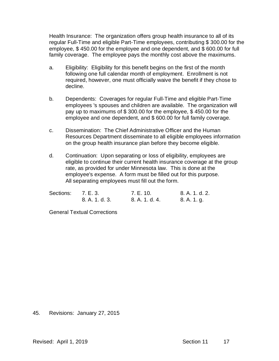Health Insurance: The organization offers group health insurance to all of its regular Full-Time and eligible Part-Time employees, contributing \$ 300.00 for the employee, \$ 450.00 for the employee and one dependent, and \$ 600.00 for full family coverage. The employee pays the monthly cost above the maximums.

- a. Eligibility: Eligibility for this benefit begins on the first of the month following one full calendar month of employment. Enrollment is not required, however, one must officially waive the benefit if they chose to decline.
- b. Dependents: Coverages for regular Full-Time and eligible Part-Time employees 's spouses and children are available. The organization will pay up to maximums of \$ 300.00 for the employee, \$ 450.00 for the employee and one dependent, and \$ 600.00 for full family coverage.
- c. Dissemination: The Chief Administrative Officer and the Human Resources Department disseminate to all eligible employees information on the group health insurance plan before they become eligible.
- d. Continuation: Upon separating or loss of eligibility, employees are eligible to continue their current health insurance coverage at the group rate, as provided for under Minnesota law. This is done at the employee's expense. A form must be filled out for this purpose. All separating employees must fill out the form.

| Sections: 7. E. 3. |                | 7. E. 10.      | 8. A. 1. d. 2. |
|--------------------|----------------|----------------|----------------|
|                    | 8. A. 1. d. 3. | 8. A. 1. d. 4. | 8. A. 1. g.    |

General Textual Corrections

#### 45. Revisions: January 27, 2015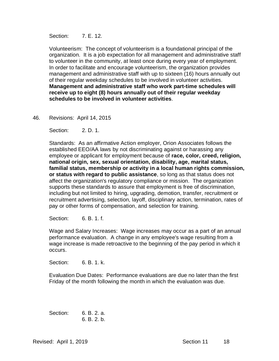Section: **7. E. 12.** 

Volunteerism: The concept of volunteerism is a foundational principal of the organization. It is a job expectation for all management and administrative staff to volunteer in the community, at least once during every year of employment. In order to facilitate and encourage volunteerism, the organization provides management and administrative staff with up to sixteen (16) hours annually out of their regular weekday schedules to be involved in volunteer activities. **Management and administrative staff who work part-time schedules will receive up to eight (8) hours annually out of their regular weekday schedules to be involved in volunteer activities**.

#### 46. Revisions: April 14, 2015

Section: 2. D. 1.

Standards: As an affirmative Action employer, Orion Associates follows the established EEO/AA laws by not discriminating against or harassing any employee or applicant for employment because of **race, color, creed, religion, national origin, sex, sexual orientation, disability, age, marital status, familial status, membership or activity in a local human rights commission, or status with regard to public assistance**, so long as that status does not affect the organization's regulatory compliance or mission. The organization supports these standards to assure that employment is free of discrimination, including but not limited to hiring, upgrading, demotion, transfer, recruitment or recruitment advertising, selection, layoff, disciplinary action, termination, rates of pay or other forms of compensation, and selection for training.

Section: 6. B. 1. f.

Wage and Salary Increases: Wage increases may occur as a part of an annual performance evaluation. A change in any employee's wage resulting from a wage increase is made retroactive to the beginning of the pay period in which it occurs.

Section: 6. B. 1. k.

Evaluation Due Dates: Performance evaluations are due no later than the first Friday of the month following the month in which the evaluation was due.

Section: 6. B. 2. a. 6. B. 2. b.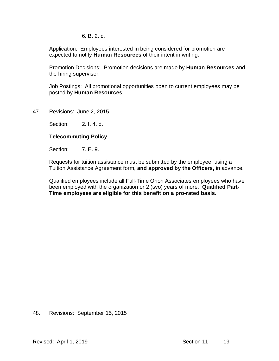6. B. 2. c.

Application: Employees interested in being considered for promotion are expected to notify **Human Resources** of their intent in writing.

Promotion Decisions: Promotion decisions are made by **Human Resources** and the hiring supervisor.

Job Postings: All promotional opportunities open to current employees may be posted by **Human Resources**.

47. Revisions: June 2, 2015

Section: 2. I. 4. d.

#### **Telecommuting Policy**

Section: **7. E. 9.** 

Requests for tuition assistance must be submitted by the employee, using a Tuition Assistance Agreement form, **and approved by the Officers,** in advance.

Qualified employees include all Full-Time Orion Associates employees who have been employed with the organization or 2 (two) years of more. **Qualified Part-Time employees are eligible for this benefit on a pro-rated basis.**

#### 48. Revisions: September 15, 2015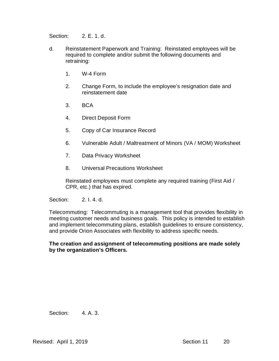Section: 2. E. 1. d.

- d. Reinstatement Paperwork and Training: Reinstated employees will be required to complete and/or submit the following documents and retraining:
	- 1. W-4 Form
	- 2. Change Form, to include the employee's resignation date and reinstatement date
	- 3. BCA
	- 4. Direct Deposit Form
	- 5. Copy of Car Insurance Record
	- 6. Vulnerable Adult / Maltreatment of Minors (VA / MOM) Worksheet
	- 7. Data Privacy Worksheet
	- 8. Universal Precautions Worksheet

Reinstated employees must complete any required training (First Aid / CPR, etc.) that has expired.

Section: 2. I. 4. d.

Telecommuting: Telecommuting is a management tool that provides flexibility in meeting customer needs and business goals. This policy is intended to establish and implement telecommuting plans, establish guidelines to ensure consistency, and provide Orion Associates with flexibility to address specific needs.

#### **The creation and assignment of telecommuting positions are made solely by the organization's Officers.**

Section: 4. A. 3.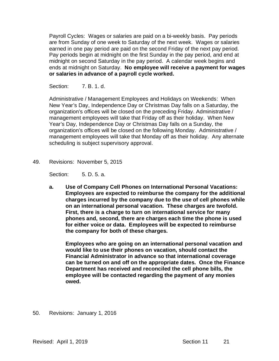Payroll Cycles: Wages or salaries are paid on a bi-weekly basis. Pay periods are from Sunday of one week to Saturday of the next week. Wages or salaries earned in one pay period are paid on the second Friday of the next pay period. Pay periods begin at midnight on the first Sunday in the pay period, and end at midnight on second Saturday in the pay period. A calendar week begins and ends at midnight on Saturday. **No employee will receive a payment for wages or salaries in advance of a payroll cycle worked.**

Section: 7. B. 1. d.

Administrative / Management Employees and Holidays on Weekends: When New Year's Day, Independence Day or Christmas Day falls on a Saturday, the organization's offices will be closed on the preceding Friday. Administrative / management employees will take that Friday off as their holiday. When New Year's Day, Independence Day or Christmas Day falls on a Sunday, the organization's offices will be closed on the following Monday. Administrative / management employees will take that Monday off as their holiday. Any alternate scheduling is subject supervisory approval.

49. Revisions: November 5, 2015

Section: 5. D. 5. a.

**a. Use of Company Cell Phones on International Personal Vacations: Employees are expected to reimburse the company for the additional charges incurred by the company due to the use of cell phones while on an international personal vacation. These charges are twofold. First, there is a charge to turn on international service for many phones and, second, there are charges each time the phone is used for either voice or data. Employees will be expected to reimburse the company for both of these charges.**

**Employees who are going on an international personal vacation and would like to use their phones on vacation, should contact the Financial Administrator in advance so that international coverage can be turned on and off on the appropriate dates. Once the Finance Department has received and reconciled the cell phone bills, the employee will be contacted regarding the payment of any monies owed.**

50. Revisions: January 1, 2016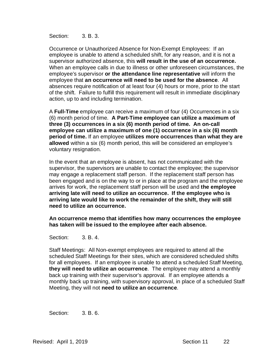Section: 3. B. 3.

Occurrence or Unauthorized Absence for Non-Exempt Employees: If an employee is unable to attend a scheduled shift, for any reason, and it is not a supervisor authorized absence, this **will result in the use of an occurrence.** When an employee calls in due to illness or other unforeseen circumstances, the employee's supervisor **or the attendance line representative** will inform the employee that **an occurrence will need to be used for the absence**. All absences require notification of at least four (4) hours or more, prior to the start of the shift. Failure to fulfill this requirement will result in immediate disciplinary action, up to and including termination.

A **Full-Time** employee can receive a maximum of four (4) Occurrences in a six (6) month period of time. **A Part-Time employee can utilize a maximum of three (3) occurrences in a six (6) month period of time. An on-call employee can utilize a maximum of one (1) occurrence in a six (6) month period of time.** If an employee **utilizes more occurrences than what they are allowed** within a six (6) month period, this will be considered an employee's voluntary resignation.

In the event that an employee is absent, has not communicated with the supervisor, the supervisors are unable to contact the employee; the supervisor may engage a replacement staff person. If the replacement staff person has been engaged and is on the way to or in place at the program and the employee arrives for work, the replacement staff person will be used and **the employee arriving late will need to utilize an occurrence. If the employee who is arriving late would like to work the remainder of the shift, they will still need to utilize an occurrence.** 

**An occurrence memo that identifies how many occurrences the employee has taken will be issued to the employee after each absence.**

Section: 3. B. 4.

Staff Meetings: All Non-exempt employees are required to attend all the scheduled Staff Meetings for their sites, which are considered scheduled shifts for all employees. If an employee is unable to attend a scheduled Staff Meeting, **they will need to utilize an occurrence**. The employee may attend a monthly back up training with their supervisor's approval. If an employee attends a monthly back up training, with supervisory approval, in place of a scheduled Staff Meeting, they will not **need to utilize an occurrence**.

Section: 3. B. 6.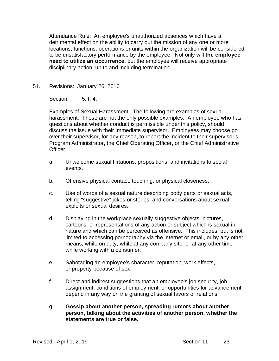Attendance Rule: An employee's unauthorized absences which have a detrimental effect on the ability to carry out the mission of any one or more locations, functions, operations or units within the organization will be considered to be unsatisfactory performance by the employee. Not only will **the employee need to utilize an occurrence**, but the employee will receive appropriate disciplinary action, up to and including termination.

51. Revisions: January 26, 2016

Section: 5.1.4

Examples of Sexual Harassment: The following are examples of sexual harassment. These are not the only possible examples. An employee who has questions about whether conduct is permissible under this policy, should discuss the issue with their immediate supervisor. Employees may choose go over their supervisor, for any reason, to report the incident to their supervisor's Program Administrator, the Chief Operating Officer, or the Chief Administrative **Officer** 

- a. Unwelcome sexual flirtations, propositions, and invitations to social events.
- b. Offensive physical contact, touching, or physical closeness.
- c. Use of words of a sexual nature describing body parts or sexual acts, telling "suggestive" jokes or stories, and conversations about sexual exploits or sexual desires.
- d. Displaying in the workplace sexually suggestive objects, pictures, cartoons, or representations of any action or subject which is sexual in nature and which can be perceived as offensive. This includes, but is not limited to accessing pornography via the internet or email, or by any other means, while on duty, while at any company site, or at any other time while working with a consumer.
- e. Sabotaging an employee's character, reputation, work effects, or property because of sex.
- f. Direct and indirect suggestions that an employee's job security, job assignment, conditions of employment, or opportunities for advancement depend in any way on the granting of sexual favors or relations.
- g. **Gossip about another person, spreading rumors about another person, talking about the activities of another person, whether the statements are true or false.**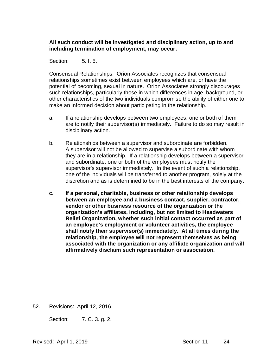## **All such conduct will be investigated and disciplinary action, up to and including termination of employment, may occur.**

## Section: 5.1.5.

Consensual Relationships: Orion Associates recognizes that consensual relationships sometimes exist between employees which are, or have the potential of becoming, sexual in nature. Orion Associates strongly discourages such relationships, particularly those in which differences in age, background, or other characteristics of the two individuals compromise the ability of either one to make an informed decision about participating in the relationship.

- a. If a relationship develops between two employees, one or both of them are to notify their supervisor(s) immediately. Failure to do so may result in disciplinary action.
- b. Relationships between a supervisor and subordinate are forbidden. A supervisor will not be allowed to supervise a subordinate with whom they are in a relationship. If a relationship develops between a supervisor and subordinate, one or both of the employees must notify the supervisor's supervisor immediately. In the event of such a relationship, one of the individuals will be transferred to another program, solely at the discretion and as is determined to be in the best interests of the company.
- **c. If a personal, charitable, business or other relationship develops between an employee and a business contact, supplier, contractor, vendor or other business resource of the organization or the organization's affiliates, including, but not limited to Headwaters Relief Organization, whether such initial contact occurred as part of an employee's employment or volunteer activities, the employee shall notify their supervisor(s) immediately. At all times during the relationship, the employee will not represent themselves as being associated with the organization or any affiliate organization and will affirmatively disclaim such representation or association.**

52. Revisions: April 12, 2016

Section: 7. C. 3. g. 2.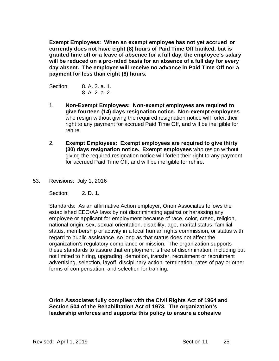**Exempt Employees: When an exempt employee has not yet accrued or currently does not have eight (8) hours of Paid Time Off banked, but is granted time off or a leave of absence for a full day, the employee's salary will be reduced on a pro-rated basis for an absence of a full day for every day absent. The employee will receive no advance in Paid Time Off nor a payment for less than eight (8) hours.**

Section: 8. A. 2. a. 1. 8. A. 2. a. 2.

- 1. **Non-Exempt Employees: Non-exempt employees are required to give fourteen (14) days resignation notice. Non-exempt employees** who resign without giving the required resignation notice will forfeit their right to any payment for accrued Paid Time Off, and will be ineligible for rehire.
- 2. **Exempt Employees: Exempt employees are required to give thirty (30) days resignation notice. Exempt employees** who resign without giving the required resignation notice will forfeit their right to any payment for accrued Paid Time Off, and will be ineligible for rehire.
- 53. Revisions: July 1, 2016

Section: 2. D. 1.

Standards: As an affirmative Action employer, Orion Associates follows the established EEO/AA laws by not discriminating against or harassing any employee or applicant for employment because of race, color, creed, religion, national origin, sex, sexual orientation, disability, age, marital status, familial status, membership or activity in a local human rights commission, or status with regard to public assistance, so long as that status does not affect the organization's regulatory compliance or mission. The organization supports these standards to assure that employment is free of discrimination, including but not limited to hiring, upgrading, demotion, transfer, recruitment or recruitment advertising, selection, layoff, disciplinary action, termination, rates of pay or other forms of compensation, and selection for training.

## **Orion Associates fully complies with the Civil Rights Act of 1964 and Section 504 of the Rehabilitation Act of 1973. The organization's leadership enforces and supports this policy to ensure a cohesive**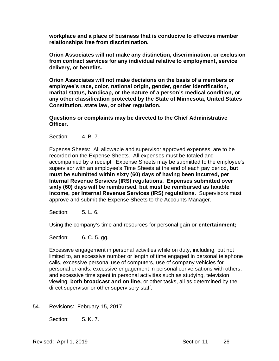**workplace and a place of business that is conducive to effective member relationships free from discrimination.**

**Orion Associates will not make any distinction, discrimination, or exclusion from contract services for any individual relative to employment, service delivery, or benefits.** 

**Orion Associates will not make decisions on the basis of a members or employee's race, color, national origin, gender, gender identification, marital status, handicap, or the nature of a person's medical condition, or any other classification protected by the State of Minnesota, United States Constitution, state law, or other regulation.**

**Questions or complaints may be directed to the Chief Administrative Officer.**

Section: 4. B. 7.

Expense Sheets: All allowable and supervisor approved expenses are to be recorded on the Expense Sheets. All expenses must be totaled and accompanied by a receipt. Expense Sheets may be submitted to the employee's supervisor with an employee's Time Sheets at the end of each pay period, **but must be submitted within sixty (60) days of having been incurred, per Internal Revenue Services (IRS) regulations. Expenses submitted over sixty (60) days will be reimbursed, but must be reimbursed as taxable income, per Internal Revenue Services (IRS) regulations.** Supervisors must approve and submit the Expense Sheets to the Accounts Manager.

Section: 5. L. 6.

Using the company's time and resources for personal gain **or entertainment;**

Section: 6. C. 5. gg.

Excessive engagement in personal activities while on duty, including, but not limited to, an excessive number or length of time engaged in personal telephone calls, excessive personal use of computers, use of company vehicles for personal errands, excessive engagement in personal conversations with others, and excessive time spent in personal activities such as studying, television viewing, **both broadcast and on line,** or other tasks, all as determined by the direct supervisor or other supervisory staff.

54. Revisions: February 15, 2017

Section: 5. K. 7.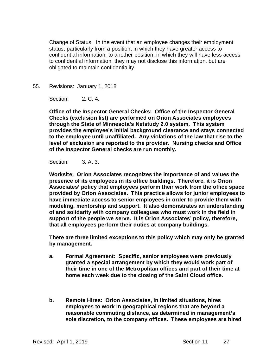Change of Status: In the event that an employee changes their employment status, particularly from a position, in which they have greater access to confidential information, to another position, in which they will have less access to confidential information, they may not disclose this information, but are obligated to maintain confidentiality.

55. Revisions: January 1, 2018

Section: 2. C. 4.

**Office of the Inspector General Checks: Office of the Inspector General Checks (exclusion list) are performed on Orion Associates employees through the State of Minnesota's Netstudy 2.0 system. This system provides the employee's initial background clearance and stays connected to the employee until unaffiliated. Any violations of the law that rise to the level of exclusion are reported to the provider. Nursing checks and Office of the Inspector General checks are run monthly.** 

Section: 3. A. 3.

**Worksite: Orion Associates recognizes the importance of and values the presence of its employees in its office buildings. Therefore, it is Orion Associates' policy that employees perform their work from the office space provided by Orion Associates. This practice allows for junior employees to have immediate access to senior employees in order to provide them with modeling, mentorship and support. It also demonstrates an understanding of and solidarity with company colleagues who must work in the field in support of the people we serve. It is Orion Associates' policy, therefore, that all employees perform their duties at company buildings.** 

**There are three limited exceptions to this policy which may only be granted by management.**

- **a. Formal Agreement: Specific, senior employees were previously granted a special arrangement by which they would work part of their time in one of the Metropolitan offices and part of their time at home each week due to the closing of the Saint Cloud office.**
- **b. Remote Hires: Orion Associates, in limited situations, hires employees to work in geographical regions that are beyond a reasonable commuting distance, as determined in management's sole discretion, to the company offices. These employees are hired**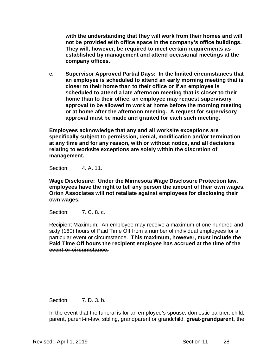**with the understanding that they will work from their homes and will not be provided with office space in the company's office buildings. They will, however, be required to meet certain requirements as established by management and attend occasional meetings at the company offices.**

**c. Supervisor Approved Partial Days: In the limited circumstances that an employee is scheduled to attend an early morning meeting that is closer to their home than to their office or if an employee is scheduled to attend a late afternoon meeting that is closer to their home than to their office, an employee may request supervisory approval to be allowed to work at home before the morning meeting or at home after the afternoon meeting. A request for supervisory approval must be made and granted for each such meeting.**

**Employees acknowledge that any and all worksite exceptions are specifically subject to permission, denial, modification and/or termination at any time and for any reason, with or without notice, and all decisions relating to worksite exceptions are solely within the discretion of management.**

Section: 4. A. 11.

**Wage Disclosure: Under the Minnesota Wage Disclosure Protection law, employees have the right to tell any person the amount of their own wages. Orion Associates will not retaliate against employees for disclosing their own wages.**

Section: 7. C. 8. c.

Recipient Maximum: An employee may receive a maximum of one hundred and sixty (160) hours of Paid Time Off from a number of individual employees for a particular event or circumstance. **This maximum, however, must include the Paid Time Off hours the recipient employee has accrued at the time of the event or circumstance.**

Section: 7. D. 3. b.

In the event that the funeral is for an employee's spouse, domestic partner, child, parent, parent-in-law, sibling, grandparent or grandchild, **great-grandparent**, the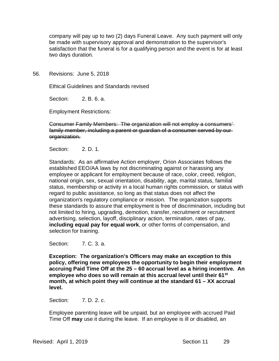company will pay up to two (2) days Funeral Leave. Any such payment will only be made with supervisory approval and demonstration to the supervisor's satisfaction that the funeral is for a qualifying person and the event is for at least two days duration.

56. Revisions: June 5, 2018

Ethical Guidelines and Standards revised

Section: 2. B. 6. a.

Employment Restrictions:

Consumer Family Members: The organization will not employ a consumers' family member, including a parent or guardian of a consumer served by our organization.

Section: 2. D. 1.

Standards: As an affirmative Action employer, Orion Associates follows the established EEO/AA laws by not discriminating against or harassing any employee or applicant for employment because of race, color, creed, religion, national origin, sex, sexual orientation, disability, age, marital status, familial status, membership or activity in a local human rights commission, or status with regard to public assistance, so long as that status does not affect the organization's regulatory compliance or mission. The organization supports these standards to assure that employment is free of discrimination, including but not limited to hiring, upgrading, demotion, transfer, recruitment or recruitment advertising, selection, layoff, disciplinary action, termination, rates of pay, **including equal pay for equal work**, or other forms of compensation, and selection for training.

Section: 7. C. 3. a.

**Exception: The organization's Officers may make an exception to this policy, offering new employees the opportunity to begin their employment accruing Paid Time Off at the 25 – 60 accrual level as a hiring incentive. An employee who does so will remain at this accrual level until their 61st month, at which point they will continue at the standard 61 – XX accrual level.**

Section: 7. D. 2. c.

Employee parenting leave will be unpaid, but an employee with accrued Paid Time Off **may** use it during the leave. If an employee is ill or disabled, an